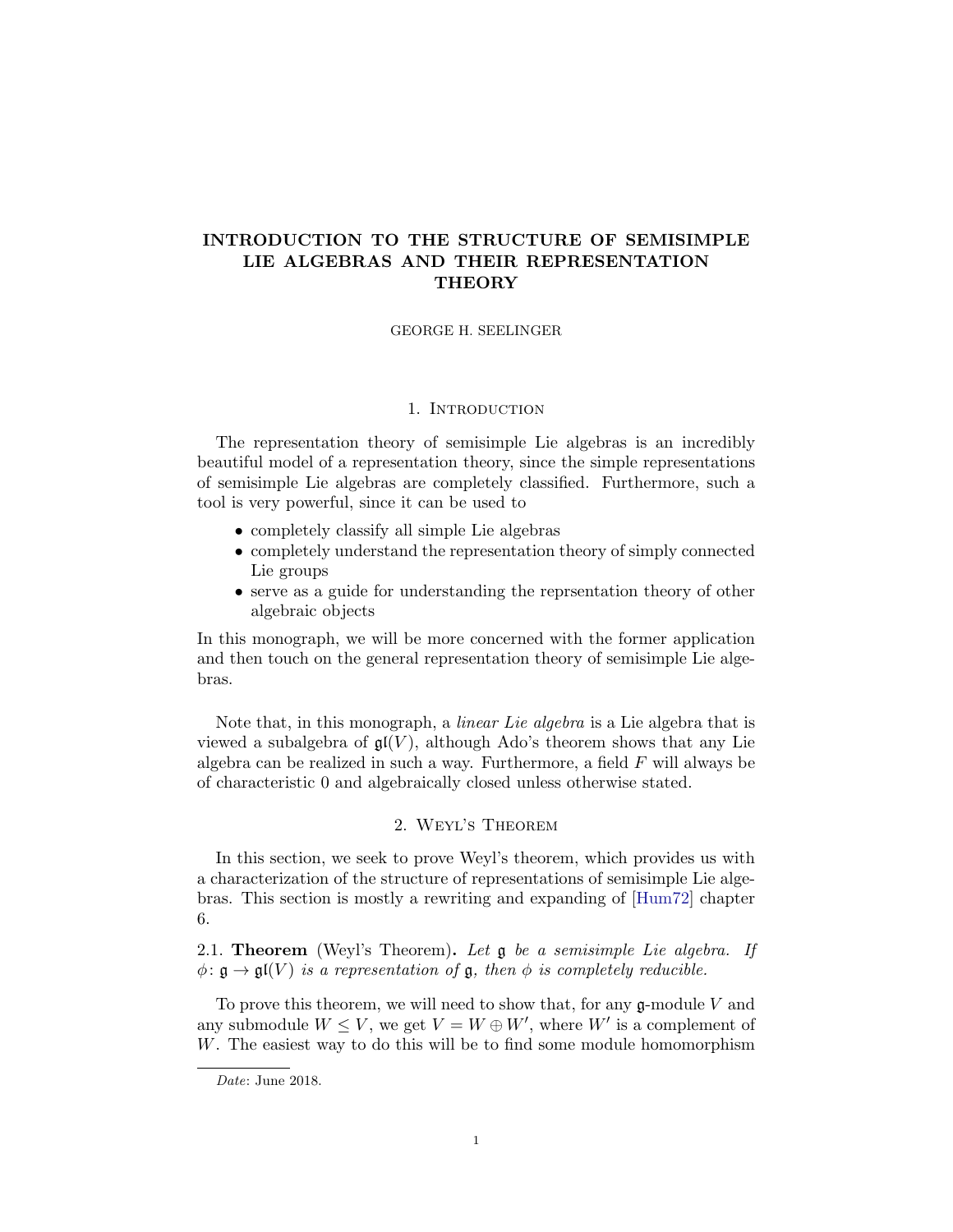# INTRODUCTION TO THE STRUCTURE OF SEMISIMPLE LIE ALGEBRAS AND THEIR REPRESENTATION **THEORY**

#### GEORGE H. SEELINGER

#### 1. INTRODUCTION

The representation theory of semisimple Lie algebras is an incredibly beautiful model of a representation theory, since the simple representations of semisimple Lie algebras are completely classified. Furthermore, such a tool is very powerful, since it can be used to

- completely classify all simple Lie algebras
- completely understand the representation theory of simply connected Lie groups
- serve as a guide for understanding the reprsentation theory of other algebraic objects

In this monograph, we will be more concerned with the former application and then touch on the general representation theory of semisimple Lie algebras.

Note that, in this monograph, a *linear Lie algebra* is a Lie algebra that is viewed a subalgebra of  $\mathfrak{gl}(V)$ , although Ado's theorem shows that any Lie algebra can be realized in such a way. Furthermore, a field  $F$  will always be of characteristic 0 and algebraically closed unless otherwise stated.

#### 2. Weyl's Theorem

In this section, we seek to prove Weyl's theorem, which provides us with a characterization of the structure of representations of semisimple Lie algebras. This section is mostly a rewriting and expanding of [\[Hum72\]](#page-48-0) chapter 6.

<span id="page-0-0"></span>2.1. **Theorem** (Weyl's Theorem). Let  $\mathfrak g$  be a semisimple Lie algebra. If  $\phi: \mathfrak{g} \to \mathfrak{gl}(V)$  is a representation of  $\mathfrak{g}$ , then  $\phi$  is completely reducible.

To prove this theorem, we will need to show that, for any  $\mathfrak{g}\text{-module }V$  and any submodule  $W \leq V$ , we get  $V = W \oplus W'$ , where  $W'$  is a complement of W. The easiest way to do this will be to find some module homomorphism

Date: June 2018.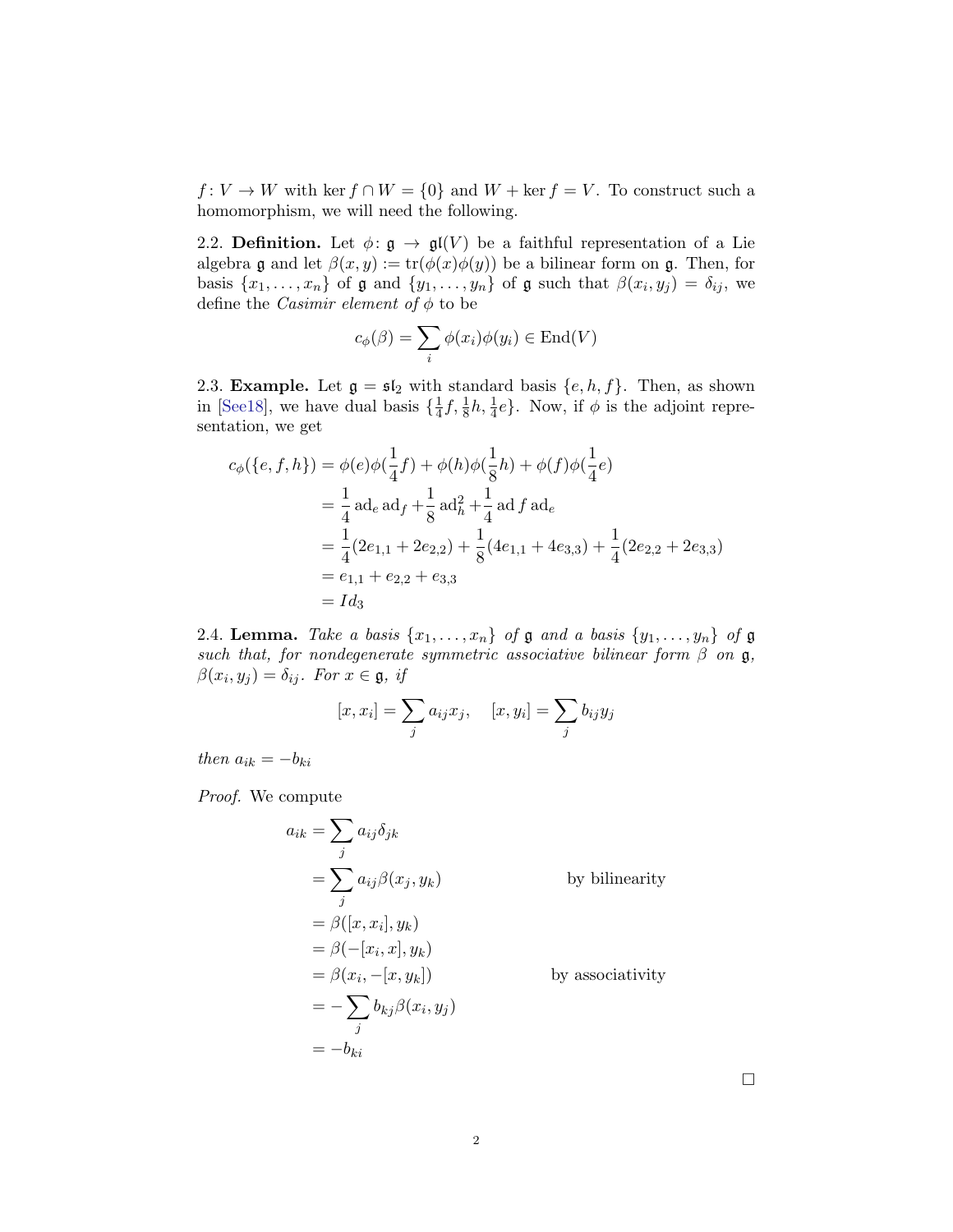$f: V \to W$  with ker  $f \cap W = \{0\}$  and  $W + \text{ker } f = V$ . To construct such a homomorphism, we will need the following.

2.2. Definition. Let  $\phi: \mathfrak{g} \to \mathfrak{gl}(V)$  be a faithful representation of a Lie algebra  $\mathfrak g$  and let  $\beta(x, y) := \text{tr}(\phi(x)\phi(y))$  be a bilinear form on  $\mathfrak g$ . Then, for basis  $\{x_1, \ldots, x_n\}$  of  $\mathfrak g$  and  $\{y_1, \ldots, y_n\}$  of  $\mathfrak g$  such that  $\beta(x_i, y_j) = \delta_{ij}$ , we define the *Casimir element of*  $\phi$  to be

$$
c_{\phi}(\beta) = \sum_{i} \phi(x_i)\phi(y_i) \in \text{End}(V)
$$

2.3. **Example.** Let  $\mathfrak{g} = \mathfrak{sl}_2$  with standard basis  $\{e, h, f\}$ . Then, as shown in [\[See18\]](#page-48-1), we have dual basis  $\{\frac{1}{4}\}$  $\frac{1}{4}f, \frac{1}{8}h, \frac{1}{4}e\}.$  Now, if  $\phi$  is the adjoint representation, we get

$$
c_{\phi}(\{e, f, h\}) = \phi(e)\phi(\frac{1}{4}f) + \phi(h)\phi(\frac{1}{8}h) + \phi(f)\phi(\frac{1}{4}e)
$$
  
=  $\frac{1}{4}$ ad<sub>e</sub> ad<sub>f</sub> +  $\frac{1}{8}$ ad<sub>h</sub><sup>2</sup> +  $\frac{1}{4}$ ad <sub>f</sub> ad<sub>e</sub>  
=  $\frac{1}{4}(2e_{1,1} + 2e_{2,2}) + \frac{1}{8}(4e_{1,1} + 4e_{3,3}) + \frac{1}{4}(2e_{2,2} + 2e_{3,3})$   
=  $e_{1,1} + e_{2,2} + e_{3,3}$   
=  $Id_3$ 

2.4. Lemma. Take a basis  $\{x_1, \ldots, x_n\}$  of  $\mathfrak g$  and a basis  $\{y_1, \ldots, y_n\}$  of  $\mathfrak g$ such that, for nondegenerate symmetric associative bilinear form  $\beta$  on  $\mathfrak{g}$ ,  $\beta(x_i, y_j) = \delta_{ij}$ . For  $x \in \mathfrak{g}$ , if

$$
[x, x_i] = \sum_j a_{ij} x_j
$$
,  $[x, y_i] = \sum_j b_{ij} y_j$ 

then  $a_{ik} = -b_{ki}$ 

Proof. We compute

$$
a_{ik} = \sum_{j} a_{ij} \delta_{jk}
$$
  
\n
$$
= \sum_{j} a_{ij} \beta(x_j, y_k)
$$
 by bilinearity  
\n
$$
= \beta([x, x_i], y_k)
$$
  
\n
$$
= \beta(-[x_i, x], y_k)
$$
  
\n
$$
= \beta(x_i, -[x, y_k])
$$
 by associativity  
\n
$$
= -\sum_{j} b_{kj} \beta(x_i, y_j)
$$
  
\n
$$
= -b_{ki}
$$

 $\Box$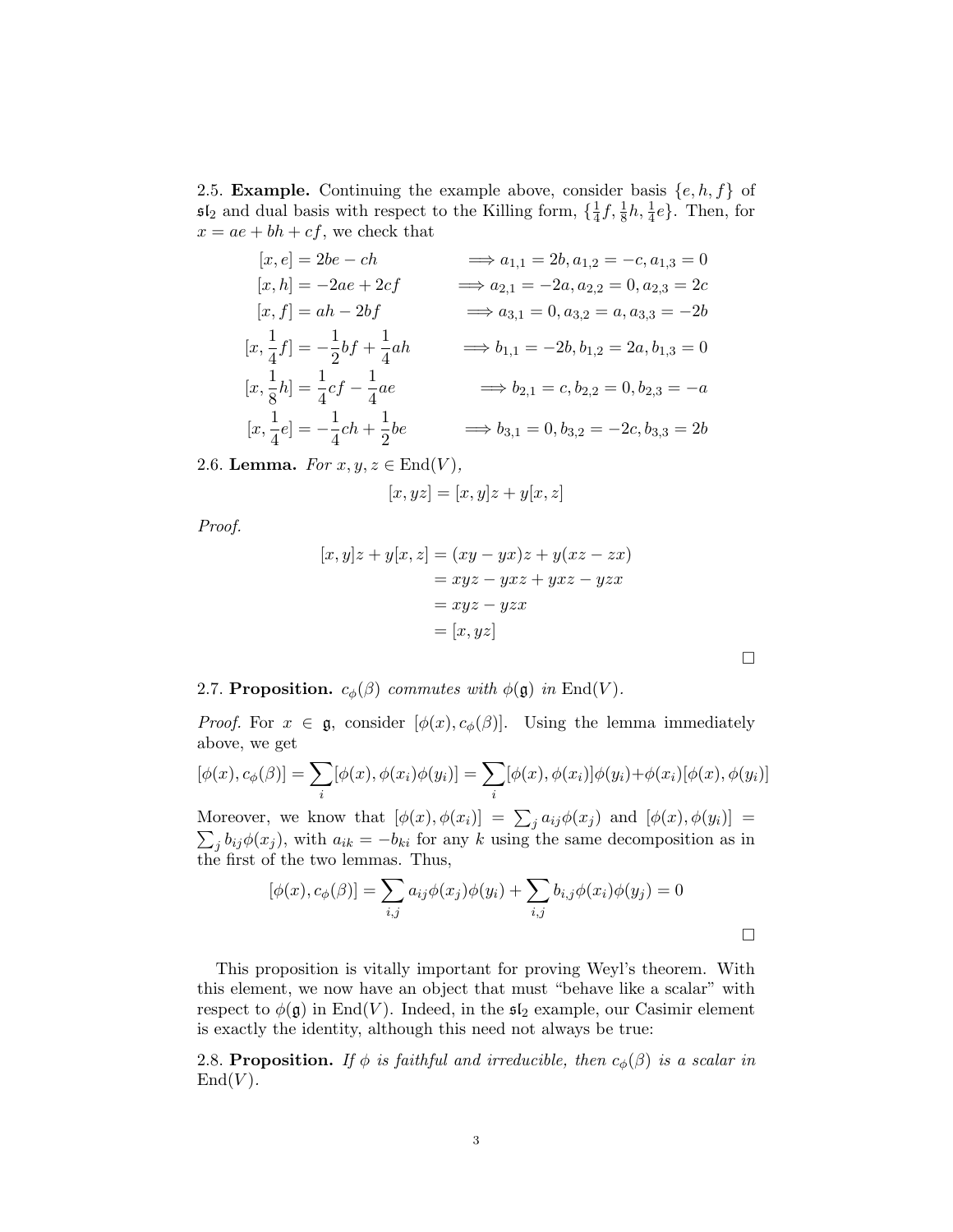2.5. Example. Continuing the example above, consider basis  $\{e, h, f\}$  of  $5I_2$  and dual basis with respect to the Killing form,  $\{\frac{1}{4}\}$  $\frac{1}{4}f, \frac{1}{8}h, \frac{1}{4}e$ . Then, for  $x = ae + bh + cf$ , we check that

$$
[x, e] = 2be - ch \implies a_{1,1} = 2b, a_{1,2} = -c, a_{1,3} = 0
$$
  
\n
$$
[x, h] = -2ae + 2cf \implies a_{2,1} = -2a, a_{2,2} = 0, a_{2,3} = 2c
$$
  
\n
$$
[x, f] = ah - 2bf \implies a_{3,1} = 0, a_{3,2} = a, a_{3,3} = -2b
$$
  
\n
$$
[x, \frac{1}{4}f] = -\frac{1}{2}bf + \frac{1}{4}ah \implies b_{1,1} = -2b, b_{1,2} = 2a, b_{1,3} = 0
$$
  
\n
$$
[x, \frac{1}{8}h] = \frac{1}{4}cf - \frac{1}{4}ae \implies b_{2,1} = c, b_{2,2} = 0, b_{2,3} = -a
$$
  
\n
$$
[x, \frac{1}{4}e] = -\frac{1}{4}ch + \frac{1}{2}be \implies b_{3,1} = 0, b_{3,2} = -2c, b_{3,3} = 2b
$$

2.6. Lemma. For  $x, y, z \in \text{End}(V)$ ,

$$
[x, yz] = [x, y]z + y[x, z]
$$

Proof.

$$
[x, y]z + y[x, z] = (xy - yx)z + y(xz - zx)
$$
  

$$
= xyz - yxz + yxz - yzx
$$
  

$$
= xyz - yzx
$$
  

$$
= [x, yz]
$$

 $\Box$ 

2.7. Proposition.  $c_{\phi}(\beta)$  commutes with  $\phi(\mathfrak{g})$  in End(V).

*Proof.* For  $x \in \mathfrak{g}$ , consider  $[\phi(x), c_{\phi}(\beta)]$ . Using the lemma immediately above, we get

$$
[\phi(x), c_{\phi}(\beta)] = \sum_{i} [\phi(x), \phi(x_i)\phi(y_i)] = \sum_{i} [\phi(x), \phi(x_i)]\phi(y_i) + \phi(x_i)[\phi(x), \phi(y_i)]
$$

Moreover, we know that  $[\phi(x), \phi(x_i)] = \sum_j a_{ij} \phi(x_j)$  and  $[\phi(x), \phi(y_i)] =$  $\sum_j b_{ij}\phi(x_j)$ , with  $a_{ik} = -b_{ki}$  for any k using the same decomposition as in the first of the two lemmas. Thus,

$$
[\phi(x), c_{\phi}(\beta)] = \sum_{i,j} a_{ij}\phi(x_j)\phi(y_i) + \sum_{i,j} b_{i,j}\phi(x_i)\phi(y_j) = 0
$$

This proposition is vitally important for proving Weyl's theorem. With this element, we now have an object that must "behave like a scalar" with respect to  $\phi(\mathfrak{g})$  in End(V). Indeed, in the  $\mathfrak{sl}_2$  example, our Casimir element is exactly the identity, although this need not always be true:

2.8. Proposition. If  $\phi$  is faithful and irreducible, then  $c_{\phi}(\beta)$  is a scalar in  $\mathrm{End}(V)$ .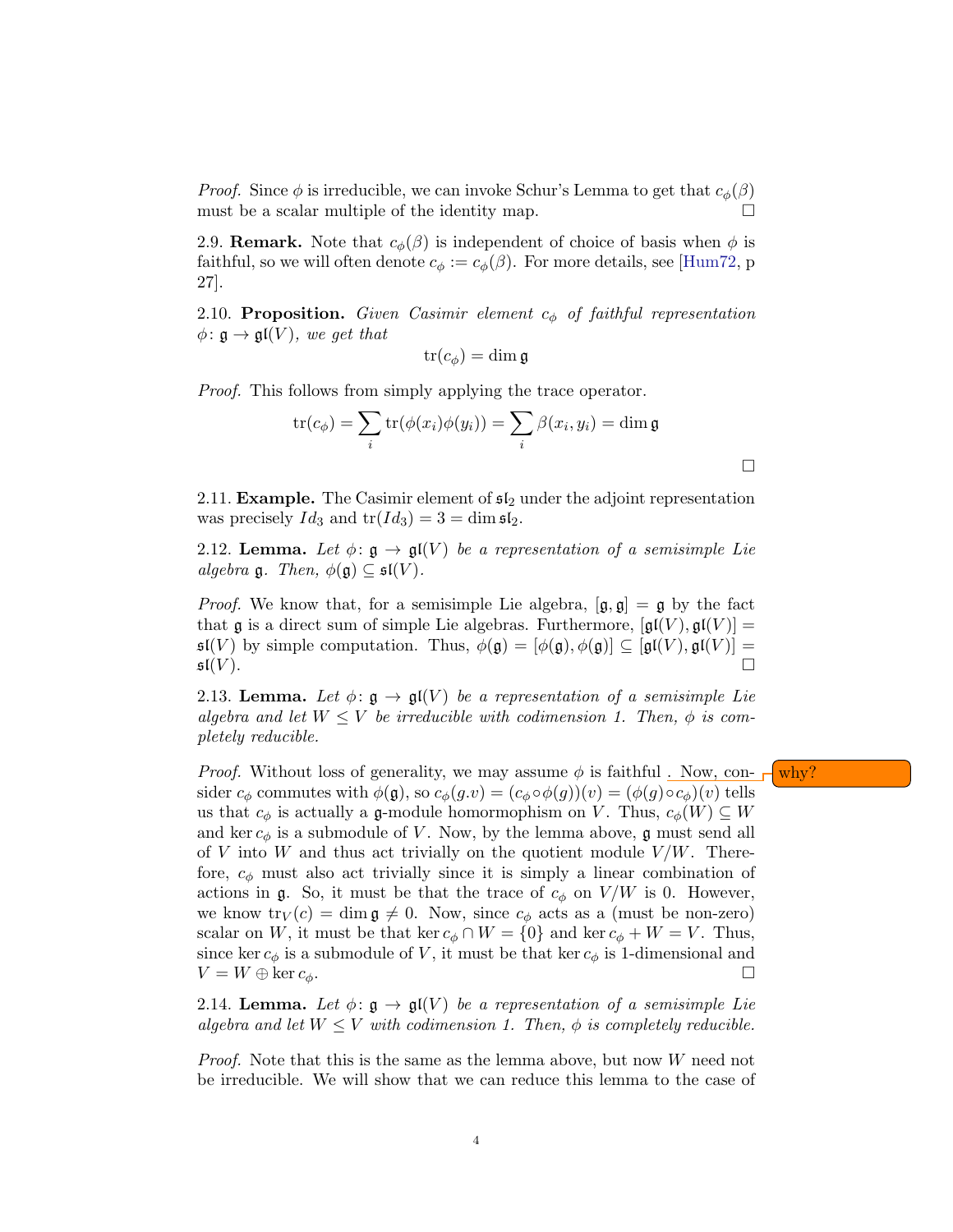*Proof.* Since  $\phi$  is irreducible, we can invoke Schur's Lemma to get that  $c_{\phi}(\beta)$ must be a scalar multiple of the identity map.  $\Box$ 

2.9. **Remark.** Note that  $c_{\phi}(\beta)$  is independent of choice of basis when  $\phi$  is faithful, so we will often denote  $c_{\phi} := c_{\phi}(\beta)$ . For more details, see [\[Hum72,](#page-48-0) p 27].

2.10. Proposition. Given Casimir element  $c_{\phi}$  of faithful representation  $\phi: \mathfrak{g} \to \mathfrak{gl}(V)$ , we get that

$$
\operatorname{tr}(c_{\phi}) = \dim \mathfrak{g}
$$

Proof. This follows from simply applying the trace operator.

$$
\operatorname{tr}(c_{\phi}) = \sum_{i} \operatorname{tr}(\phi(x_i)\phi(y_i)) = \sum_{i} \beta(x_i, y_i) = \dim \mathfrak{g}
$$

 $\Box$ 

2.11. **Example.** The Casimir element of  $\mathfrak{sl}_2$  under the adjoint representation was precisely  $Id_3$  and  $tr(Id_3) = 3 = \dim \mathfrak{sl}_2$ .

<span id="page-3-1"></span>2.12. Lemma. Let  $\phi: \mathfrak{g} \to \mathfrak{gl}(V)$  be a representation of a semisimple Lie algebra  $\mathfrak{g}$ . Then,  $\phi(\mathfrak{g}) \subseteq \mathfrak{sl}(V)$ .

*Proof.* We know that, for a semisimple Lie algebra,  $[\mathfrak{g}, \mathfrak{g}] = \mathfrak{g}$  by the fact that g is a direct sum of simple Lie algebras. Furthermore,  $[g(f(V), g(f(V))]$  =  $\mathfrak{sl}(V)$  by simple computation. Thus,  $\phi(\mathfrak{g}) = [\phi(\mathfrak{g}), \phi(\mathfrak{g})] \subseteq [\mathfrak{gl}(V), \mathfrak{gl}(V)] =$  $\mathfrak{sl}(V).$ 

<span id="page-3-0"></span>2.13. Lemma. Let  $\phi: \mathfrak{g} \to \mathfrak{gl}(V)$  be a representation of a semisimple Lie algebra and let  $W \leq V$  be irreducible with codimension 1. Then,  $\phi$  is completely reducible.

*Proof.* Without loss of generality, we may assume  $\phi$  is faithful. Now, con- $\phi$  why? sider  $c_{\phi}$  commutes with  $\phi(\mathfrak{g})$ , so  $c_{\phi}(g.v) = (c_{\phi} \circ \phi(g))(v) = (\phi(g) \circ c_{\phi})(v)$  tells us that  $c_{\phi}$  is actually a g-module homormophism on V. Thus,  $c_{\phi}(W) \subseteq W$ and ker  $c_{\phi}$  is a submodule of V. Now, by the lemma above, g must send all of V into W and thus act trivially on the quotient module  $V/W$ . Therefore,  $c_{\phi}$  must also act trivially since it is simply a linear combination of actions in g. So, it must be that the trace of  $c_{\phi}$  on  $V/W$  is 0. However, we know  $\text{tr}_V(c) = \dim \mathfrak{g} \neq 0$ . Now, since  $c_{\phi}$  acts as a (must be non-zero) scalar on W, it must be that ker  $c_{\phi} \cap W = \{0\}$  and ker  $c_{\phi} + W = V$ . Thus, since ker  $c_{\phi}$  is a submodule of V, it must be that ker  $c_{\phi}$  is 1-dimensional and  $V = W \oplus \ker c_{\phi}.$ 

<span id="page-3-2"></span>2.14. Lemma. Let  $\phi: \mathfrak{g} \to \mathfrak{gl}(V)$  be a representation of a semisimple Lie algebra and let  $W \leq V$  with codimension 1. Then,  $\phi$  is completely reducible.

*Proof.* Note that this is the same as the lemma above, but now  $W$  need not be irreducible. We will show that we can reduce this lemma to the case of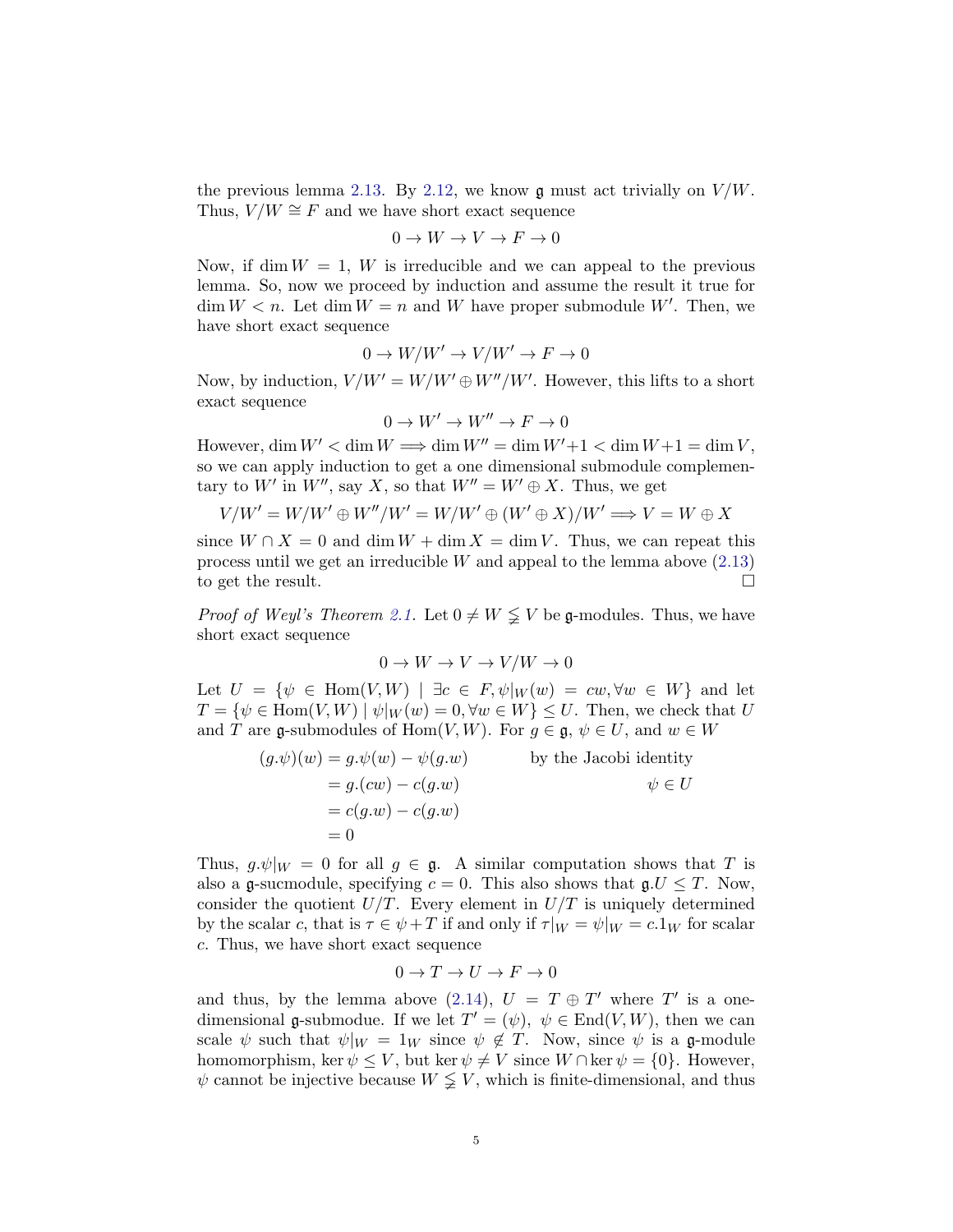the previous lemma [2.13.](#page-3-0) By [2.12,](#page-3-1) we know  $\mathfrak g$  must act trivially on  $V/W$ . Thus,  $V/W \cong F$  and we have short exact sequence

$$
0 \to W \to V \to F \to 0
$$

Now, if dim  $W = 1$ , W is irreducible and we can appeal to the previous lemma. So, now we proceed by induction and assume the result it true for  $\dim W < n$ . Let  $\dim W = n$  and W have proper submodule W'. Then, we have short exact sequence

$$
0 \to W/W' \to V/W' \to F \to 0
$$

Now, by induction,  $V/W' = W/W' \oplus W''/W'$ . However, this lifts to a short exact sequence

$$
0 \to W' \to W'' \to F \to 0
$$

However,  $\dim W' < \dim W \Longrightarrow \dim W'' = \dim W' + 1 < \dim W + 1 = \dim V$ , so we can apply induction to get a one dimensional submodule complementary to W' in W", say X, so that  $W'' = W' \oplus X$ . Thus, we get

$$
V/W'=W/W'\oplus W''/W'=W/W'\oplus (W'\oplus X)/W'\Longrightarrow V=W\oplus X
$$

since  $W \cap X = 0$  and dim  $W + \dim X = \dim V$ . Thus, we can repeat this process until we get an irreducible  $W$  and appeal to the lemma above  $(2.13)$ to get the result.

*Proof of Weyl's Theorem [2.1.](#page-0-0)* Let  $0 \neq W \leq V$  be g-modules. Thus, we have short exact sequence

$$
0 \to W \to V \to V/W \to 0
$$

Let  $U = \{\psi \in \text{Hom}(V, W) \mid \exists c \in F, \psi|_W(w) = cw, \forall w \in W\}$  and let  $T = \{ \psi \in \text{Hom}(V, W) \mid \psi|_W(w) = 0, \forall w \in W \} \leq U$ . Then, we check that U and T are g-submodules of Hom $(V, W)$ . For  $g \in \mathfrak{g}$ ,  $\psi \in U$ , and  $w \in W$ 

$$
(g.\psi)(w) = g.\psi(w) - \psi(g.w)
$$
 by the Jacobi identity  
= g.(cw) - c(g.w)  
= c(g.w) - c(g.w)  
= 0

Thus,  $g \psi|_W = 0$  for all  $g \in \mathfrak{g}$ . A similar computation shows that T is also a g-sucmodule, specifying  $c = 0$ . This also shows that  $gU \leq T$ . Now, consider the quotient  $U/T$ . Every element in  $U/T$  is uniquely determined by the scalar c, that is  $\tau \in \psi + T$  if and only if  $\tau|_W = \psi|_W = c \cdot 1_W$  for scalar c. Thus, we have short exact sequence

$$
0 \to T \to U \to F \to 0
$$

and thus, by the lemma above [\(2.14\)](#page-3-2),  $U = T \oplus T'$  where T' is a onedimensional g-submodue. If we let  $T' = (\psi)$ ,  $\psi \in \text{End}(V, W)$ , then we can scale  $\psi$  such that  $\psi|_W = 1_W$  since  $\psi \notin T$ . Now, since  $\psi$  is a g-module homomorphism, ker  $\psi \leq V$ , but ker  $\psi \neq V$  since  $W \cap \text{ker } \psi = \{0\}$ . However,  $\psi$  cannot be injective because  $W \leq V$ , which is finite-dimensional, and thus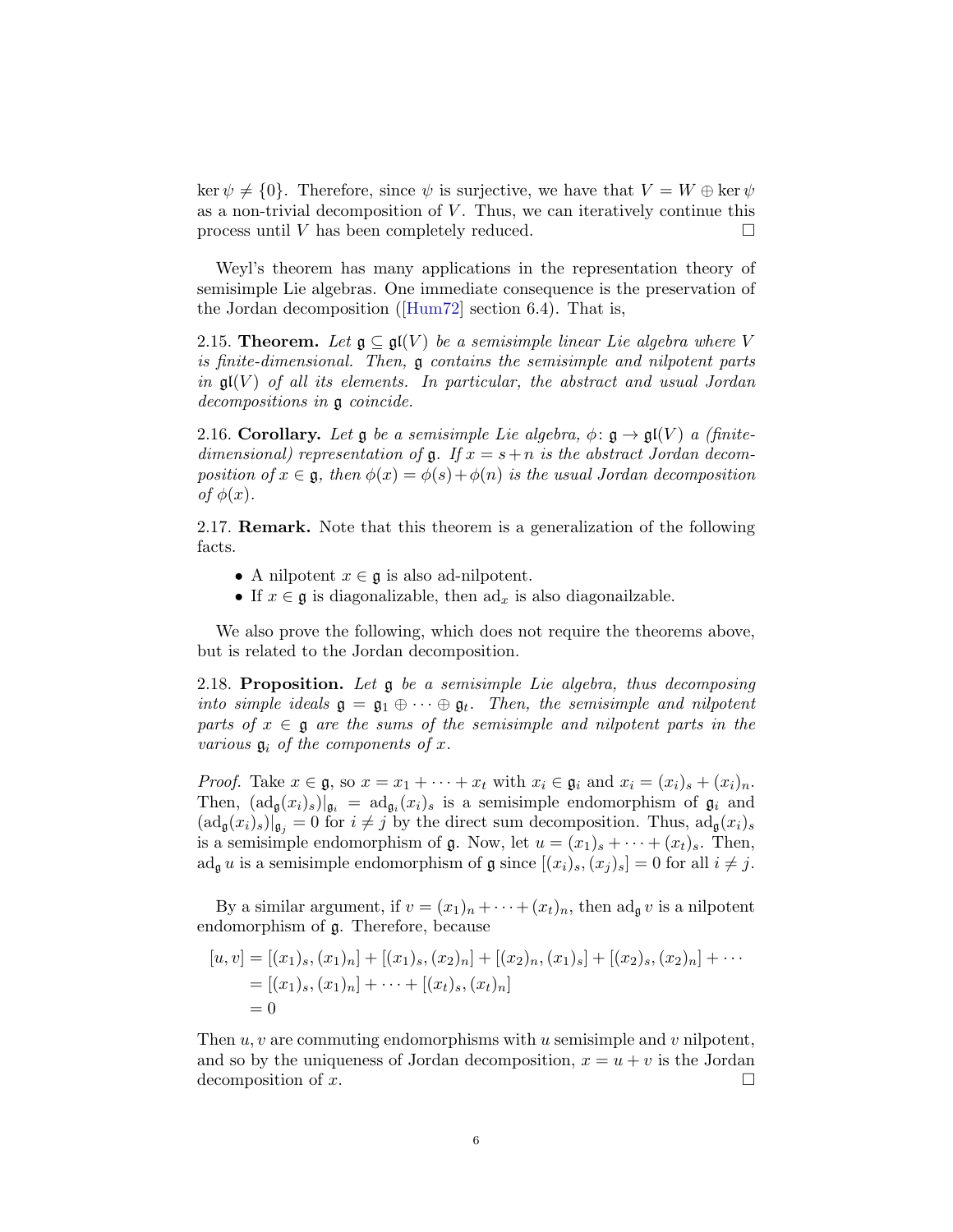ker  $\psi \neq \{0\}$ . Therefore, since  $\psi$  is surjective, we have that  $V = W \oplus \ker \psi$ as a non-trivial decomposition of  $V$ . Thus, we can iteratively continue this process until V has been completely reduced.  $\Box$ 

Weyl's theorem has many applications in the representation theory of semisimple Lie algebras. One immediate consequence is the preservation of the Jordan decomposition([\[Hum72\]](#page-48-0) section 6.4). That is,

2.15. Theorem. Let  $\mathfrak{g} \subseteq \mathfrak{gl}(V)$  be a semisimple linear Lie algebra where V is finite-dimensional. Then, g contains the semisimple and nilpotent parts in  $\mathfrak{gl}(V)$  of all its elements. In particular, the abstract and usual Jordan decompositions in g coincide.

2.16. Corollary. Let  $\mathfrak g$  be a semisimple Lie algebra,  $\phi: \mathfrak g \to \mathfrak{gl}(V)$  a (finitedimensional) representation of  $\mathfrak g$ . If  $x = s + n$  is the abstract Jordan decomposition of  $x \in \mathfrak{g}$ , then  $\phi(x) = \phi(s) + \phi(n)$  is the usual Jordan decomposition of  $\phi(x)$ .

2.17. Remark. Note that this theorem is a generalization of the following facts.

- A nilpotent  $x \in \mathfrak{g}$  is also ad-nilpotent.
- If  $x \in \mathfrak{g}$  is diagonalizable, then  $\mathrm{ad}_x$  is also diagonalizable.

We also prove the following, which does not require the theorems above, but is related to the Jordan decomposition.

<span id="page-5-0"></span>2.18. Proposition. Let  $\mathfrak g$  be a semisimple Lie algebra, thus decomposing into simple ideals  $\mathfrak{g} = \mathfrak{g}_1 \oplus \cdots \oplus \mathfrak{g}_t$ . Then, the semisimple and nilpotent parts of  $x \in \mathfrak{g}$  are the sums of the semisimple and nilpotent parts in the various  $\mathfrak{g}_i$  of the components of x.

*Proof.* Take  $x \in \mathfrak{g}$ , so  $x = x_1 + \cdots + x_t$  with  $x_i \in \mathfrak{g}_i$  and  $x_i = (x_i)_s + (x_i)_n$ . Then,  $(\text{ad}_{\mathfrak{g}}(x_i)_s)|_{\mathfrak{g}_i} = \text{ad}_{\mathfrak{g}_i}(x_i)_s$  is a semisimple endomorphism of  $\mathfrak{g}_i$  and  $(\text{ad}_{\mathfrak{g}}(x_i)_s)|_{\mathfrak{g}_i} = 0$  for  $i \neq j$  by the direct sum decomposition. Thus,  $\text{ad}_{\mathfrak{g}}(x_i)_s$ is a semisimple endomorphism of  $\mathfrak g$ . Now, let  $u = (x_1)_s + \cdots + (x_t)_s$ . Then,  $ad_{\mathfrak{g}} u$  is a semisimple endomorphism of  $\mathfrak{g}$  since  $[(x_i)_s,(x_j)_s] = 0$  for all  $i \neq j$ .

By a similar argument, if  $v = (x_1)_n + \cdots + (x_t)_n$ , then  $\text{ad}_{\mathfrak{g}} v$  is a nilpotent endomorphism of g. Therefore, because

$$
[u, v] = [(x1)s, (x1)n] + [(x1)s, (x2)n] + [(x2)n, (x1)s] + [(x2)s, (x2)n] + \cdots
$$
  
= [(x<sub>1</sub>)<sub>s</sub>, (x<sub>1</sub>)<sub>n</sub>] + \cdots + [(x<sub>t</sub>)<sub>s</sub>, (x<sub>t</sub>)<sub>n</sub>]  
= 0

Then  $u, v$  are commuting endomorphisms with u semisimple and v nilpotent, and so by the uniqueness of Jordan decomposition,  $x = u + v$  is the Jordan decomposition of x.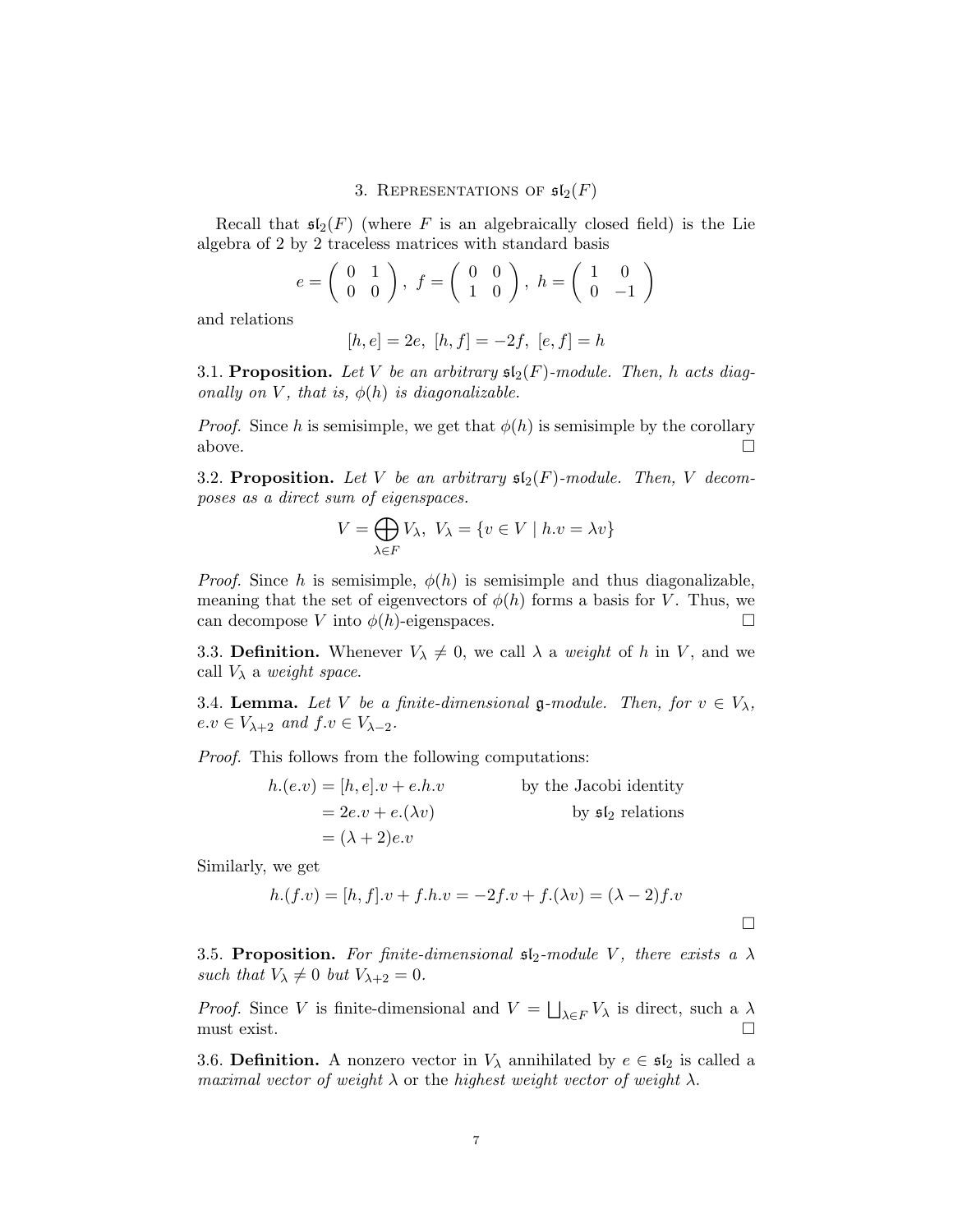### 3. REPRESENTATIONS OF  $\mathfrak{sl}_2(F)$

Recall that  $\mathfrak{sl}_2(F)$  (where F is an algebraically closed field) is the Lie algebra of 2 by 2 traceless matrices with standard basis

$$
e = \left(\begin{array}{cc} 0 & 1 \\ 0 & 0 \end{array}\right), f = \left(\begin{array}{cc} 0 & 0 \\ 1 & 0 \end{array}\right), h = \left(\begin{array}{cc} 1 & 0 \\ 0 & -1 \end{array}\right)
$$

and relations

$$
[h, e] = 2e, [h, f] = -2f, [e, f] = h
$$

3.1. Proposition. Let V be an arbitrary  $\mathfrak{sl}_2(F)$ -module. Then, h acts diagonally on V, that is,  $\phi(h)$  is diagonalizable.

*Proof.* Since h is semisimple, we get that  $\phi(h)$  is semisimple by the corollary above.  $\Box$ 

3.2. Proposition. Let V be an arbitrary  $\mathfrak{sl}_2(F)$ -module. Then, V decomposes as a direct sum of eigenspaces.

$$
V = \bigoplus_{\lambda \in F} V_{\lambda}, \ V_{\lambda} = \{ v \in V \mid h.v = \lambda v \}
$$

*Proof.* Since h is semisimple,  $\phi(h)$  is semisimple and thus diagonalizable, meaning that the set of eigenvectors of  $\phi(h)$  forms a basis for V. Thus, we can decompose V into  $\phi(h)$ -eigenspaces.

3.3. Definition. Whenever  $V_{\lambda} \neq 0$ , we call  $\lambda$  a *weight* of h in V, and we call  $V_{\lambda}$  a weight space.

3.4. Lemma. Let V be a finite-dimensional g-module. Then, for  $v \in V_{\lambda}$ ,  $e.v \in V_{\lambda+2}$  and  $f.v \in V_{\lambda-2}$ .

Proof. This follows from the following computations:

$$
h.(e.v) = [h, e].v + e.h.v
$$
 by the Jacobi identity  
= 2e.v + e.( $\lambda v$ ) by  $\mathfrak{sl}_2$  relations  
= ( $\lambda + 2$ ) $e.v$ 

Similarly, we get

$$
h.(f.v) = [h, f].v + f.h.v = -2f.v + f.(\lambda v) = (\lambda - 2)f.v
$$

3.5. Proposition. For finite-dimensional  $\mathfrak{sl}_2$ -module V, there exists a  $\lambda$ such that  $V_{\lambda} \neq 0$  but  $V_{\lambda+2} = 0$ .

*Proof.* Since V is finite-dimensional and  $V = \bigsqcup_{\lambda \in F} V_{\lambda}$  is direct, such a  $\lambda$ must exist.  $\square$ 

3.6. Definition. A nonzero vector in  $V_{\lambda}$  annihilated by  $e \in \mathfrak{sl}_2$  is called a maximal vector of weight  $\lambda$  or the highest weight vector of weight  $\lambda$ .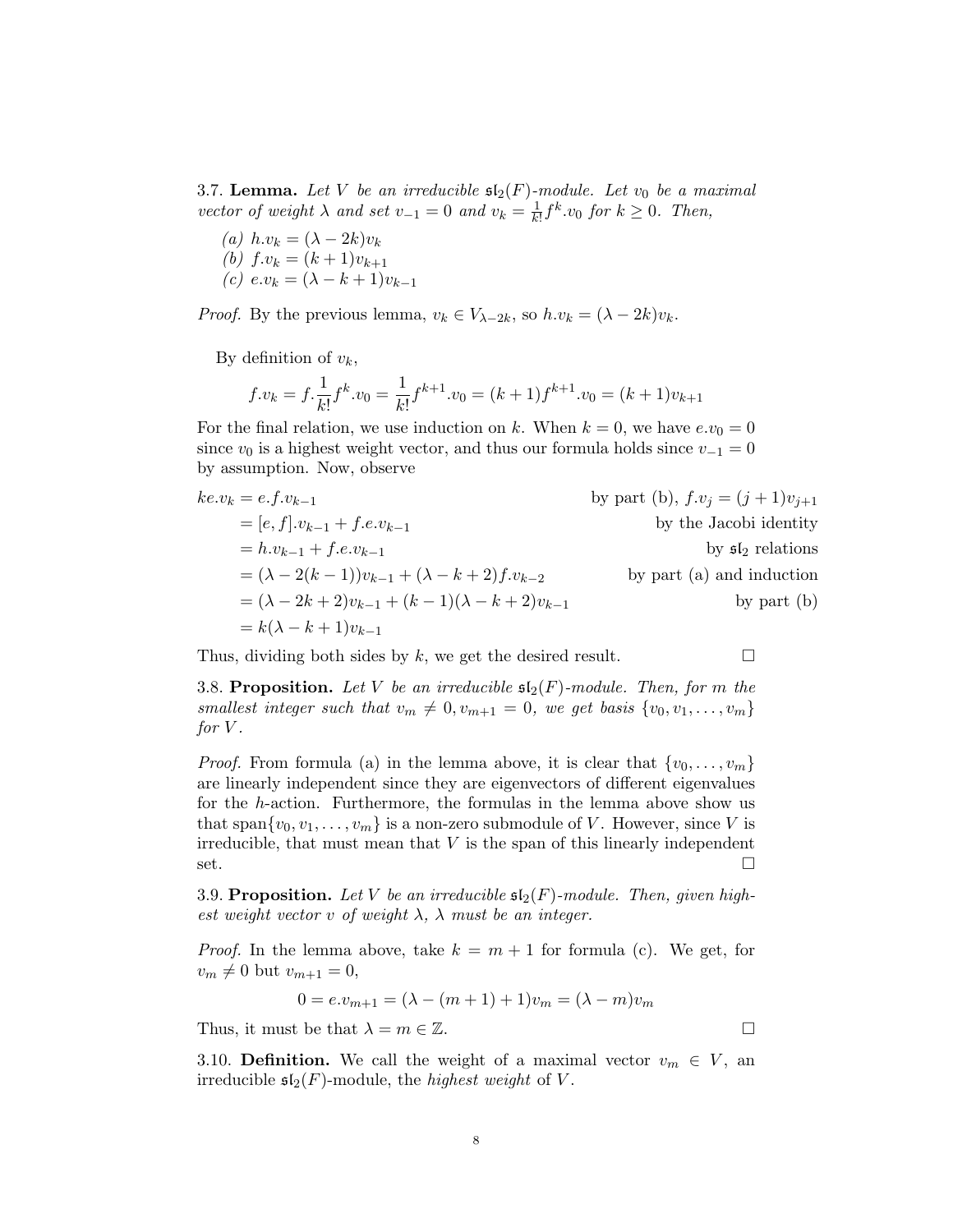3.7. Lemma. Let V be an irreducible  $\mathfrak{sl}_2(F)$ -module. Let  $v_0$  be a maximal vector of weight  $\lambda$  and set  $v_{-1} = 0$  and  $v_k = \frac{1}{k!}$  $\frac{1}{k!} f^k v_0$  for  $k \geq 0$ . Then,

(a)  $h.v_k = (\lambda - 2k)v_k$ (b)  $f.v_k = (k+1)v_{k+1}$ (c)  $e.v_k = (\lambda - k + 1)v_{k-1}$ 

*Proof.* By the previous lemma,  $v_k \in V_{\lambda-2k}$ , so  $h.v_k = (\lambda - 2k)v_k$ .

By definition of  $v_k$ ,

$$
f.v_k = f.\frac{1}{k!}f^k.v_0 = \frac{1}{k!}f^{k+1}.v_0 = (k+1)f^{k+1}.v_0 = (k+1)v_{k+1}
$$

For the final relation, we use induction on k. When  $k = 0$ , we have  $e.v_0 = 0$ since  $v_0$  is a highest weight vector, and thus our formula holds since  $v_{-1} = 0$ by assumption. Now, observe

$$
ke.v_k = e.f.v_{k-1}
$$
  
\n=  $[e, f].v_{k-1} + f.e.v_{k-1}$   
\n=  $h.v_{k-1} + f.e.v_{k-1}$   
\n=  $(\lambda - 2(k-1))v_{k-1} + (\lambda - k + 2)f.v_{k-2}$   
\n=  $(\lambda - 2k + 2)v_{k-1} + (k - 1)(\lambda - k + 2)v_{k-1}$   
\nby part (a) and induction  
\nby part (b)  
\nby part (c)

Thus, dividing both sides by k, we get the desired result.  $\square$ 

3.8. Proposition. Let V be an irreducible  $\mathfrak{sl}_2(F)$ -module. Then, for m the smallest integer such that  $v_m \neq 0, v_{m+1} = 0$ , we get basis  $\{v_0, v_1, \ldots, v_m\}$ for  $V$ .

*Proof.* From formula (a) in the lemma above, it is clear that  $\{v_0, \ldots, v_m\}$ are linearly independent since they are eigenvectors of different eigenvalues for the h-action. Furthermore, the formulas in the lemma above show us that span $\{v_0, v_1, \ldots, v_m\}$  is a non-zero submodule of V. However, since V is irreducible, that must mean that  $V$  is the span of this linearly independent set.

3.9. Proposition. Let V be an irreducible  $\mathfrak{sl}_2(F)$ -module. Then, given highest weight vector v of weight  $\lambda$ ,  $\lambda$  must be an integer.

*Proof.* In the lemma above, take  $k = m + 1$  for formula (c). We get, for  $v_m \neq 0$  but  $v_{m+1} = 0$ ,

$$
0 = e.v_{m+1} = (\lambda - (m+1) + 1)v_m = (\lambda - m)v_m
$$

Thus, it must be that  $\lambda = m \in \mathbb{Z}$ .

3.10. **Definition.** We call the weight of a maximal vector  $v_m \in V$ , an irreducible  $\mathfrak{sl}_2(F)$ -module, the *highest weight* of V.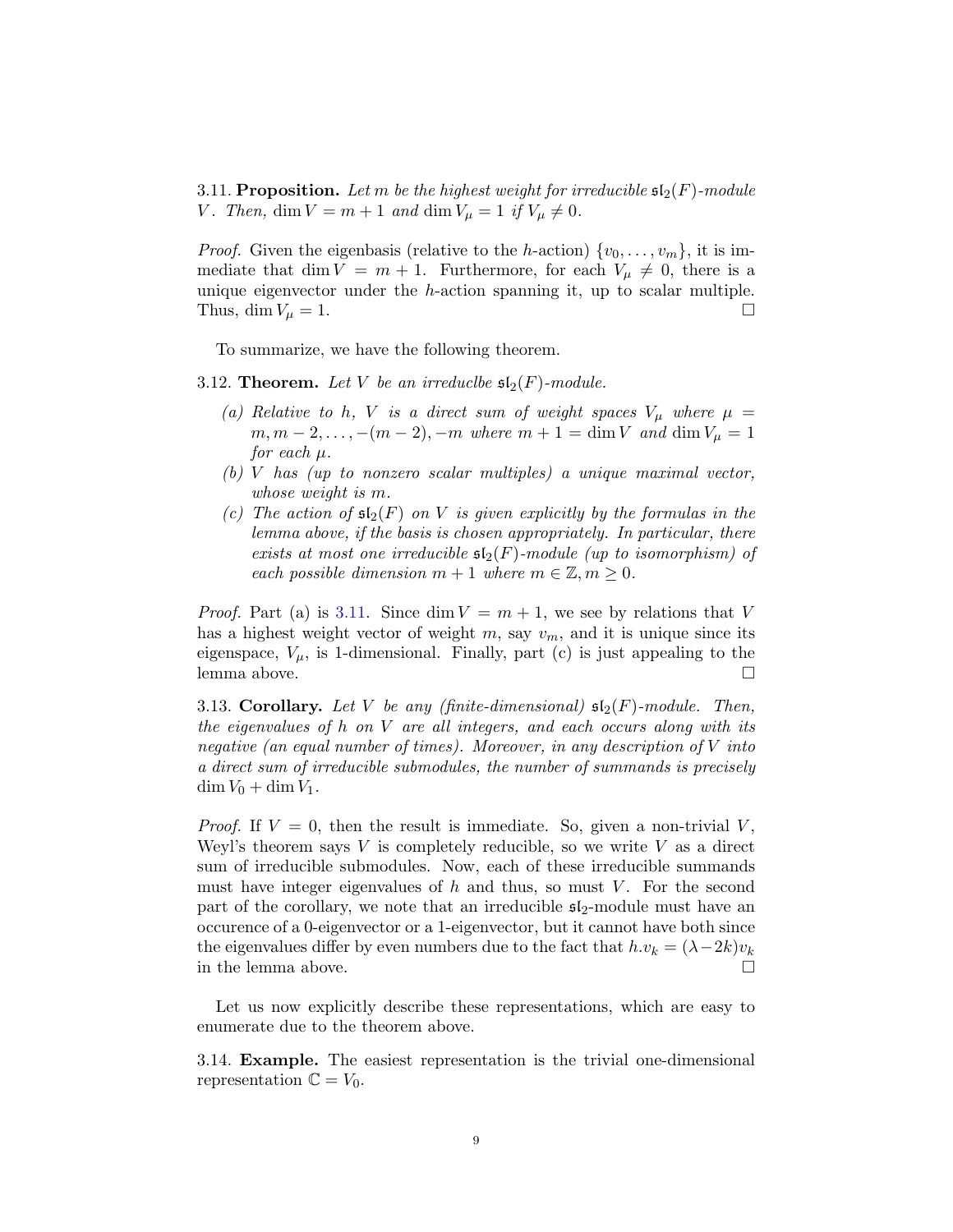<span id="page-8-0"></span>3.11. Proposition. Let m be the highest weight for irreducible  $\mathfrak{sl}_2(F)$ -module V. Then, dim  $V = m + 1$  and dim  $V_{\mu} = 1$  if  $V_{\mu} \neq 0$ .

*Proof.* Given the eigenbasis (relative to the h-action)  $\{v_0, \ldots, v_m\}$ , it is immediate that dim  $V = m + 1$ . Furthermore, for each  $V_{\mu} \neq 0$ , there is a unique eigenvector under the h-action spanning it, up to scalar multiple. Thus,  $\dim V_{\mu} = 1.$ 

To summarize, we have the following theorem.

<span id="page-8-1"></span>3.12. Theorem. Let V be an irreduclee  $\mathfrak{sl}_2(F)$ -module.

- (a) Relative to h, V is a direct sum of weight spaces  $V_\mu$  where  $\mu$  =  $m, m-2, \ldots, -(m-2), -m$  where  $m+1 = \dim V$  and  $\dim V_{\mu} = 1$ for each  $\mu$ .
- (b) V has (up to nonzero scalar multiples) a unique maximal vector, whose weight is m.
- (c) The action of  $\mathfrak{sl}_2(F)$  on V is given explicitly by the formulas in the lemma above, if the basis is chosen appropriately. In particular, there exists at most one irreducible  $\mathfrak{sl}_2(F)$ -module (up to isomorphism) of each possible dimension  $m + 1$  where  $m \in \mathbb{Z}, m \geq 0$ .

*Proof.* Part (a) is [3.11.](#page-8-0) Since dim  $V = m + 1$ , we see by relations that V has a highest weight vector of weight  $m$ , say  $v_m$ , and it is unique since its eigenspace,  $V_{\mu}$ , is 1-dimensional. Finally, part (c) is just appealing to the lemma above.

3.13. Corollary. Let V be any (finite-dimensional)  $\mathfrak{sl}_2(F)$ -module. Then, the eigenvalues of h on V are all integers, and each occurs along with its negative (an equal number of times). Moreover, in any description of V into a direct sum of irreducible submodules, the number of summands is precisely  $\dim V_0 + \dim V_1$ .

*Proof.* If  $V = 0$ , then the result is immediate. So, given a non-trivial V, Weyl's theorem says  $V$  is completely reducible, so we write  $V$  as a direct sum of irreducible submodules. Now, each of these irreducible summands must have integer eigenvalues of  $h$  and thus, so must  $V$ . For the second part of the corollary, we note that an irreducible  $\mathfrak{sl}_2$ -module must have an occurence of a 0-eigenvector or a 1-eigenvector, but it cannot have both since the eigenvalues differ by even numbers due to the fact that  $h.v_k = (\lambda - 2k)v_k$ in the lemma above.  $\Box$ 

Let us now explicitly describe these representations, which are easy to enumerate due to the theorem above.

3.14. Example. The easiest representation is the trivial one-dimensional representation  $\mathbb{C} = V_0$ .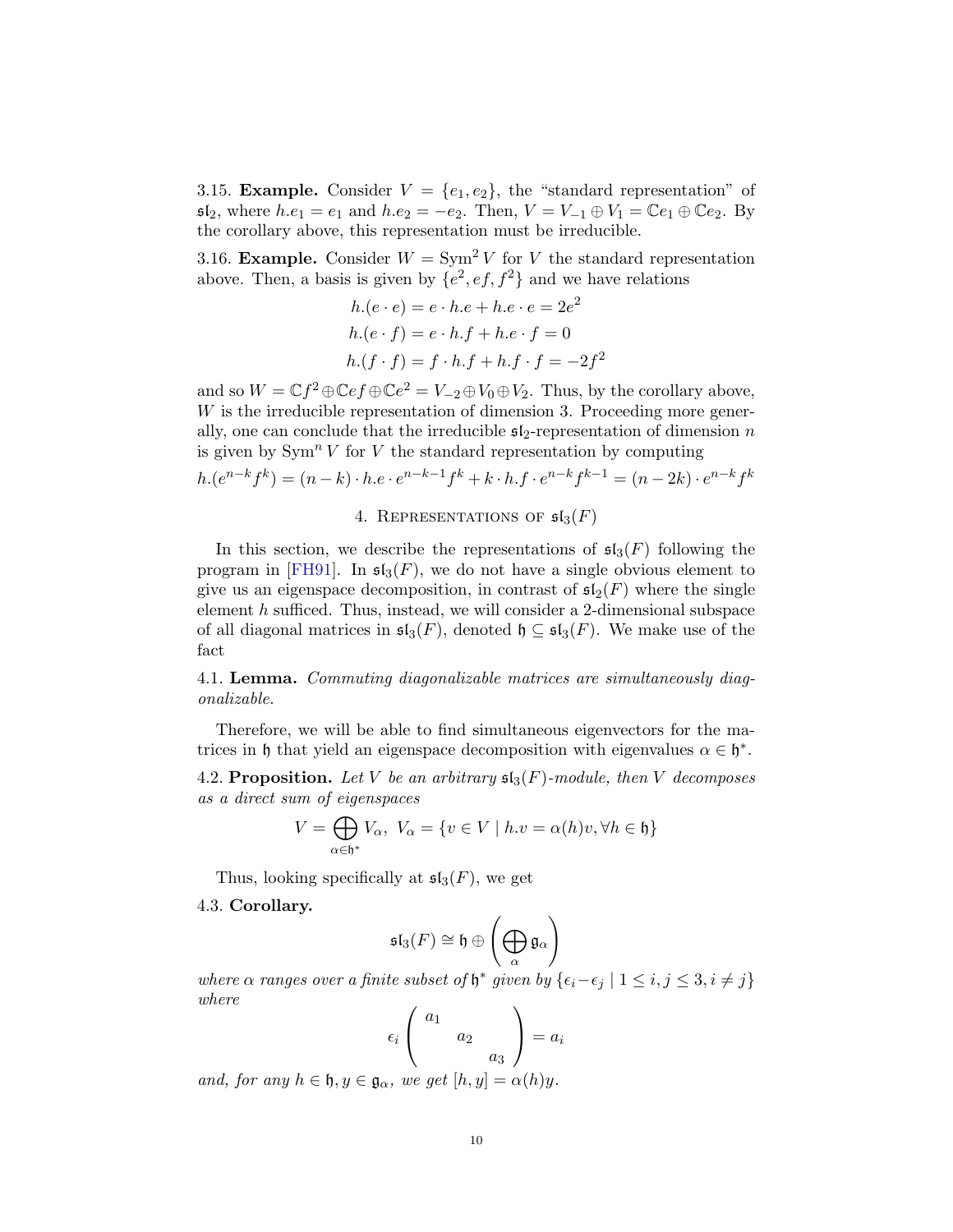3.15. **Example.** Consider  $V = \{e_1, e_2\}$ , the "standard representation" of  $\mathfrak{sl}_2$ , where  $h.e_1 = e_1$  and  $h.e_2 = -e_2$ . Then,  $V = V_{-1} \oplus V_1 = \mathbb{C}e_1 \oplus \mathbb{C}e_2$ . By the corollary above, this representation must be irreducible.

3.16. **Example.** Consider  $W = \text{Sym}^2 V$  for V the standard representation above. Then, a basis is given by  $\{e^2, ef, f^2\}$  and we have relations

$$
h.(e \cdot e) = e \cdot h.e + h.e \cdot e = 2e^2
$$

$$
h.(e \cdot f) = e \cdot h.f + h.e \cdot f = 0
$$

$$
h.(f \cdot f) = f \cdot h.f + h.f \cdot f = -2f^2
$$

and so  $W = \mathbb{C}f^2 \oplus \mathbb{C}ef \oplus \mathbb{C}e^2 = V_{-2} \oplus V_0 \oplus V_2$ . Thus, by the corollary above,  $W$  is the irreducible representation of dimension 3. Proceeding more generally, one can conclude that the irreducible  $\mathfrak{sl}_2$ -representation of dimension n is given by  $\text{Sym}^n V$  for V the standard representation by computing

$$
h.(e^{n-k}f^k) = (n-k) \cdot h.e \cdot e^{n-k-1}f^k + k \cdot h.f \cdot e^{n-k}f^{k-1} = (n-2k) \cdot e^{n-k}f^k
$$

## 4. REPRESENTATIONS OF  $\mathfrak{sl}_3(F)$

In this section, we describe the representations of  $\mathfrak{sl}_3(F)$  following the program in  $\vert \text{FH}91 \vert$ . In  $\mathfrak{sl}_3(F)$ , we do not have a single obvious element to give us an eigenspace decomposition, in contrast of  $\mathfrak{sl}_2(F)$  where the single element h sufficed. Thus, instead, we will consider a 2-dimensional subspace of all diagonal matrices in  $\mathfrak{sl}_3(F)$ , denoted  $\mathfrak{h} \subseteq \mathfrak{sl}_3(F)$ . We make use of the fact

4.1. Lemma. Commuting diagonalizable matrices are simultaneously diagonalizable.

Therefore, we will be able to find simultaneous eigenvectors for the matrices in h that yield an eigenspace decomposition with eigenvalues  $\alpha \in \mathfrak{h}^*$ .

4.2. Proposition. Let V be an arbitrary  $\mathfrak{sl}_3(F)$ -module, then V decomposes as a direct sum of eigenspaces

$$
V = \bigoplus_{\alpha \in \mathfrak{h}^*} V_{\alpha}, \ V_{\alpha} = \{ v \in V \mid h.v = \alpha(h)v, \forall h \in \mathfrak{h} \}
$$

Thus, looking specifically at  $\mathfrak{sl}_3(F)$ , we get

<span id="page-9-0"></span>4.3. Corollary.

$$
\mathfrak{sl}_3(F) \cong \mathfrak{h} \oplus \left(\bigoplus_\alpha \mathfrak{g}_\alpha\right)
$$

where  $\alpha$  ranges over a finite subset of  $\mathfrak{h}^*$  given by  $\{\epsilon_i-\epsilon_j \mid 1 \leq i,j \leq 3, i \neq j\}$ where

$$
\epsilon_i \begin{pmatrix} a_1 \\ a_2 \\ a_3 \end{pmatrix} = a_i
$$

and, for any  $h \in \mathfrak{h}, y \in \mathfrak{g}_{\alpha}$ , we get  $[h, y] = \alpha(h)y$ .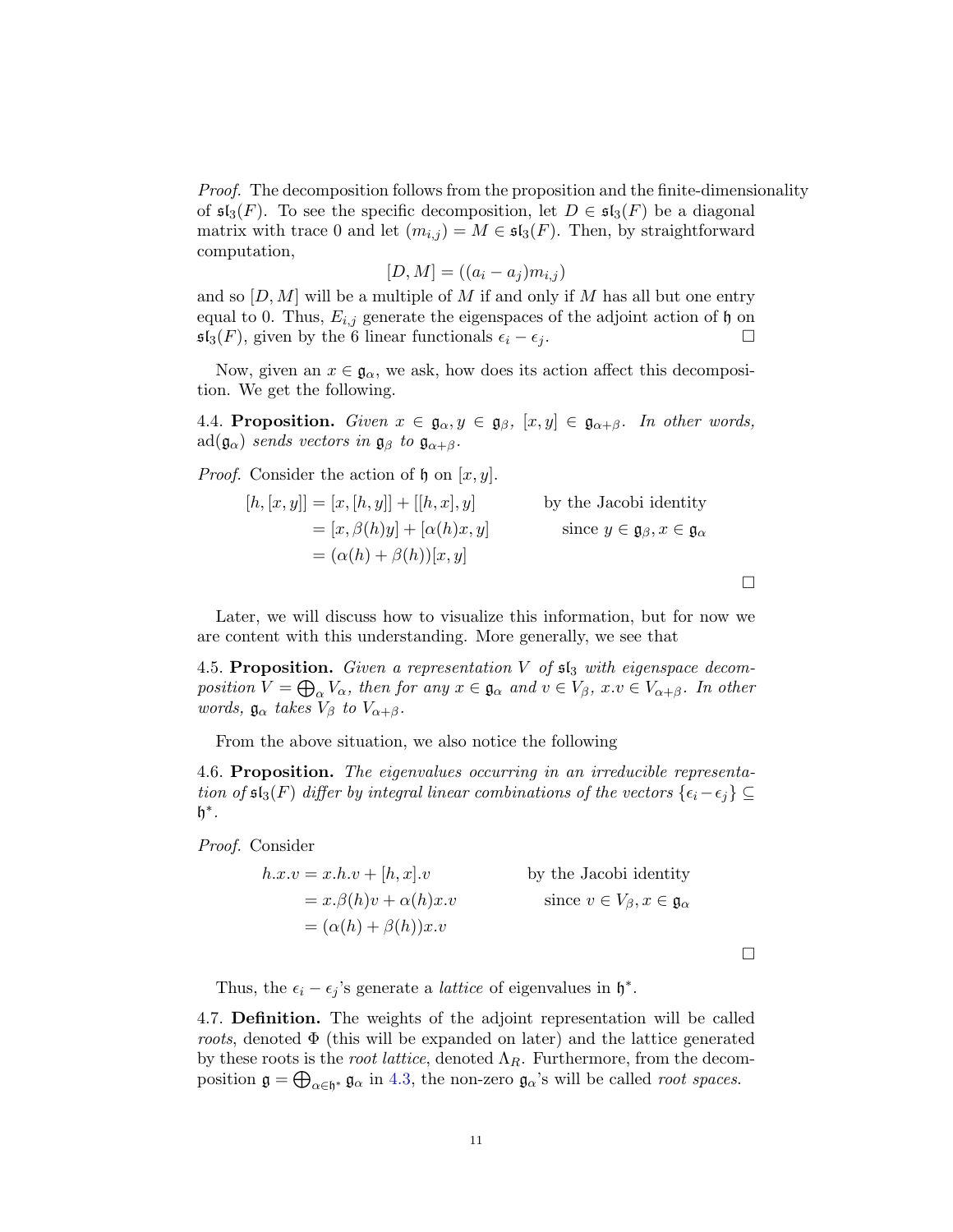Proof. The decomposition follows from the proposition and the finite-dimensionality of  $\mathfrak{sl}_3(F)$ . To see the specific decomposition, let  $D \in \mathfrak{sl}_3(F)$  be a diagonal matrix with trace 0 and let  $(m_{i,j}) = M \in \mathfrak{sl}_3(F)$ . Then, by straightforward computation,

$$
[D, M] = ((a_i - a_j)m_{i,j})
$$

and so  $[D, M]$  will be a multiple of M if and only if M has all but one entry equal to 0. Thus,  $E_{i,j}$  generate the eigenspaces of the adjoint action of h on  $\mathfrak{sl}_3(F)$ , given by the 6 linear functionals  $\epsilon_i - \epsilon_j$ .  $\Box$ 

Now, given an  $x \in \mathfrak{g}_{\alpha}$ , we ask, how does its action affect this decomposition. We get the following.

4.4. Proposition. Given  $x \in \mathfrak{g}_{\alpha}, y \in \mathfrak{g}_{\beta}, [x, y] \in \mathfrak{g}_{\alpha+\beta}$ . In other words,  $\text{ad}(\mathfrak{g}_{\alpha})$  sends vectors in  $\mathfrak{g}_{\beta}$  to  $\mathfrak{g}_{\alpha+\beta}$ .

*Proof.* Consider the action of  $\mathfrak h$  on  $[x, y]$ .

$$
[h, [x, y]] = [x, [h, y]] + [[h, x], y]
$$
 by the Jacobi identity  

$$
= [x, \beta(h)y] + [\alpha(h)x, y]
$$
 since  $y \in \mathfrak{g}_{\beta}, x \in \mathfrak{g}_{\alpha}$   

$$
= (\alpha(h) + \beta(h))[x, y]
$$

 $\Box$ 

 $\Box$ 

Later, we will discuss how to visualize this information, but for now we are content with this understanding. More generally, we see that

4.5. Proposition. Given a representation  $V$  of  $\mathfrak{sl}_3$  with eigenspace decomposition  $V = \bigoplus_{\alpha} V_{\alpha}$ , then for any  $x \in \mathfrak{g}_{\alpha}$  and  $v \in V_{\beta}$ ,  $x.v \in V_{\alpha+\beta}$ . In other words,  $\mathfrak{g}_{\alpha}$  takes  $V_{\beta}$  to  $V_{\alpha+\beta}$ .

From the above situation, we also notice the following

4.6. Proposition. The eigenvalues occurring in an irreducible representation of  $\mathfrak{sl}_3(F)$  differ by integral linear combinations of the vectors  $\{\epsilon_i-\epsilon_j\}\subseteq$  $h^*$ .

Proof. Consider

$$
h.x.v = x.h.v + [h, x].v
$$
  
\n
$$
= x.\beta(h)v + \alpha(h)x.v
$$
  
\n
$$
= (\alpha(h) + \beta(h))x.v
$$
  
\n
$$
= (\alpha(h) + \beta(h))x.v
$$
  
\nby the Jacobi identity  
\nsince  $v \in V_{\beta}, x \in \mathfrak{g}_{\alpha}$ 

Thus, the  $\epsilon_i - \epsilon_j$ 's generate a *lattice* of eigenvalues in  $\mathfrak{h}^*$ .

4.7. Definition. The weights of the adjoint representation will be called roots, denoted  $\Phi$  (this will be expanded on later) and the lattice generated by these roots is the *root lattice*, denoted  $\Lambda_R$ . Furthermore, from the decomposition  $\mathfrak{g} = \bigoplus_{\alpha \in \mathfrak{h}^*} \mathfrak{g}_{\alpha}$  in [4.3,](#page-9-0) the non-zero  $\mathfrak{g}_{\alpha}$ 's will be called *root spaces*.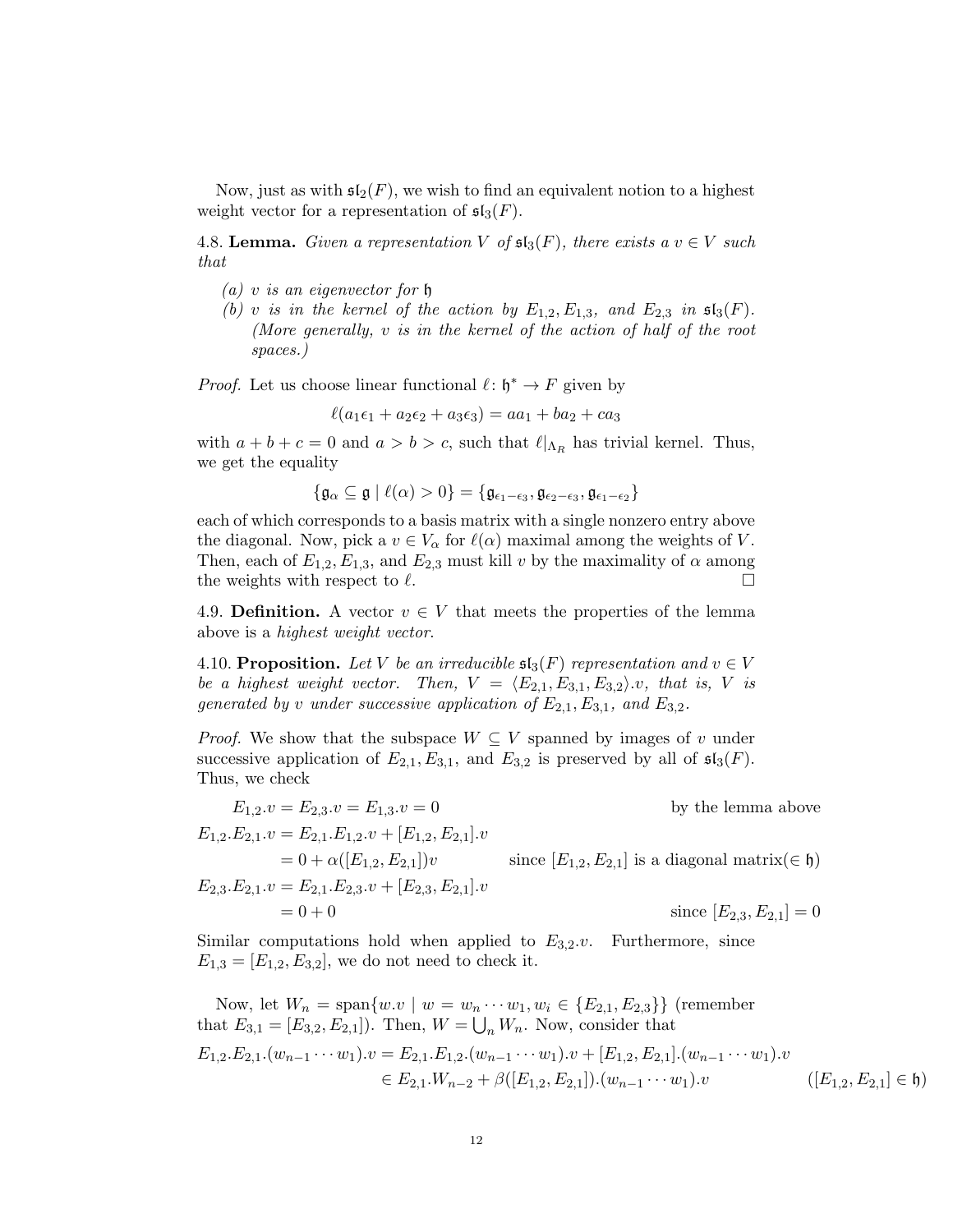Now, just as with  $\mathfrak{sl}_2(F)$ , we wish to find an equivalent notion to a highest weight vector for a representation of  $\mathfrak{sl}_3(F)$ .

<span id="page-11-0"></span>4.8. Lemma. Given a representation V of  $\mathfrak{sl}_3(F)$ , there exists a  $v \in V$  such that

- (a) v is an eigenvector for  $\mathfrak h$
- (b) v is in the kernel of the action by  $E_{1,2}, E_{1,3}$ , and  $E_{2,3}$  in  $\mathfrak{sl}_3(F)$ . (More generally, v is in the kernel of the action of half of the root spaces.)

*Proof.* Let us choose linear functional  $\ell : \mathfrak{h}^* \to F$  given by

$$
\ell(a_1\epsilon_1 + a_2\epsilon_2 + a_3\epsilon_3) = aa_1 + ba_2 + ca_3
$$

with  $a + b + c = 0$  and  $a > b > c$ , such that  $\ell|_{\Lambda_R}$  has trivial kernel. Thus, we get the equality

$$
\{\mathfrak{g}_{\alpha}\subseteq\mathfrak{g}\mid \ell(\alpha)>0\}=\{\mathfrak{g}_{\epsilon_1-\epsilon_3},\mathfrak{g}_{\epsilon_2-\epsilon_3},\mathfrak{g}_{\epsilon_1-\epsilon_2}\}
$$

each of which corresponds to a basis matrix with a single nonzero entry above the diagonal. Now, pick a  $v \in V_\alpha$  for  $\ell(\alpha)$  maximal among the weights of V. Then, each of  $E_{1,2}, E_{1,3}$ , and  $E_{2,3}$  must kill v by the maximality of  $\alpha$  among the weights with respect to  $\ell$ .

4.9. Definition. A vector  $v \in V$  that meets the properties of the lemma above is a highest weight vector.

4.10. Proposition. Let V be an irreducible  $\mathfrak{sl}_3(F)$  representation and  $v \in V$ be a highest weight vector. Then,  $V = \langle E_{2,1}, E_{3,1}, E_{3,2} \rangle$ .v, that is, V is generated by v under successive application of  $E_{2,1}, E_{3,1}$ , and  $E_{3,2}$ .

*Proof.* We show that the subspace  $W \subseteq V$  spanned by images of v under successive application of  $E_{2,1}, E_{3,1}$ , and  $E_{3,2}$  is preserved by all of  $\mathfrak{sl}_3(F)$ . Thus, we check

$$
E_{1,2}.v = E_{2,3}.v = E_{1,3}.v = 0
$$
 by the lemma above  
\n
$$
E_{1,2}.E_{2,1}.v = E_{2,1}.E_{1,2}.v + [E_{1,2}, E_{2,1}].v
$$
  
\n
$$
= 0 + \alpha([E_{1,2}, E_{2,1}])v
$$
 since  $[E_{1,2}, E_{2,1}]$  is a diagonal matrix( $\in \mathfrak{h}$ )  
\n
$$
E_{2,3}.E_{2,1}.v = E_{2,1}.E_{2,3}.v + [E_{2,3}, E_{2,1}].v
$$
  
\n
$$
= 0 + 0
$$
 since  $[E_{2,3}, E_{2,1}] = 0$ 

Similar computations hold when applied to  $E_{3,2}$ . Furthermore, since  $E_{1,3} = [E_{1,2}, E_{3,2}],$  we do not need to check it.

Now, let 
$$
W_n = \text{span}\{w.v \mid w = w_n \cdots w_1, w_i \in \{E_{2,1}, E_{2,3}\}\}
$$
 (remember  
that  $E_{3,1} = [E_{3,2}, E_{2,1}])$ . Then,  $W = \bigcup_n W_n$ . Now, consider that  
 $E_{1,2}.E_{2,1}.(w_{n-1} \cdots w_1).v = E_{2,1}.E_{1,2}.(w_{n-1} \cdots w_1).v + [E_{1,2}, E_{2,1}].(w_{n-1} \cdots w_1).v$   
 $\in E_{2,1}.W_{n-2} + \beta([E_{1,2}, E_{2,1}]).(w_{n-1} \cdots w_1).v$   $([E_{1,2}, E_{2,1}] \in \mathfrak{h})$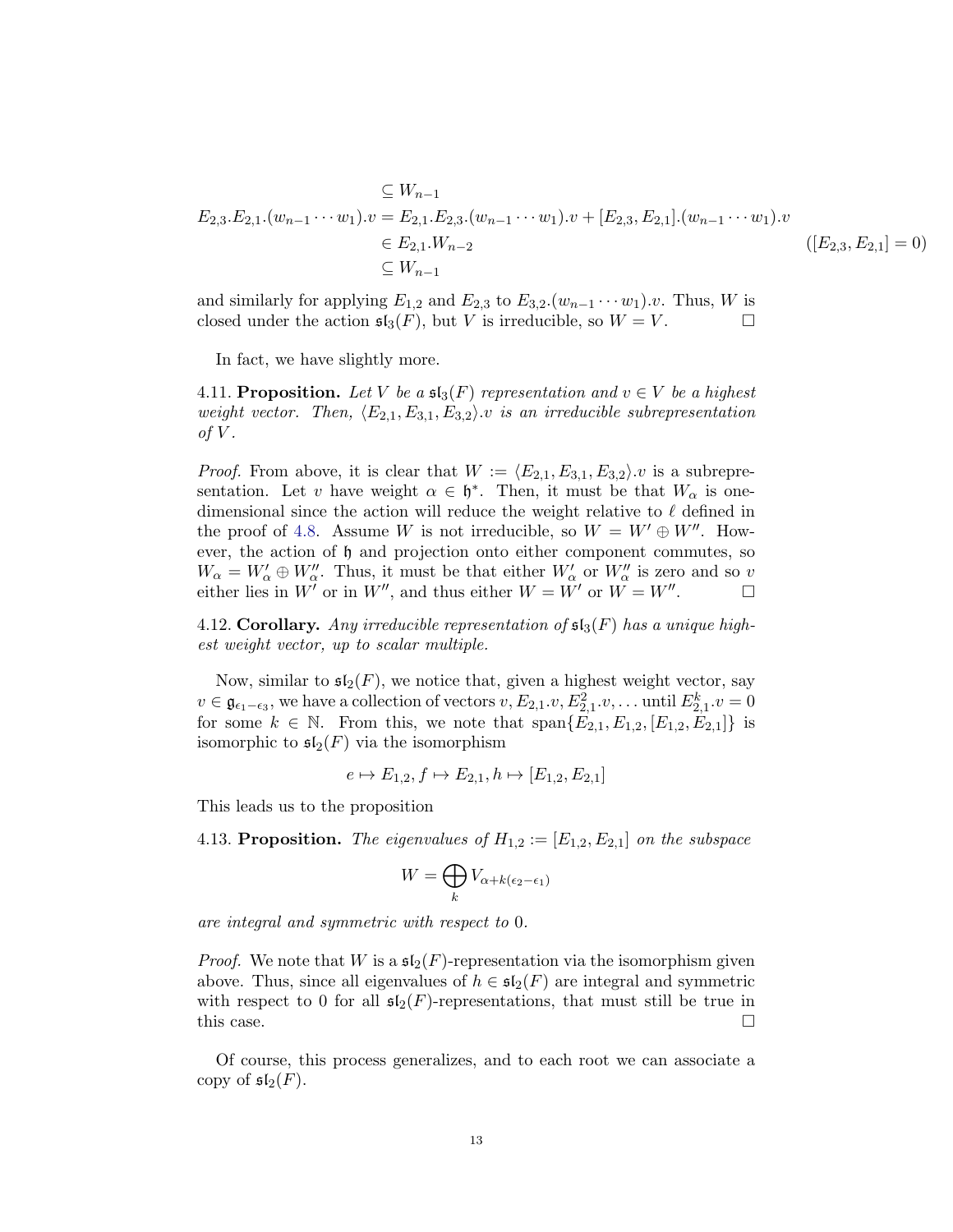$$
\subseteq W_{n-1}
$$
  
\n
$$
E_{2,3} \cdot E_{2,1} \cdot (w_{n-1} \cdots w_1) \cdot v = E_{2,1} \cdot E_{2,3} \cdot (w_{n-1} \cdots w_1) \cdot v + [E_{2,3}, E_{2,1}] \cdot (w_{n-1} \cdots w_1) \cdot v
$$
  
\n
$$
\in E_{2,1} \cdot W_{n-2}
$$
  
\n
$$
\subseteq W_{n-1}
$$
  
\n
$$
( [E_{2,3}, E_{2,1}] = 0 )
$$

and similarly for applying  $E_{1,2}$  and  $E_{2,3}$  to  $E_{3,2}.(w_{n-1}\cdots w_1).v$ . Thus, W is closed under the action  $\mathfrak{sl}_3(F)$ , but V is irreducible, so  $W = V$ .

In fact, we have slightly more.

4.11. Proposition. Let V be a  $\mathfrak{sl}_3(F)$  representation and  $v \in V$  be a highest weight vector. Then,  $\langle E_{2,1}, E_{3,1}, E_{3,2}\rangle$  is an irreducible subrepresentation of  $V$ .

*Proof.* From above, it is clear that  $W := \langle E_{2,1}, E_{3,1}, E_{3,2}\rangle$ . v is a subrepresentation. Let v have weight  $\alpha \in \mathfrak{h}^*$ . Then, it must be that  $W_\alpha$  is onedimensional since the action will reduce the weight relative to  $\ell$  defined in the proof of [4.8.](#page-11-0) Assume W is not irreducible, so  $W = W' \oplus W''$ . However, the action of h and projection onto either component commutes, so  $W_{\alpha} = W'_{\alpha} \oplus W''_{\alpha}$ . Thus, it must be that either  $W'_{\alpha}$  or  $W''_{\alpha}$  is zero and so v either lies in  $W'$  or in  $W''$ , and thus either  $W = \tilde{W}'$  or  $\tilde{W} = W''$ .

4.12. Corollary. Any irreducible representation of  $\mathfrak{sl}_3(F)$  has a unique highest weight vector, up to scalar multiple.

Now, similar to  $\mathfrak{sl}_2(F)$ , we notice that, given a highest weight vector, say  $v \in \mathfrak{g}_{\epsilon_1-\epsilon_3}$ , we have a collection of vectors  $v, E_{2,1}.v, E_{2,1}^2. v, \dots$  until  $E_{2,1}^k. v = 0$ for some  $k \in \mathbb{N}$ . From this, we note that  $\text{span}\{E_{2,1}, E_{1,2}, [E_{1,2}, E_{2,1}]\}$  is isomorphic to  $\mathfrak{sl}_2(F)$  via the isomorphism

$$
e \mapsto E_{1,2}, f \mapsto E_{2,1}, h \mapsto [E_{1,2}, E_{2,1}]
$$

This leads us to the proposition

4.13. Proposition. The eigenvalues of  $H_{1,2} := [E_{1,2}, E_{2,1}]$  on the subspace

$$
W = \bigoplus_{k} V_{\alpha + k(\epsilon_2 - \epsilon_1)}
$$

are integral and symmetric with respect to 0.

*Proof.* We note that W is a  $\mathfrak{sl}_2(F)$ -representation via the isomorphism given above. Thus, since all eigenvalues of  $h \in \mathfrak{sl}_2(F)$  are integral and symmetric with respect to 0 for all  $\mathfrak{sl}_2(F)$ -representations, that must still be true in this case.  $\Box$ 

Of course, this process generalizes, and to each root we can associate a copy of  $\mathfrak{sl}_2(F)$ .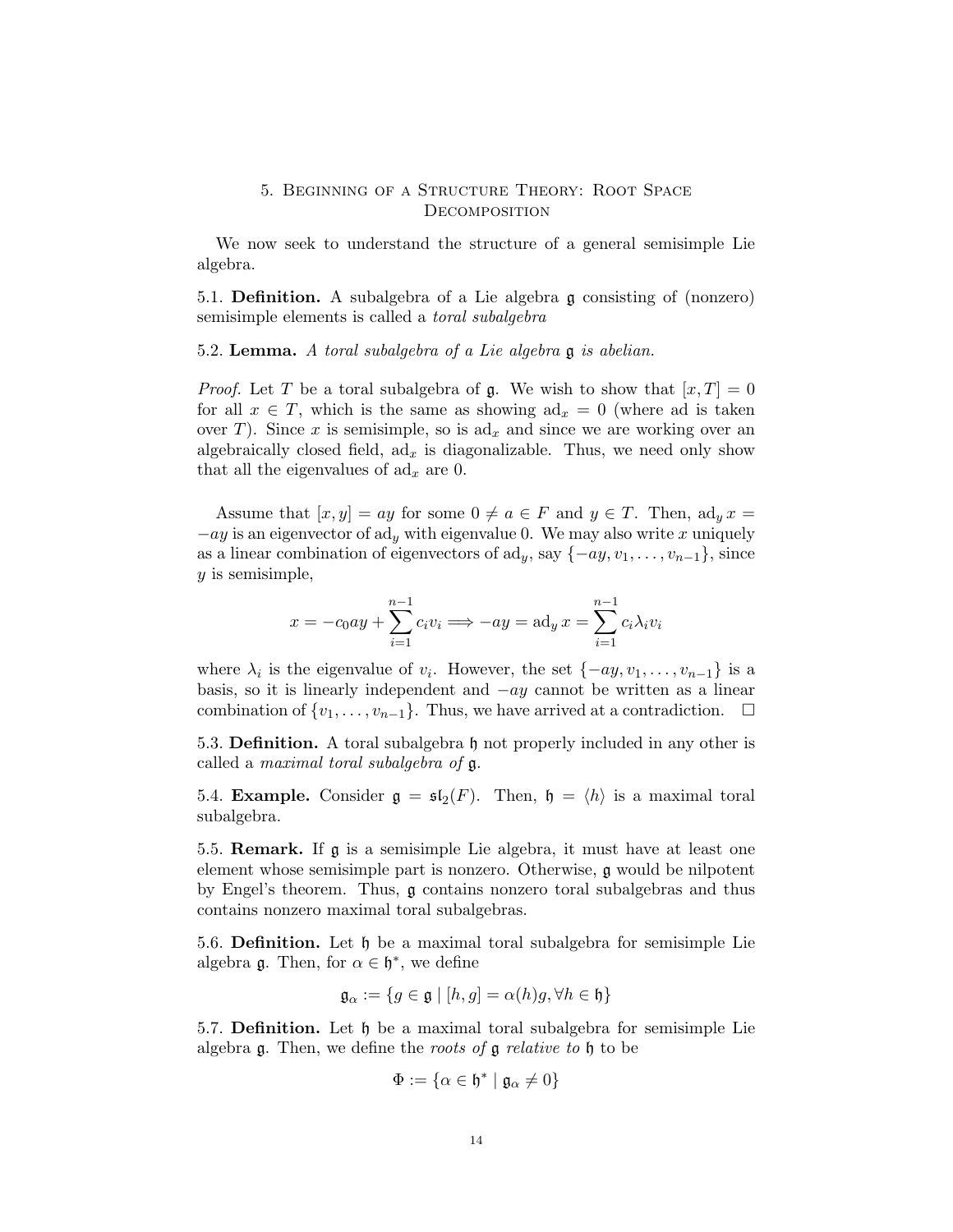## 5. Beginning of a Structure Theory: Root Space **DECOMPOSITION**

We now seek to understand the structure of a general semisimple Lie algebra.

5.1. Definition. A subalgebra of a Lie algebra g consisting of (nonzero) semisimple elements is called a toral subalgebra

5.2. Lemma. A toral subalgebra of a Lie algebra g is abelian.

*Proof.* Let T be a toral subalgebra of g. We wish to show that  $[x, T] = 0$ for all  $x \in T$ , which is the same as showing  $ad_x = 0$  (where ad is taken over T). Since x is semisimple, so is  $ad_x$  and since we are working over an algebraically closed field,  $ad_x$  is diagonalizable. Thus, we need only show that all the eigenvalues of  $ad_x$  are 0.

Assume that  $[x, y] = ay$  for some  $0 \neq a \in F$  and  $y \in T$ . Then,  $ad_y x =$  $-ay$  is an eigenvector of ad<sub>y</sub> with eigenvalue 0. We may also write x uniquely as a linear combination of eigenvectors of  $\mathrm{ad}_y$ , say  $\{-ay, v_1, \ldots, v_{n-1}\}$ , since y is semisimple,

$$
x = -c_0ay + \sum_{i=1}^{n-1} c_i v_i \Longrightarrow -ay = \text{ad}_y x = \sum_{i=1}^{n-1} c_i \lambda_i v_i
$$

where  $\lambda_i$  is the eigenvalue of  $v_i$ . However, the set  $\{-ay, v_1, \ldots, v_{n-1}\}$  is a basis, so it is linearly independent and  $-ay$  cannot be written as a linear combination of  $\{v_1, \ldots, v_{n-1}\}$ . Thus, we have arrived at a contradiction.  $\Box$ 

5.3. Definition. A toral subalgebra h not properly included in any other is called a maximal toral subalgebra of g.

5.4. **Example.** Consider  $\mathfrak{g} = \mathfrak{sl}_2(F)$ . Then,  $\mathfrak{h} = \langle h \rangle$  is a maximal toral subalgebra.

5.5. Remark. If g is a semisimple Lie algebra, it must have at least one element whose semisimple part is nonzero. Otherwise, g would be nilpotent by Engel's theorem. Thus, g contains nonzero toral subalgebras and thus contains nonzero maximal toral subalgebras.

5.6. Definition. Let h be a maximal toral subalgebra for semisimple Lie algebra  $\mathfrak g$ . Then, for  $\alpha \in \mathfrak h^*$ , we define

$$
\mathfrak{g}_{\alpha} := \{ g \in \mathfrak{g} \mid [h, g] = \alpha(h)g, \forall h \in \mathfrak{h} \}
$$

5.7. **Definition.** Let  $\mathfrak{h}$  be a maximal toral subalgebra for semisimple Lie algebra  $\mathfrak g$ . Then, we define the *roots of*  $\mathfrak g$  *relative to*  $\mathfrak h$  to be

$$
\Phi := \{ \alpha \in \mathfrak{h}^* \mid \mathfrak{g}_\alpha \neq 0 \}
$$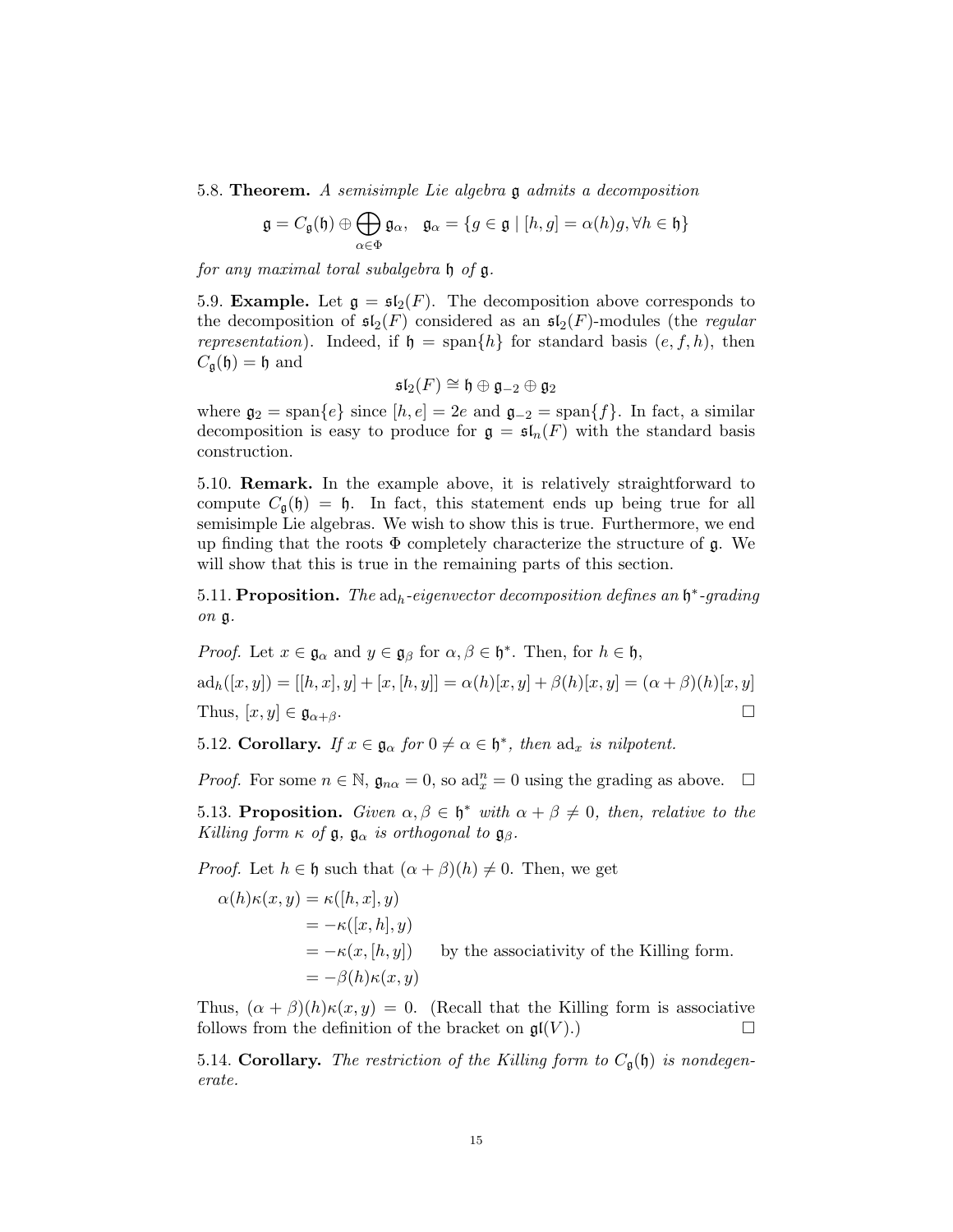5.8. Theorem. A semisimple Lie algebra g admits a decomposition

$$
\mathfrak{g} = C_{\mathfrak{g}}(\mathfrak{h}) \oplus \bigoplus_{\alpha \in \Phi} \mathfrak{g}_{\alpha}, \quad \mathfrak{g}_{\alpha} = \{ g \in \mathfrak{g} \mid [h, g] = \alpha(h)g, \forall h \in \mathfrak{h} \}
$$

for any maximal toral subalgebra h of g.

5.9. **Example.** Let  $\mathfrak{g} = \mathfrak{sl}_2(F)$ . The decomposition above corresponds to the decomposition of  $\mathfrak{sl}_2(F)$  considered as an  $\mathfrak{sl}_2(F)$ -modules (the *regular* representation). Indeed, if  $\mathfrak{h} = \text{span}\{h\}$  for standard basis  $(e, f, h)$ , then  $C_{\mathfrak{a}}(\mathfrak{h}) = \mathfrak{h}$  and

$$
\mathfrak{sl}_2(F) \cong \mathfrak{h} \oplus \mathfrak{g}_{-2} \oplus \mathfrak{g}_2
$$

where  $\mathfrak{g}_2 = \text{span}\{e\}$  since  $[h, e] = 2e$  and  $\mathfrak{g}_{-2} = \text{span}\{f\}$ . In fact, a similar decomposition is easy to produce for  $\mathfrak{g} = \mathfrak{sl}_n(F)$  with the standard basis construction.

5.10. Remark. In the example above, it is relatively straightforward to compute  $C_{\mathfrak{g}}(\mathfrak{h}) = \mathfrak{h}$ . In fact, this statement ends up being true for all semisimple Lie algebras. We wish to show this is true. Furthermore, we end up finding that the roots  $\Phi$  completely characterize the structure of g. We will show that this is true in the remaining parts of this section.

5.11. Proposition. The  $ad_h$ -eigenvector decomposition defines an  $\mathfrak{h}^*$ -grading on g.

*Proof.* Let 
$$
x \in \mathfrak{g}_{\alpha}
$$
 and  $y \in \mathfrak{g}_{\beta}$  for  $\alpha, \beta \in \mathfrak{h}^*$ . Then, for  $h \in \mathfrak{h}$ ,  
\n
$$
ad_h([x, y]) = [[h, x], y] + [x, [h, y]] = \alpha(h)[x, y] + \beta(h)[x, y] = (\alpha + \beta)(h)[x, y]
$$
\nThus,  $[x, y] \in \mathfrak{g}_{\alpha + \beta}$ .

5.12. Corollary. If  $x \in \mathfrak{g}_{\alpha}$  for  $0 \neq \alpha \in \mathfrak{h}^*$ , then  $ad_x$  is nilpotent.

*Proof.* For some  $n \in \mathbb{N}$ ,  $\mathfrak{g}_{n\alpha} = 0$ , so  $\text{ad}_x^n = 0$  using the grading as above.  $\Box$ 

<span id="page-14-0"></span>5.13. Proposition. Given  $\alpha, \beta \in \mathfrak{h}^*$  with  $\alpha + \beta \neq 0$ , then, relative to the Killing form  $\kappa$  of  $\mathfrak{g}$ ,  $\mathfrak{g}_{\alpha}$  is orthogonal to  $\mathfrak{g}_{\beta}$ .

*Proof.* Let  $h \in \mathfrak{h}$  such that  $(\alpha + \beta)(h) \neq 0$ . Then, we get

$$
\alpha(h)\kappa(x,y) = \kappa([h,x],y)
$$
  
=  $-\kappa([x,h],y)$   
=  $-\kappa(x,[h,y])$  by the associativity of the Killing form.  
=  $-\beta(h)\kappa(x,y)$ 

Thus,  $(\alpha + \beta)(h)\kappa(x, y) = 0$ . (Recall that the Killing form is associative follows from the definition of the bracket on  $\mathfrak{gl}(V)$ .

5.14. Corollary. The restriction of the Killing form to  $C_{\mathfrak{q}}(\mathfrak{h})$  is nondegenerate.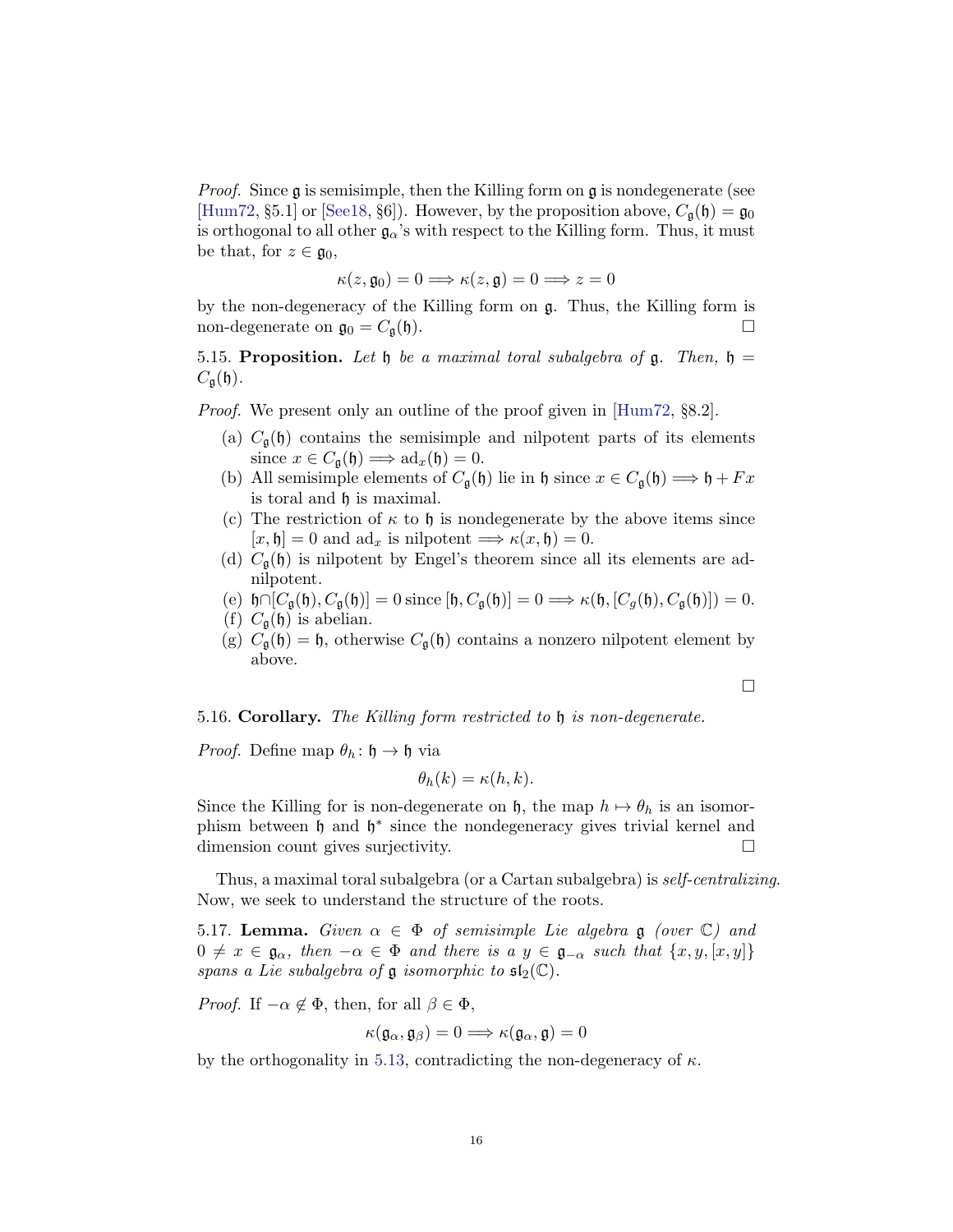*Proof.* Since  $\mathfrak g$  is semisimple, then the Killing form on  $\mathfrak g$  is nondegenerate (see [\[Hum72,](#page-48-0) §5.1] or [\[See18,](#page-48-1) §6]). However, by the proposition above,  $C_{\mathfrak{g}}(\mathfrak{h}) = \mathfrak{g}_0$ is orthogonal to all other  $\mathfrak{g}_{\alpha}$ 's with respect to the Killing form. Thus, it must be that, for  $z \in \mathfrak{g}_0$ ,

$$
\kappa(z, \mathfrak{g}_0) = 0 \Longrightarrow \kappa(z, \mathfrak{g}) = 0 \Longrightarrow z = 0
$$

by the non-degeneracy of the Killing form on g. Thus, the Killing form is non-degenerate on  $\mathfrak{g}_0 = C_{\mathfrak{g}}(\mathfrak{h}).$ 

5.15. Proposition. Let  $\mathfrak h$  be a maximal toral subalgebra of  $\mathfrak g$ . Then,  $\mathfrak h$  =  $C_{\mathfrak{a}}(\mathfrak{h}).$ 

Proof. We present only an outline of the proof given in [\[Hum72,](#page-48-0) §8.2].

- (a)  $C_{\mathfrak{q}}(\mathfrak{h})$  contains the semisimple and nilpotent parts of its elements since  $x \in C_{\mathfrak{g}}(\mathfrak{h}) \Longrightarrow \mathrm{ad}_x(\mathfrak{h}) = 0.$
- (b) All semisimple elements of  $C_{\mathfrak{g}}(\mathfrak{h})$  lie in  $\mathfrak{h}$  since  $x \in C_{\mathfrak{g}}(\mathfrak{h}) \Longrightarrow \mathfrak{h} + Fx$ is toral and h is maximal.
- (c) The restriction of  $\kappa$  to  $\mathfrak h$  is nondegenerate by the above items since  $[x, \mathfrak{h}] = 0$  and  $ad_x$  is nilpotent  $\Longrightarrow \kappa(x, \mathfrak{h}) = 0$ .
- (d)  $C_{\mathfrak{a}}(\mathfrak{h})$  is nilpotent by Engel's theorem since all its elements are adnilpotent.
- (e)  $\mathfrak{h} \cap [C_{\mathfrak{a}}(\mathfrak{h}), C_{\mathfrak{a}}(\mathfrak{h})] = 0$  since  $[\mathfrak{h}, C_{\mathfrak{a}}(\mathfrak{h})] = 0 \Longrightarrow \kappa(\mathfrak{h}, [C_{\mathfrak{a}}(\mathfrak{h}), C_{\mathfrak{a}}(\mathfrak{h})]) = 0.$
- (f)  $C_{\mathfrak{g}}(\mathfrak{h})$  is abelian.
- (g)  $C_{\mathfrak{g}}(\mathfrak{h}) = \mathfrak{h}$ , otherwise  $C_{\mathfrak{g}}(\mathfrak{h})$  contains a nonzero nilpotent element by above.

 $\Box$ 

5.16. Corollary. The Killing form restricted to h is non-degenerate.

*Proof.* Define map  $\theta_h$ :  $\mathfrak{h} \to \mathfrak{h}$  via

$$
\theta_h(k) = \kappa(h,k).
$$

Since the Killing for is non-degenerate on h, the map  $h \mapsto \theta_h$  is an isomorphism between  $\mathfrak h$  and  $\mathfrak h^*$  since the nondegeneracy gives trivial kernel and dimension count gives surjectivity.

Thus, a maximal toral subalgebra (or a Cartan subalgebra) is self-centralizing. Now, we seek to understand the structure of the roots.

5.17. Lemma. Given  $\alpha \in \Phi$  of semisimple Lie algebra g (over  $\mathbb{C}$ ) and  $0 \neq x \in \mathfrak{g}_{\alpha}$ , then  $-\alpha \in \Phi$  and there is a  $y \in \mathfrak{g}_{-\alpha}$  such that  $\{x, y, [x, y]\}$ spans a Lie subalgebra of  $\mathfrak g$  isomorphic to  $\mathfrak{sl}_2(\mathbb{C})$ .

*Proof.* If  $-\alpha \notin \Phi$ , then, for all  $\beta \in \Phi$ ,

$$
\kappa(\mathfrak{g}_\alpha,\mathfrak{g}_\beta)=0\Longrightarrow \kappa(\mathfrak{g}_\alpha,\mathfrak{g})=0
$$

by the orthogonality in [5.13,](#page-14-0) contradicting the non-degeneracy of  $\kappa$ .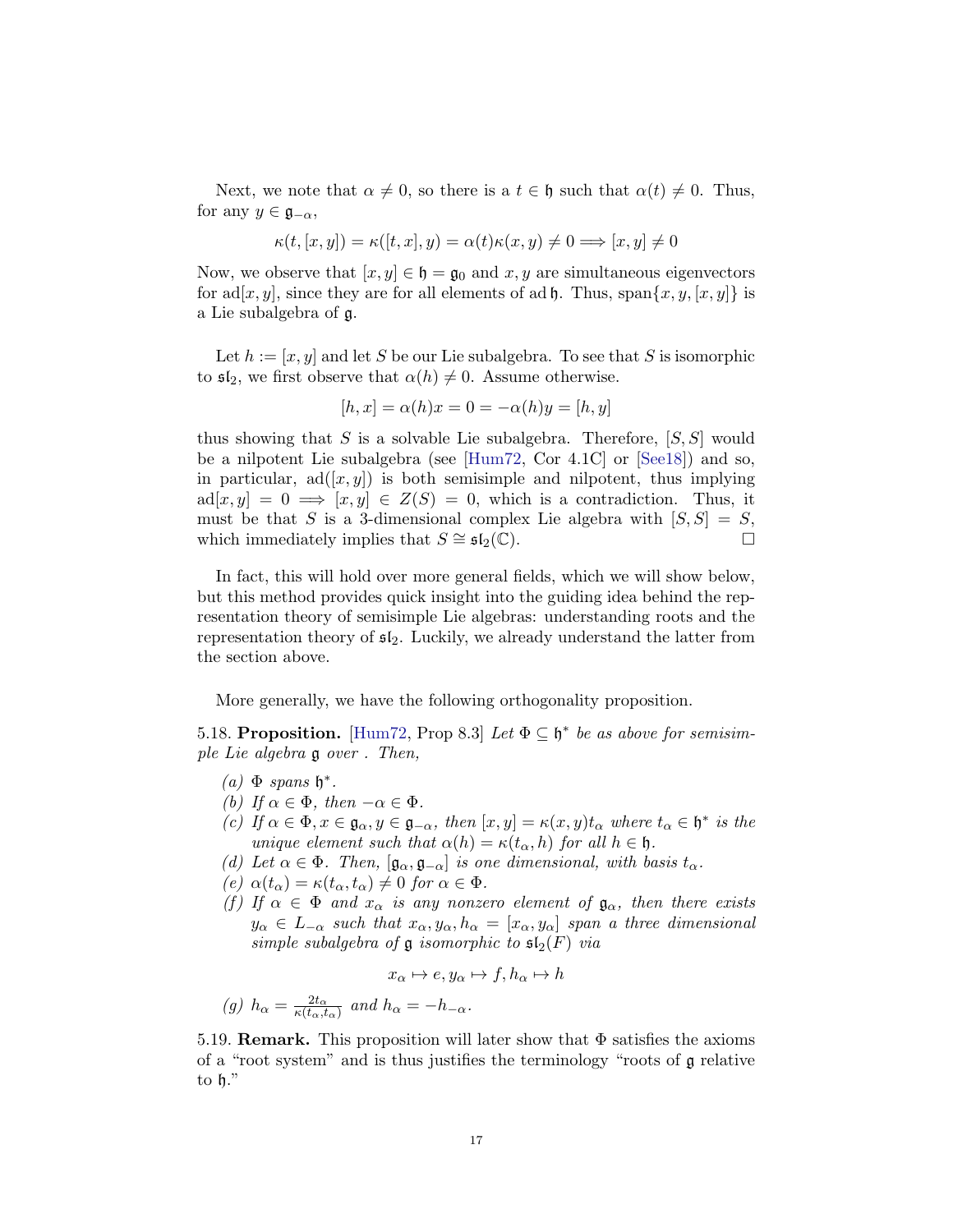Next, we note that  $\alpha \neq 0$ , so there is a  $t \in \mathfrak{h}$  such that  $\alpha(t) \neq 0$ . Thus, for any  $y \in \mathfrak{g}_{-\alpha}$ ,

$$
\kappa(t,[x,y])=\kappa([t,x],y)=\alpha(t)\kappa(x,y)\neq 0\Longrightarrow [x,y]\neq 0
$$

Now, we observe that  $[x, y] \in \mathfrak{h} = \mathfrak{g}_0$  and  $x, y$  are simultaneous eigenvectors for ad[x, y], since they are for all elements of ad  $\mathfrak{h}$ . Thus, span $\{x, y, [x, y]\}$  is a Lie subalgebra of g.

Let  $h := [x, y]$  and let S be our Lie subalgebra. To see that S is isomorphic to  $\mathfrak{sl}_2$ , we first observe that  $\alpha(h) \neq 0$ . Assume otherwise.

$$
[h, x] = \alpha(h)x = 0 = -\alpha(h)y = [h, y]
$$

thus showing that S is a solvable Lie subalgebra. Therefore,  $[S, S]$  would be a nilpotent Lie subalgebra (see [\[Hum72,](#page-48-0) Cor 4.1C] or [\[See18\]](#page-48-1)) and so, in particular,  $ad([x, y])$  is both semisimple and nilpotent, thus implying  $ad[x, y] = 0 \implies [x, y] \in Z(S) = 0$ , which is a contradiction. Thus, it must be that S is a 3-dimensional complex Lie algebra with  $[S, S] = S$ , which immediately implies that  $S \cong \mathfrak{sl}_2(\mathbb{C})$ .

In fact, this will hold over more general fields, which we will show below, but this method provides quick insight into the guiding idea behind the representation theory of semisimple Lie algebras: understanding roots and the representation theory of  $\mathfrak{sl}_2$ . Luckily, we already understand the latter from the section above.

More generally, we have the following orthogonality proposition.

<span id="page-16-0"></span>5.18. Proposition. [\[Hum72,](#page-48-0) Prop 8.3] Let  $\Phi \subseteq \mathfrak{h}^*$  be as above for semisimple Lie algebra g over . Then,

- (a)  $\Phi$  spans  $\mathfrak{h}^*$ .
- (b) If  $\alpha \in \Phi$ , then  $-\alpha \in \Phi$ .
- (c) If  $\alpha \in \Phi$ ,  $x \in \mathfrak{g}_{\alpha}, y \in \mathfrak{g}_{-\alpha}$ , then  $[x, y] = \kappa(x, y)t_{\alpha}$  where  $t_{\alpha} \in \mathfrak{h}^*$  is the unique element such that  $\alpha(h) = \kappa(t_\alpha, h)$  for all  $h \in \mathfrak{h}$ .
- (d) Let  $\alpha \in \Phi$ . Then,  $[\mathfrak{g}_{\alpha}, \mathfrak{g}_{-\alpha}]$  is one dimensional, with basis  $t_{\alpha}$ .
- (e)  $\alpha(t_{\alpha}) = \kappa(t_{\alpha}, t_{\alpha}) \neq 0$  for  $\alpha \in \Phi$ .
- (f) If  $\alpha \in \Phi$  and  $x_{\alpha}$  is any nonzero element of  $\mathfrak{g}_{\alpha}$ , then there exists  $y_{\alpha} \in L_{-\alpha}$  such that  $x_{\alpha}, y_{\alpha}, h_{\alpha} = [x_{\alpha}, y_{\alpha}]$  span a three dimensional simple subalgebra of  $\frak g$  isomorphic to  $\frak {sl}_2(F)$  via

$$
x_{\alpha} \mapsto e, y_{\alpha} \mapsto f, h_{\alpha} \mapsto h
$$

(g) 
$$
h_{\alpha} = \frac{2t_{\alpha}}{\kappa(t_{\alpha},t_{\alpha})}
$$
 and  $h_{\alpha} = -h_{-\alpha}$ .

5.19. **Remark.** This proposition will later show that  $\Phi$  satisfies the axioms of a "root system" and is thus justifies the terminology "roots of g relative to h."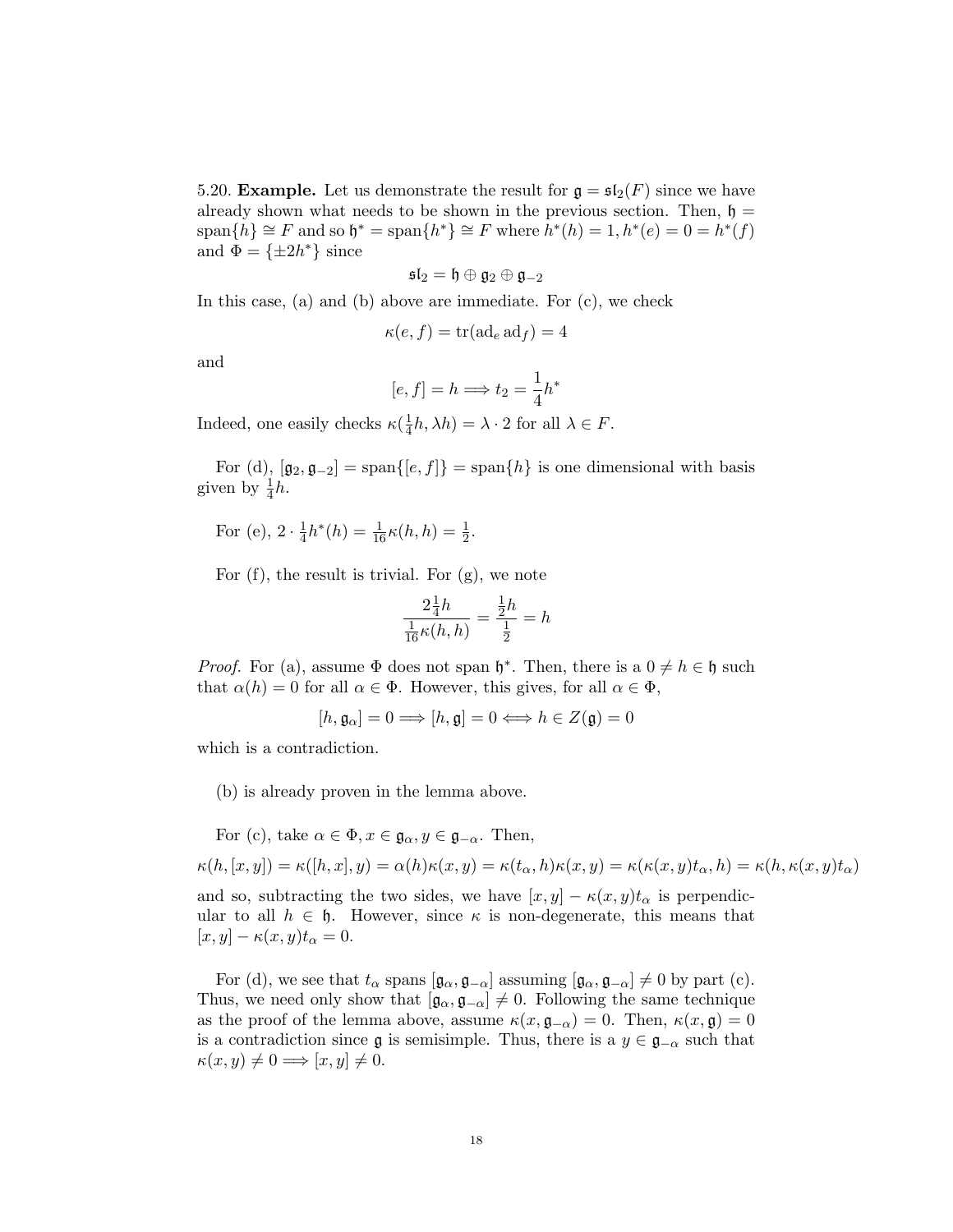5.20. **Example.** Let us demonstrate the result for  $\mathfrak{g} = \mathfrak{sl}_2(F)$  since we have already shown what needs to be shown in the previous section. Then,  $\mathfrak{h} =$  $\text{span}\{\tilde{h}\}\cong F\text{ and so }\mathfrak{h}^*=\text{span}\{h^*\}\cong F\text{ where }\tilde{h}^*(h)=1, h^*(e)=0=h^*(f)$ and  $\Phi = {\pm 2h^*}$  since

$$
\mathfrak{sl}_2=\mathfrak{h}\oplus\mathfrak{g}_2\oplus\mathfrak{g}_{-2}
$$

In this case, (a) and (b) above are immediate. For (c), we check

$$
\kappa(e, f) = \text{tr}(\text{ad}_e \,\text{ad}_f) = 4
$$

and

$$
[e, f] = h \Longrightarrow t_2 = \frac{1}{4}h^*
$$

Indeed, one easily checks  $\kappa(\frac{1}{4})$  $\frac{1}{4}h, \lambda h$  =  $\lambda \cdot 2$  for all  $\lambda \in F$ .

For (d),  $[\mathfrak{g}_2, \mathfrak{g}_{-2}] = \text{span}\{[e, f]\} = \text{span}\{h\}$  is one dimensional with basis given by  $\frac{1}{4}h$ .

For (e), 
$$
2 \cdot \frac{1}{4}h^*(h) = \frac{1}{16}\kappa(h, h) = \frac{1}{2}
$$
.

For (f), the result is trivial. For (g), we note

$$
\frac{2\frac{1}{4}h}{\frac{1}{16}\kappa(h,h)} = \frac{\frac{1}{2}h}{\frac{1}{2}} = h
$$

*Proof.* For (a), assume  $\Phi$  does not span  $\mathfrak{h}^*$ . Then, there is a  $0 \neq h \in \mathfrak{h}$  such that  $\alpha(h) = 0$  for all  $\alpha \in \Phi$ . However, this gives, for all  $\alpha \in \Phi$ ,

$$
[h, \mathfrak{g}_{\alpha}] = 0 \Longrightarrow [h, \mathfrak{g}] = 0 \Longleftrightarrow h \in Z(\mathfrak{g}) = 0
$$

which is a contradiction.

(b) is already proven in the lemma above.

For (c), take  $\alpha \in \Phi$ ,  $x \in \mathfrak{g}_{\alpha}, y \in \mathfrak{g}_{-\alpha}$ . Then,

 $\kappa(h, [x, y]) = \kappa([h, x], y) = \alpha(h)\kappa(x, y) = \kappa(t_\alpha, h)\kappa(x, y) = \kappa(\kappa(x, y)t_\alpha, h) = \kappa(h, \kappa(x, y)t_\alpha)$ and so, subtracting the two sides, we have  $[x, y] - \kappa(x, y)t_\alpha$  is perpendicular to all  $h \in \mathfrak{h}$ . However, since  $\kappa$  is non-degenerate, this means that

 $[x, y] - \kappa(x, y)t_\alpha = 0.$ 

For (d), we see that  $t_{\alpha}$  spans  $[\mathfrak{g}_{\alpha}, \mathfrak{g}_{-\alpha}]$  assuming  $[\mathfrak{g}_{\alpha}, \mathfrak{g}_{-\alpha}] \neq 0$  by part (c). Thus, we need only show that  $[\mathfrak{g}_{\alpha}, \mathfrak{g}_{-\alpha}] \neq 0$ . Following the same technique as the proof of the lemma above, assume  $\kappa(x, \mathfrak{g}_{-\alpha}) = 0$ . Then,  $\kappa(x, \mathfrak{g}) = 0$ is a contradiction since  $\mathfrak g$  is semisimple. Thus, there is a  $y \in \mathfrak g_{-\alpha}$  such that  $\kappa(x, y) \neq 0 \Longrightarrow [x, y] \neq 0.$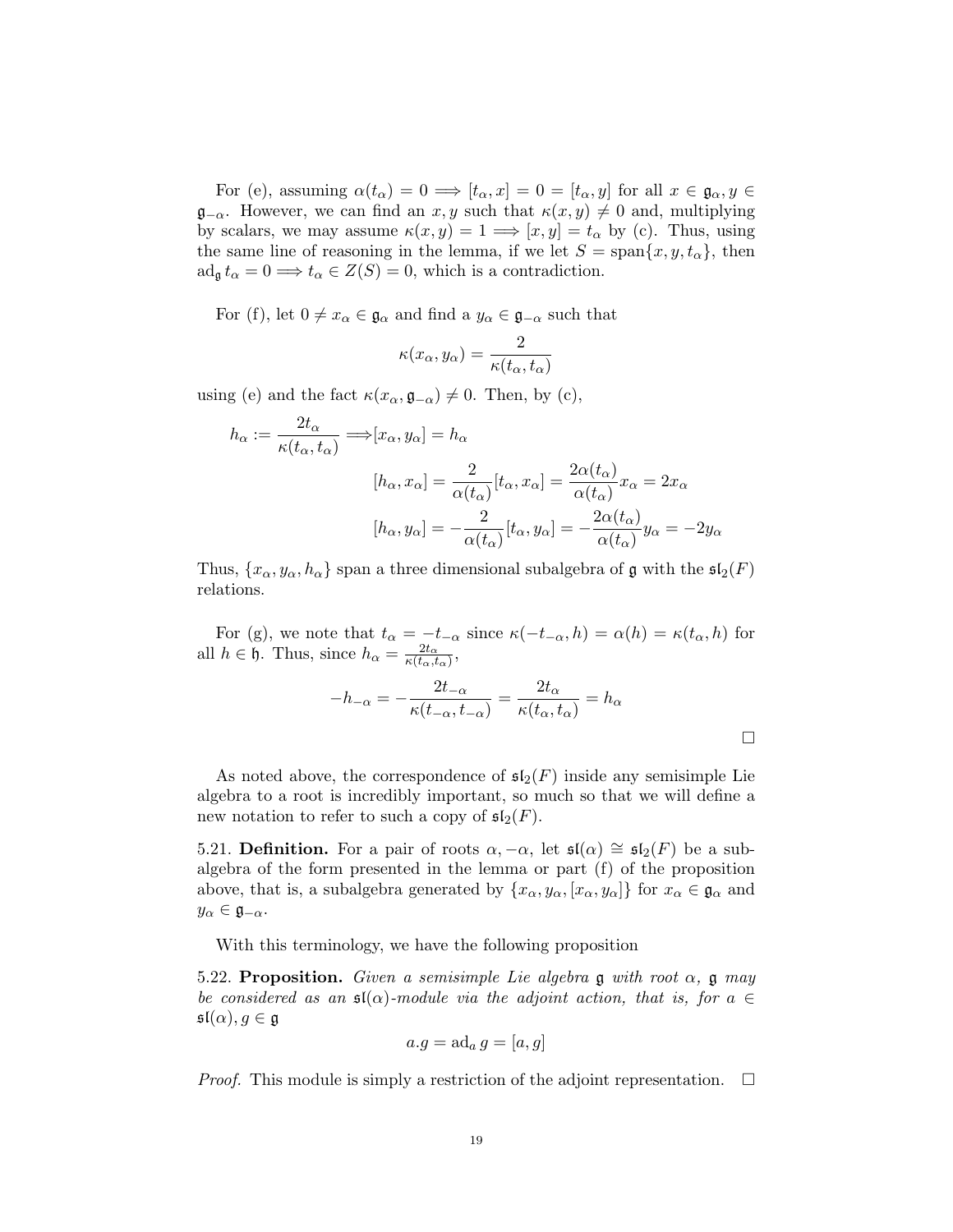For (e), assuming  $\alpha(t_{\alpha}) = 0 \Longrightarrow [t_{\alpha}, x] = 0 = [t_{\alpha}, y]$  for all  $x \in \mathfrak{g}_{\alpha}, y \in$  $\mathfrak{g}_{-\alpha}$ . However, we can find an x, y such that  $\kappa(x, y) \neq 0$  and, multiplying by scalars, we may assume  $\kappa(x, y) = 1 \Longrightarrow [x, y] = t_\alpha$  by (c). Thus, using the same line of reasoning in the lemma, if we let  $S = \text{span}\{x, y, t_\alpha\}$ , then  $\operatorname{ad}_{\mathfrak{g}} t_{\alpha} = 0 \Longrightarrow t_{\alpha} \in Z(S) = 0$ , which is a contradiction.

For (f), let  $0 \neq x_\alpha \in \mathfrak{g}_\alpha$  and find a  $y_\alpha \in \mathfrak{g}_{-\alpha}$  such that

$$
\kappa(x_{\alpha}, y_{\alpha}) = \frac{2}{\kappa(t_{\alpha}, t_{\alpha})}
$$

using (e) and the fact  $\kappa(x_{\alpha}, \mathfrak{g}_{-\alpha}) \neq 0$ . Then, by (c),

$$
h_{\alpha} := \frac{2t_{\alpha}}{\kappa(t_{\alpha}, t_{\alpha})} \Longrightarrow [x_{\alpha}, y_{\alpha}] = h_{\alpha}
$$

$$
[h_{\alpha}, x_{\alpha}] = \frac{2}{\alpha(t_{\alpha})} [t_{\alpha}, x_{\alpha}] = \frac{2\alpha(t_{\alpha})}{\alpha(t_{\alpha})} x_{\alpha} = 2x_{\alpha}
$$

$$
[h_{\alpha}, y_{\alpha}] = -\frac{2}{\alpha(t_{\alpha})} [t_{\alpha}, y_{\alpha}] = -\frac{2\alpha(t_{\alpha})}{\alpha(t_{\alpha})} y_{\alpha} = -2y_{\alpha}
$$

Thus,  $\{x_\alpha, y_\alpha, h_\alpha\}$  span a three dimensional subalgebra of g with the  $\mathfrak{sl}_2(F)$ relations.

For (g), we note that  $t_{\alpha} = -t_{-\alpha}$  since  $\kappa(-t_{-\alpha}, h) = \alpha(h) = \kappa(t_{\alpha}, h)$  for all  $h \in \mathfrak{h}$ . Thus, since  $h_{\alpha} = \frac{2t_{\alpha}}{\kappa(t_{\alpha}, t)}$  $\frac{2t_\alpha}{\kappa(t_\alpha,t_\alpha)},$ 

$$
-h_{-\alpha} = -\frac{2t_{-\alpha}}{\kappa(t_{-\alpha}, t_{-\alpha})} = \frac{2t_{\alpha}}{\kappa(t_{\alpha}, t_{\alpha})} = h_{\alpha}
$$

As noted above, the correspondence of  $\mathfrak{sl}_2(F)$  inside any semisimple Lie algebra to a root is incredibly important, so much so that we will define a new notation to refer to such a copy of  $\mathfrak{sl}_2(F)$ .

5.21. Definition. For a pair of roots  $\alpha, -\alpha$ , let  $\mathfrak{sl}(\alpha) \cong \mathfrak{sl}_2(F)$  be a subalgebra of the form presented in the lemma or part (f) of the proposition above, that is, a subalgebra generated by  $\{x_\alpha, y_\alpha, [x_\alpha, y_\alpha]\}\$ for  $x_\alpha \in \mathfrak{g}_\alpha$  and  $y_{\alpha} \in \mathfrak{g}_{-\alpha}.$ 

With this terminology, we have the following proposition

5.22. Proposition. Given a semisimple Lie algebra g with root  $\alpha$ , g may be considered as an  $\mathfrak{sl}(\alpha)$ -module via the adjoint action, that is, for  $a \in$  $\mathfrak{sl}(\alpha), g \in \mathfrak{g}$ 

$$
a.g = \mathrm{ad}_a \, g = [a, g]
$$

*Proof.* This module is simply a restriction of the adjoint representation.  $\Box$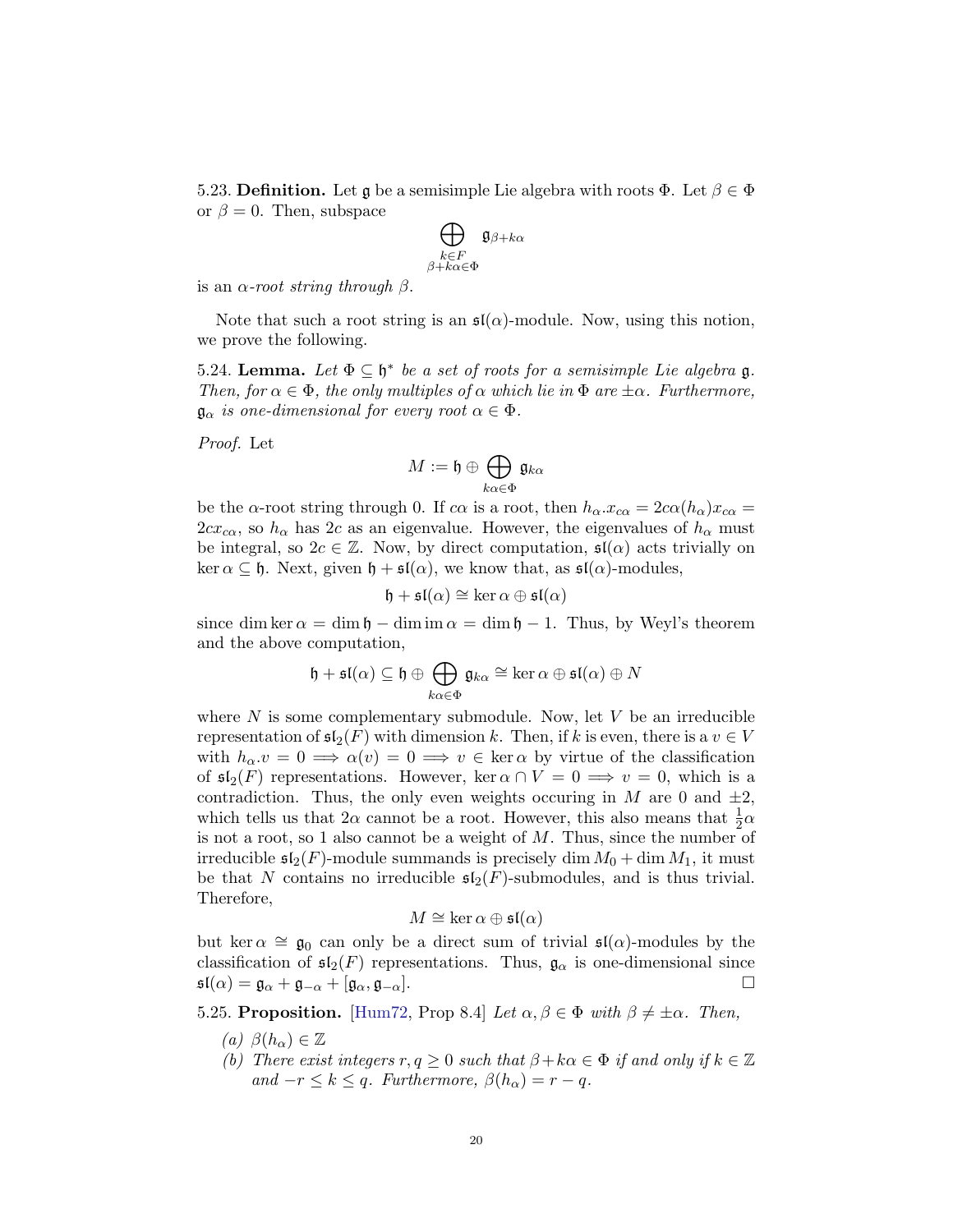5.23. Definition. Let g be a semisimple Lie algebra with roots  $\Phi$ . Let  $\beta \in \Phi$ or  $\beta = 0$ . Then, subspace

$$
\bigoplus_{\substack{k \in F \\ \beta + k\alpha \in \Phi}} \mathfrak{g}_{\beta + k\alpha}
$$

is an  $\alpha$ -root string through  $\beta$ .

Note that such a root string is an  $\mathfrak{sl}(\alpha)$ -module. Now, using this notion, we prove the following.

<span id="page-19-0"></span>5.24. Lemma. Let  $\Phi \subseteq \mathfrak{h}^*$  be a set of roots for a semisimple Lie algebra  $\mathfrak{g}$ . Then, for  $\alpha \in \Phi$ , the only multiples of  $\alpha$  which lie in  $\Phi$  are  $\pm \alpha$ . Furthermore,  $\mathfrak{g}_{\alpha}$  is one-dimensional for every root  $\alpha \in \Phi$ .

Proof. Let

$$
M:=\mathfrak{h}\oplus\bigoplus_{k\alpha\in\Phi}\mathfrak{g}_{k\alpha}
$$

be the  $\alpha$ -root string through 0. If  $c\alpha$  is a root, then  $h_{\alpha} \cdot x_{c\alpha} = 2c\alpha(h_{\alpha})x_{c\alpha} =$  $2cx_{c\alpha}$ , so  $h_{\alpha}$  has 2c as an eigenvalue. However, the eigenvalues of  $h_{\alpha}$  must be integral, so  $2c \in \mathbb{Z}$ . Now, by direct computation,  $\mathfrak{sl}(\alpha)$  acts trivially on ker  $\alpha \subseteq \mathfrak{h}$ . Next, given  $\mathfrak{h} + \mathfrak{sl}(\alpha)$ , we know that, as  $\mathfrak{sl}(\alpha)$ -modules,

$$
\mathfrak{h} + \mathfrak{sl}(\alpha) \cong \ker \alpha \oplus \mathfrak{sl}(\alpha)
$$

since dim ker  $\alpha = \dim \mathfrak{h} - \dim \mathfrak{m} \alpha = \dim \mathfrak{h} - 1$ . Thus, by Weyl's theorem and the above computation,

$$
\mathfrak{h} + \mathfrak{sl}(\alpha) \subseteq \mathfrak{h} \oplus \bigoplus_{k\alpha \in \Phi} \mathfrak{g}_{k\alpha} \cong \ker \alpha \oplus \mathfrak{sl}(\alpha) \oplus N
$$

where  $N$  is some complementary submodule. Now, let  $V$  be an irreducible representation of  $\mathfrak{sl}_2(F)$  with dimension k. Then, if k is even, there is a  $v \in V$ with  $h_{\alpha}v = 0 \implies \alpha(v) = 0 \implies v \in \text{ker }\alpha$  by virtue of the classification of  $\mathfrak{sl}_2(F)$  representations. However, ker  $\alpha \cap V = 0 \implies v = 0$ , which is a contradiction. Thus, the only even weights occuring in M are 0 and  $\pm 2$ , which tells us that  $2\alpha$  cannot be a root. However, this also means that  $\frac{1}{2}\alpha$ is not a root, so 1 also cannot be a weight of  $M$ . Thus, since the number of irreducible  $\mathfrak{sl}_2(F)$ -module summands is precisely dim  $M_0 + \dim M_1$ , it must be that N contains no irreducible  $\mathfrak{sl}_2(F)$ -submodules, and is thus trivial. Therefore,

$$
M \cong \ker \alpha \oplus \mathfrak{sl}(\alpha)
$$

but ker  $\alpha \cong \mathfrak{g}_0$  can only be a direct sum of trivial  $\mathfrak{sl}(\alpha)$ -modules by the classification of  $\mathfrak{sl}_2(F)$  representations. Thus,  $\mathfrak{g}_{\alpha}$  is one-dimensional since  $\mathfrak{sl}(\alpha) = \mathfrak{g}_{\alpha} + \mathfrak{g}_{-\alpha} + [\mathfrak{g}_{\alpha}, \mathfrak{g}_{-\alpha}].$ 

<span id="page-19-1"></span>5.25. Proposition. [\[Hum72,](#page-48-0) Prop 8.4] Let  $\alpha, \beta \in \Phi$  with  $\beta \neq \pm \alpha$ . Then,

- (a)  $\beta(h_{\alpha}) \in \mathbb{Z}$
- (b) There exist integers  $r, q \geq 0$  such that  $\beta + k\alpha \in \Phi$  if and only if  $k \in \mathbb{Z}$ and  $-r \leq k \leq q$ . Furthermore,  $\beta(h_{\alpha}) = r - q$ .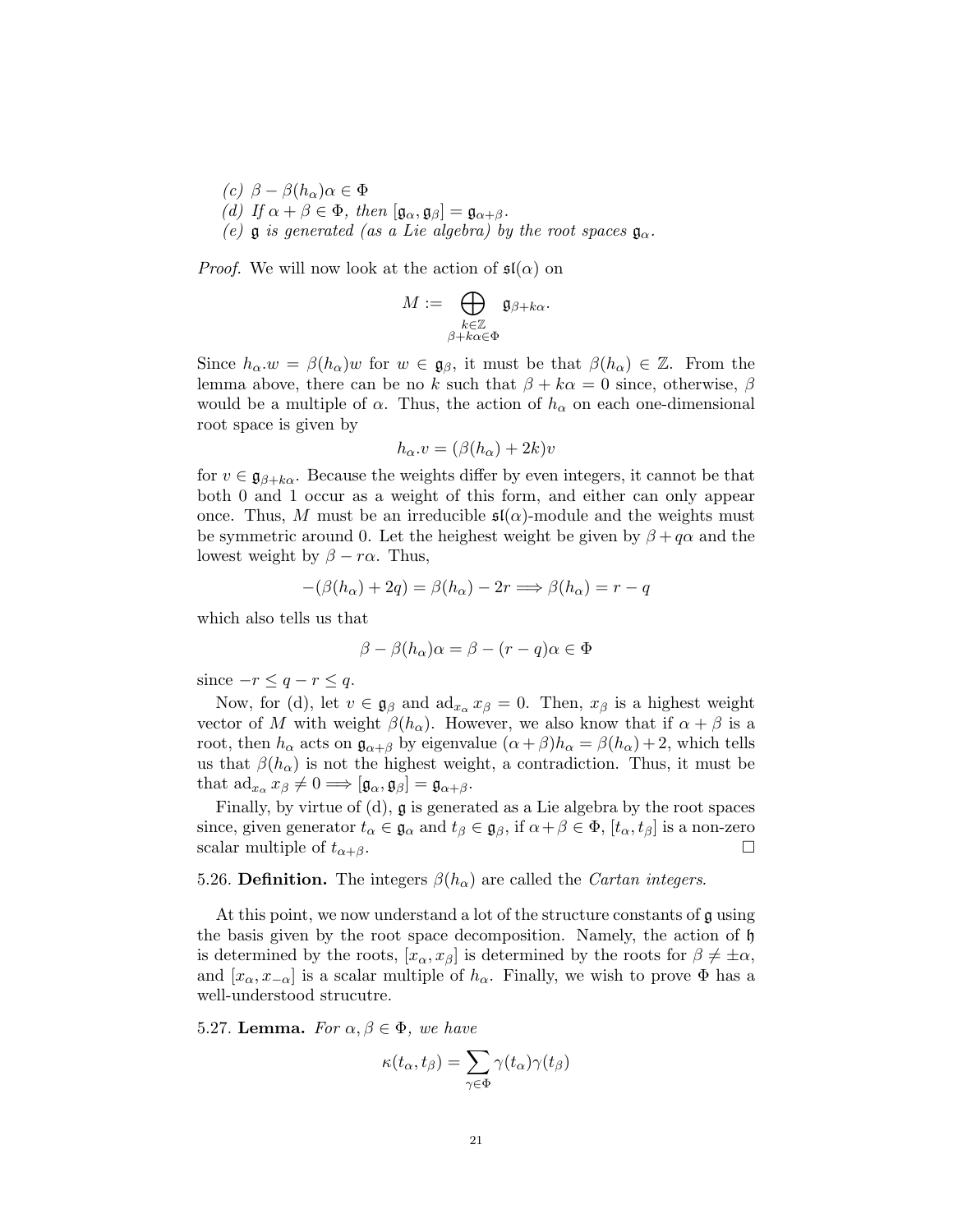(c)  $\beta - \beta(h_\alpha)\alpha \in \Phi$ (d) If  $\alpha + \beta \in \Phi$ , then  $[\mathfrak{g}_{\alpha}, \mathfrak{g}_{\beta}] = \mathfrak{g}_{\alpha+\beta}$ . (e)  $\mathfrak g$  is generated (as a Lie algebra) by the root spaces  $\mathfrak g_\alpha$ .

*Proof.* We will now look at the action of  $\mathfrak{sl}(\alpha)$  on

$$
M:=\bigoplus_{\substack{k\in\mathbb{Z}\\ \beta+k\alpha\in\Phi}}\mathfrak{g}_{\beta+k\alpha}.
$$

Since  $h_{\alpha}.w = \beta(h_{\alpha})w$  for  $w \in \mathfrak{g}_{\beta}$ , it must be that  $\beta(h_{\alpha}) \in \mathbb{Z}$ . From the lemma above, there can be no k such that  $\beta + k\alpha = 0$  since, otherwise,  $\beta$ would be a multiple of  $\alpha$ . Thus, the action of  $h_{\alpha}$  on each one-dimensional root space is given by

$$
h_{\alpha} \cdot v = (\beta(h_{\alpha}) + 2k)v
$$

for  $v \in \mathfrak{g}_{\beta+k\alpha}$ . Because the weights differ by even integers, it cannot be that both 0 and 1 occur as a weight of this form, and either can only appear once. Thus, M must be an irreducible  $\mathfrak{sl}(\alpha)$ -module and the weights must be symmetric around 0. Let the heighest weight be given by  $\beta + q\alpha$  and the lowest weight by  $\beta - r\alpha$ . Thus,

$$
-(\beta(h_{\alpha}) + 2q) = \beta(h_{\alpha}) - 2r \Longrightarrow \beta(h_{\alpha}) = r - q
$$

which also tells us that

$$
\beta - \beta(h_{\alpha})\alpha = \beta - (r - q)\alpha \in \Phi
$$

since  $-r \leq q - r \leq q$ .

Now, for (d), let  $v \in \mathfrak{g}_{\beta}$  and  $\text{ad}_{x_{\alpha}} x_{\beta} = 0$ . Then,  $x_{\beta}$  is a highest weight vector of M with weight  $\beta(h_\alpha)$ . However, we also know that if  $\alpha + \beta$  is a root, then  $h_{\alpha}$  acts on  $\mathfrak{g}_{\alpha+\beta}$  by eigenvalue  $(\alpha+\beta)h_{\alpha} = \beta(h_{\alpha})+2$ , which tells us that  $\beta(h_{\alpha})$  is not the highest weight, a contradiction. Thus, it must be that  $\operatorname{ad}_{x_\alpha} x_\beta \neq 0 \Longrightarrow [\mathfrak{g}_\alpha, \mathfrak{g}_\beta] = \mathfrak{g}_{\alpha+\beta}.$ 

Finally, by virtue of (d), g is generated as a Lie algebra by the root spaces since, given generator  $t_{\alpha} \in \mathfrak{g}_{\alpha}$  and  $t_{\beta} \in \mathfrak{g}_{\beta}$ , if  $\alpha + \beta \in \Phi$ ,  $[t_{\alpha}, t_{\beta}]$  is a non-zero scalar multiple of  $t_{\alpha+\beta}$ .

## 5.26. Definition. The integers  $\beta(h_{\alpha})$  are called the *Cartan integers*.

At this point, we now understand a lot of the structure constants of g using the basis given by the root space decomposition. Namely, the action of h is determined by the roots,  $[x_{\alpha}, x_{\beta}]$  is determined by the roots for  $\beta \neq \pm \alpha$ , and  $[x_{\alpha}, x_{-\alpha}]$  is a scalar multiple of  $h_{\alpha}$ . Finally, we wish to prove  $\Phi$  has a well-understood strucutre.

<span id="page-20-0"></span>5.27. Lemma. For  $\alpha, \beta \in \Phi$ , we have

$$
\kappa(t_{\alpha}, t_{\beta}) = \sum_{\gamma \in \Phi} \gamma(t_{\alpha}) \gamma(t_{\beta})
$$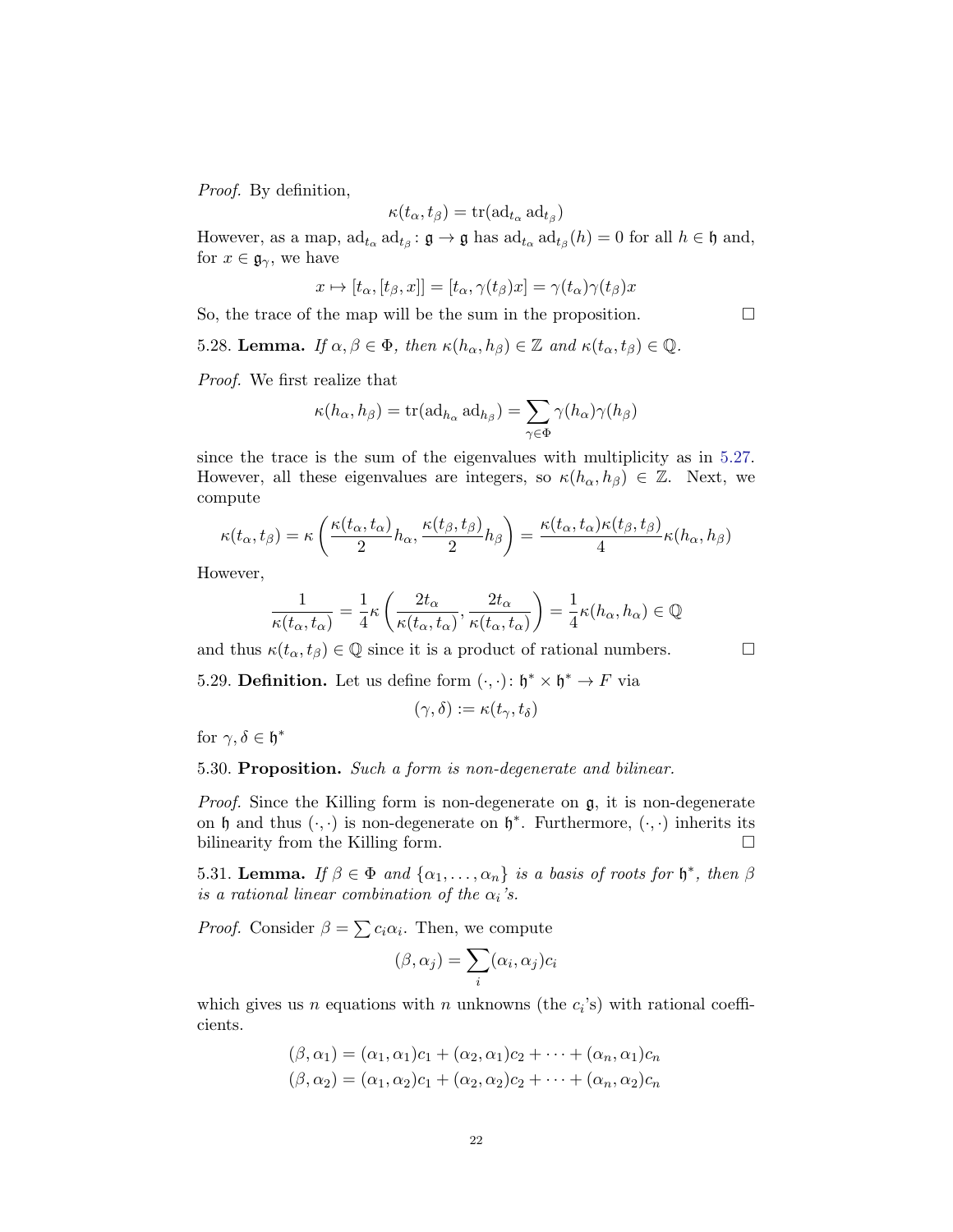Proof. By definition,

$$
\kappa(t_{\alpha}, t_{\beta}) = \text{tr}(\text{ad}_{t_{\alpha}} \text{ad}_{t_{\beta}})
$$

However, as a map,  $\text{ad}_{t_{\alpha}} \text{ad}_{t_{\beta}}: \mathfrak{g} \to \mathfrak{g}$  has  $\text{ad}_{t_{\alpha}} \text{ad}_{t_{\beta}}(h) = 0$  for all  $h \in \mathfrak{h}$  and, for  $x \in \mathfrak{g}_{\gamma}$ , we have

$$
x \mapsto [t_{\alpha}, [t_{\beta}, x]] = [t_{\alpha}, \gamma(t_{\beta})x] = \gamma(t_{\alpha})\gamma(t_{\beta})x
$$

So, the trace of the map will be the sum in the proposition.  $\Box$ 

<span id="page-21-0"></span>5.28. Lemma. If  $\alpha, \beta \in \Phi$ , then  $\kappa(h_\alpha, h_\beta) \in \mathbb{Z}$  and  $\kappa(t_\alpha, t_\beta) \in \mathbb{Q}$ .

Proof. We first realize that

$$
\kappa(h_{\alpha}, h_{\beta}) = \text{tr}(\text{ad}_{h_{\alpha}} \text{ ad}_{h_{\beta}}) = \sum_{\gamma \in \Phi} \gamma(h_{\alpha}) \gamma(h_{\beta})
$$

since the trace is the sum of the eigenvalues with multiplicity as in [5.27.](#page-20-0) However, all these eigenvalues are integers, so  $\kappa(h_\alpha, h_\beta) \in \mathbb{Z}$ . Next, we compute

$$
\kappa(t_{\alpha}, t_{\beta}) = \kappa \left( \frac{\kappa(t_{\alpha}, t_{\alpha})}{2} h_{\alpha}, \frac{\kappa(t_{\beta}, t_{\beta})}{2} h_{\beta} \right) = \frac{\kappa(t_{\alpha}, t_{\alpha}) \kappa(t_{\beta}, t_{\beta})}{4} \kappa(h_{\alpha}, h_{\beta})
$$

However,

$$
\frac{1}{\kappa(t_{\alpha}, t_{\alpha})} = \frac{1}{4}\kappa\left(\frac{2t_{\alpha}}{\kappa(t_{\alpha}, t_{\alpha})}, \frac{2t_{\alpha}}{\kappa(t_{\alpha}, t_{\alpha})}\right) = \frac{1}{4}\kappa(h_{\alpha}, h_{\alpha}) \in \mathbb{Q}
$$

and thus  $\kappa(t_{\alpha}, t_{\beta}) \in \mathbb{Q}$  since it is a product of rational numbers.  $\Box$ 

5.29. **Definition.** Let us define form  $(\cdot, \cdot)$ :  $\mathfrak{h}^* \times \mathfrak{h}^* \to F$  via

$$
(\gamma,\delta) := \kappa(t_\gamma,t_\delta)
$$

for  $\gamma, \delta \in \mathfrak{h}^*$ 

### 5.30. Proposition. Such a form is non-degenerate and bilinear.

Proof. Since the Killing form is non-degenerate on g, it is non-degenerate on  $\mathfrak h$  and thus  $(\cdot, \cdot)$  is non-degenerate on  $\mathfrak h^*$ . Furthermore,  $(\cdot, \cdot)$  inherits its bilinearity from the Killing form.

5.31. Lemma. If  $\beta \in \Phi$  and  $\{\alpha_1, \dots, \alpha_n\}$  is a basis of roots for  $\mathfrak{h}^*$ , then  $\beta$ is a rational linear combination of the  $\alpha_i$ 's.

*Proof.* Consider  $\beta = \sum_{i} c_i \alpha_i$ . Then, we compute

$$
(\beta, \alpha_j) = \sum_i (\alpha_i, \alpha_j) c_i
$$

which gives us n equations with n unknowns (the  $c_i$ 's) with rational coefficients.

$$
(\beta, \alpha_1) = (\alpha_1, \alpha_1)c_1 + (\alpha_2, \alpha_1)c_2 + \cdots + (\alpha_n, \alpha_1)c_n
$$
  

$$
(\beta, \alpha_2) = (\alpha_1, \alpha_2)c_1 + (\alpha_2, \alpha_2)c_2 + \cdots + (\alpha_n, \alpha_2)c_n
$$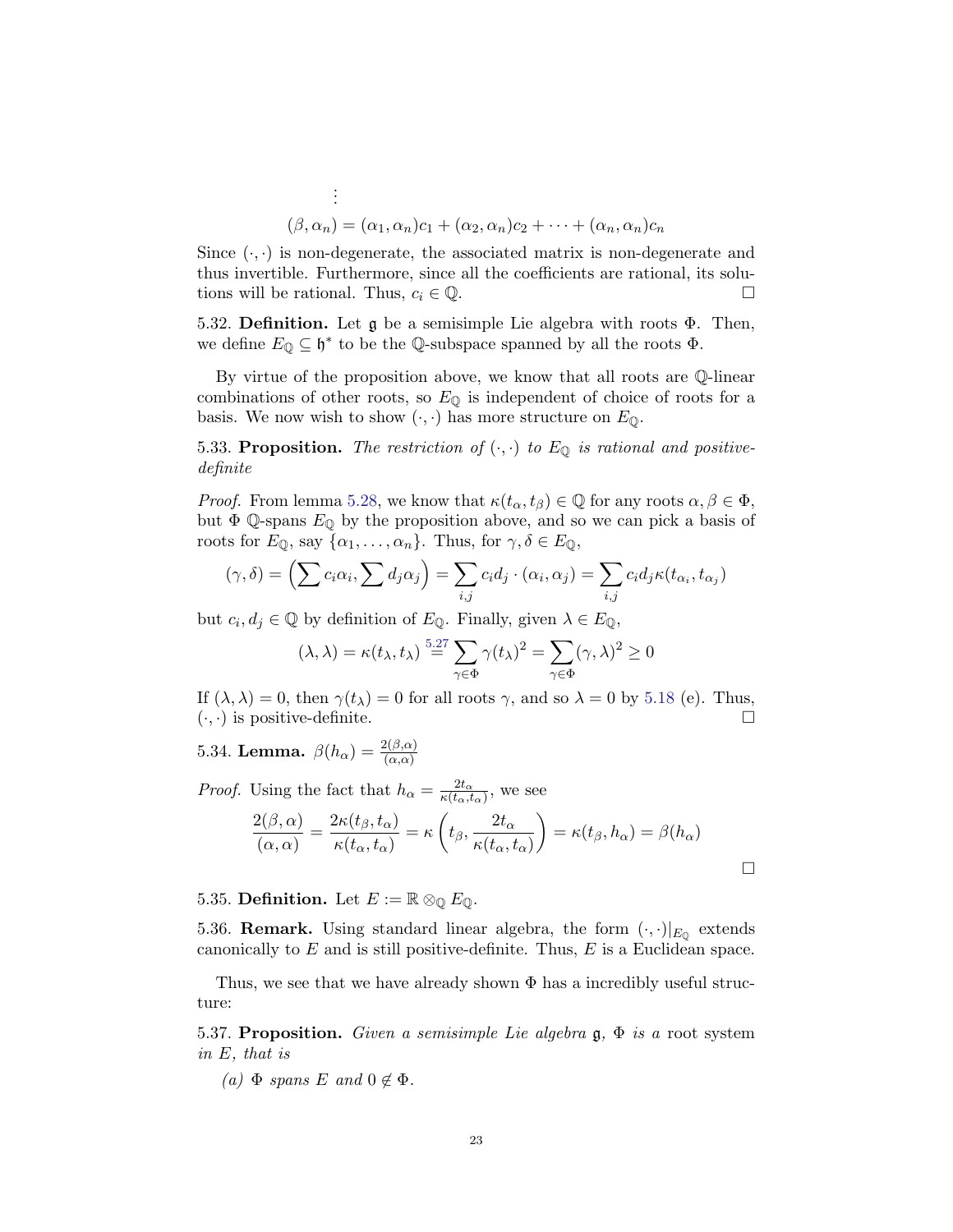$$
\vdots
$$
  

$$
(\beta, \alpha_n) = (\alpha_1, \alpha_n)c_1 + (\alpha_2, \alpha_n)c_2 + \cdots + (\alpha_n, \alpha_n)c_n
$$

Since  $(\cdot, \cdot)$  is non-degenerate, the associated matrix is non-degenerate and thus invertible. Furthermore, since all the coefficients are rational, its solutions will be rational. Thus,  $c_i \in \mathbb{Q}$ .

5.32. **Definition.** Let  $\mathfrak{g}$  be a semisimple Lie algebra with roots  $\Phi$ . Then, we define  $E_0 \subseteq \mathfrak{h}^*$  to be the Q-subspace spanned by all the roots  $\Phi$ .

By virtue of the proposition above, we know that all roots are Q-linear combinations of other roots, so  $E_{\mathbb{Q}}$  is independent of choice of roots for a basis. We now wish to show  $(\cdot, \cdot)$  has more structure on  $E_{\mathbb{Q}}$ .

5.33. Proposition. The restriction of  $(\cdot, \cdot)$  to  $E_{\mathbb{Q}}$  is rational and positivedefinite

*Proof.* From lemma [5.28,](#page-21-0) we know that  $\kappa(t_\alpha, t_\beta) \in \mathbb{Q}$  for any roots  $\alpha, \beta \in \Phi$ , but  $\Phi$  Q-spans  $E_{\mathbb{Q}}$  by the proposition above, and so we can pick a basis of roots for  $E_{\mathbb{Q}}$ , say  $\{\alpha_1, \ldots, \alpha_n\}$ . Thus, for  $\gamma, \delta \in E_{\mathbb{Q}}$ ,

$$
(\gamma, \delta) = \left(\sum c_i \alpha_i, \sum d_j \alpha_j\right) = \sum_{i,j} c_i d_j \cdot (\alpha_i, \alpha_j) = \sum_{i,j} c_i d_j \kappa(t_{\alpha_i}, t_{\alpha_j})
$$

but  $c_i, d_j \in \mathbb{Q}$  by definition of  $E_{\mathbb{Q}}$ . Finally, given  $\lambda \in E_{\mathbb{Q}}$ ,

$$
(\lambda, \lambda) = \kappa(t_{\lambda}, t_{\lambda}) \stackrel{5.27}{=} \sum_{\gamma \in \Phi} \gamma(t_{\lambda})^2 = \sum_{\gamma \in \Phi} (\gamma, \lambda)^2 \ge 0
$$

If  $(\lambda, \lambda) = 0$ , then  $\gamma(t_\lambda) = 0$  for all roots  $\gamma$ , and so  $\lambda = 0$  by [5.18](#page-16-0) (e). Thus,  $(\cdot, \cdot)$  is positive-definite.

<span id="page-22-0"></span>5.34. Lemma.  $\beta(h_{\alpha}) = \frac{2(\beta,\alpha)}{(\alpha,\alpha)}$ 

*Proof.* Using the fact that  $h_{\alpha} = \frac{2t_{\alpha}}{\kappa(t_{\alpha} t)}$  $\frac{2t_{\alpha}}{\kappa(t_{\alpha},t_{\alpha})}$ , we see

$$
\frac{2(\beta,\alpha)}{(\alpha,\alpha)} = \frac{2\kappa(t_\beta,t_\alpha)}{\kappa(t_\alpha,t_\alpha)} = \kappa\left(t_\beta,\frac{2t_\alpha}{\kappa(t_\alpha,t_\alpha)}\right) = \kappa(t_\beta,h_\alpha) = \beta(h_\alpha)
$$

5.35. Definition. Let  $E := \mathbb{R} \otimes_{\mathbb{Q}} E_{\mathbb{Q}}$ .

5.36. **Remark.** Using standard linear algebra, the form  $(\cdot, \cdot)|_{E_0}$  extends canonically to  $E$  and is still positive-definite. Thus,  $E$  is a Euclidean space.

Thus, we see that we have already shown  $\Phi$  has a incredibly useful structure:

<span id="page-22-1"></span>5.37. Proposition. Given a semisimple Lie algebra  $\mathfrak{g}, \Phi$  is a root system in E, that is

(a)  $\Phi$  spans E and  $0 \notin \Phi$ .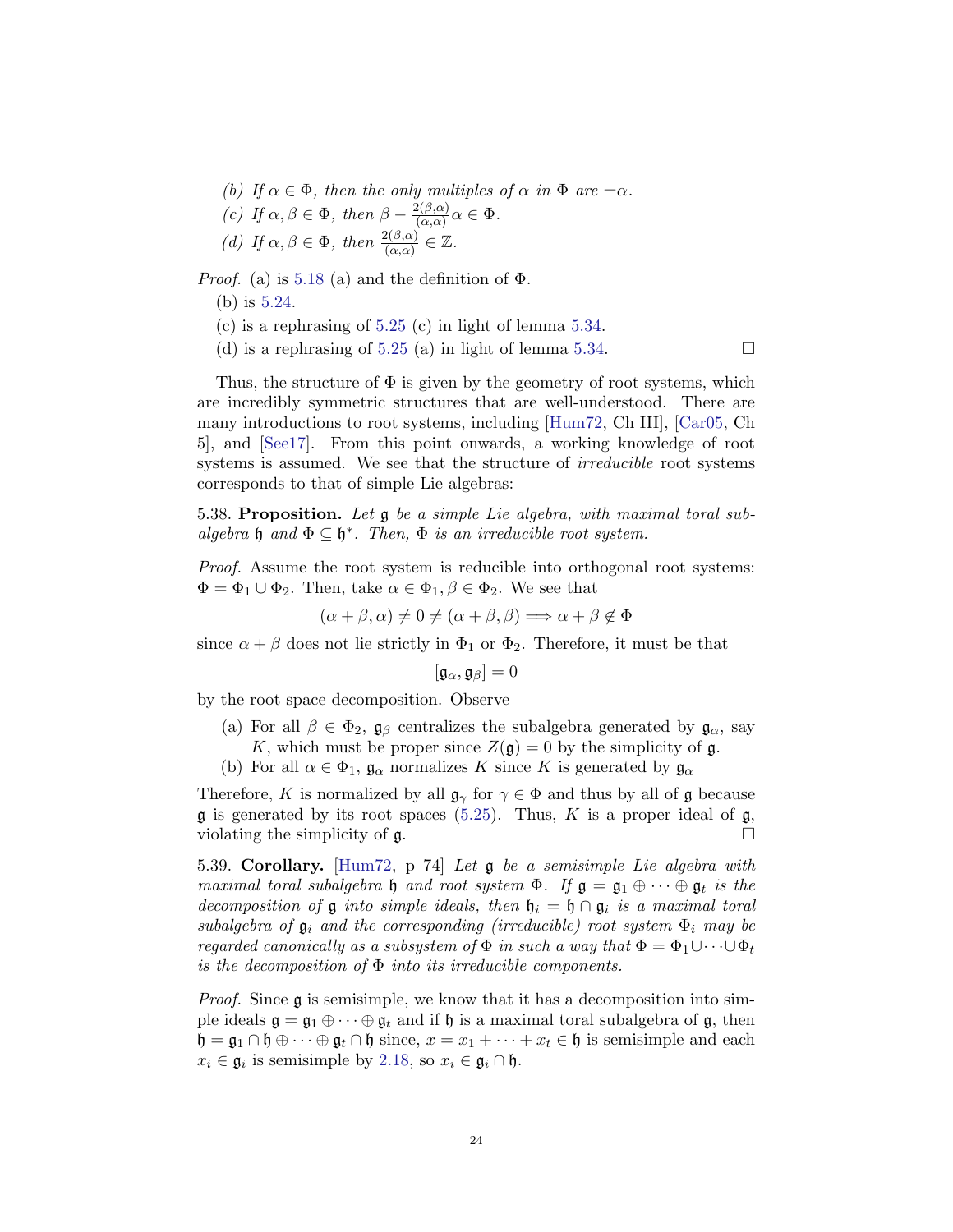- (b) If  $\alpha \in \Phi$ , then the only multiples of  $\alpha$  in  $\Phi$  are  $\pm \alpha$ .
- (c) If  $\alpha, \beta \in \Phi$ , then  $\beta \frac{2(\beta,\alpha)}{(\alpha,\alpha)}$  $\frac{\alpha(\beta,\alpha)}{(\alpha,\alpha)}\alpha \in \Phi.$ (d) If  $\alpha, \beta \in \Phi$ , then  $\frac{2(\beta,\alpha)}{(\alpha,\alpha)} \in \mathbb{Z}$ .

*Proof.* (a) is [5.18](#page-16-0) (a) and the definition of  $\Phi$ .

- (b) is [5.24.](#page-19-0)
- (c) is a rephrasing of [5.25](#page-19-1) (c) in light of lemma [5.34.](#page-22-0)
- (d) is a rephrasing of [5.25](#page-19-1) (a) in light of lemma [5.34.](#page-22-0)

Thus, the structure of  $\Phi$  is given by the geometry of root systems, which are incredibly symmetric structures that are well-understood. There are many introductions to root systems, including [\[Hum72,](#page-48-0) Ch III], [\[Car05,](#page-48-3) Ch 5], and [\[See17\]](#page-48-4). From this point onwards, a working knowledge of root systems is assumed. We see that the structure of *irreducible* root systems corresponds to that of simple Lie algebras:

5.38. Proposition. Let g be a simple Lie algebra, with maximal toral subalgebra  $\mathfrak h$  and  $\Phi \subseteq \mathfrak h^*$ . Then,  $\Phi$  is an irreducible root system.

Proof. Assume the root system is reducible into orthogonal root systems:  $\Phi = \Phi_1 \cup \Phi_2$ . Then, take  $\alpha \in \Phi_1, \beta \in \Phi_2$ . We see that

$$
(\alpha + \beta, \alpha) \neq 0 \neq (\alpha + \beta, \beta) \Longrightarrow \alpha + \beta \notin \Phi
$$

since  $\alpha + \beta$  does not lie strictly in  $\Phi_1$  or  $\Phi_2$ . Therefore, it must be that

$$
[\mathfrak{g}_\alpha,\mathfrak{g}_\beta]=0
$$

by the root space decomposition. Observe

- (a) For all  $\beta \in \Phi_2$ ,  $\mathfrak{g}_{\beta}$  centralizes the subalgebra generated by  $\mathfrak{g}_{\alpha}$ , say K, which must be proper since  $Z(\mathfrak{g}) = 0$  by the simplicity of  $\mathfrak{g}$ .
- (b) For all  $\alpha \in \Phi_1$ ,  $\mathfrak{g}_{\alpha}$  normalizes K since K is generated by  $\mathfrak{g}_{\alpha}$

Therefore, K is normalized by all  $\mathfrak{g}_{\gamma}$  for  $\gamma \in \Phi$  and thus by all of g because  $\mathfrak g$  is generated by its root spaces [\(5.25\)](#page-19-1). Thus, K is a proper ideal of  $\mathfrak g$ , violating the simplicity of  $\mathfrak{g}$ .

5.39. Corollary. [\[Hum72,](#page-48-0) p 74] Let g be a semisimple Lie algebra with maximal toral subalgebra h and root system  $\Phi$ . If  $\mathfrak{g} = \mathfrak{g}_1 \oplus \cdots \oplus \mathfrak{g}_t$  is the decomposition of  $\mathfrak g$  into simple ideals, then  $\mathfrak h_i = \mathfrak h \cap \mathfrak g_i$  is a maximal toral subalgebra of  $\mathfrak{g}_i$  and the corresponding (irreducible) root system  $\Phi_i$  may be regarded canonically as a subsystem of  $\Phi$  in such a way that  $\Phi = \Phi_1 \cup \cdots \cup \Phi_t$ is the decomposition of  $\Phi$  into its irreducible components.

Proof. Since g is semisimple, we know that it has a decomposition into simple ideals  $\mathfrak{g} = \mathfrak{g}_1 \oplus \cdots \oplus \mathfrak{g}_t$  and if  $\mathfrak{h}$  is a maximal toral subalgebra of  $\mathfrak{g}$ , then  $\mathfrak{h} = \mathfrak{g}_1 \cap \mathfrak{h} \oplus \cdots \oplus \mathfrak{g}_t \cap \mathfrak{h}$  since,  $x = x_1 + \cdots + x_t \in \mathfrak{h}$  is semisimple and each  $x_i \in \mathfrak{g}_i$  is semisimple by [2.18,](#page-5-0) so  $x_i \in \mathfrak{g}_i \cap \mathfrak{h}$ .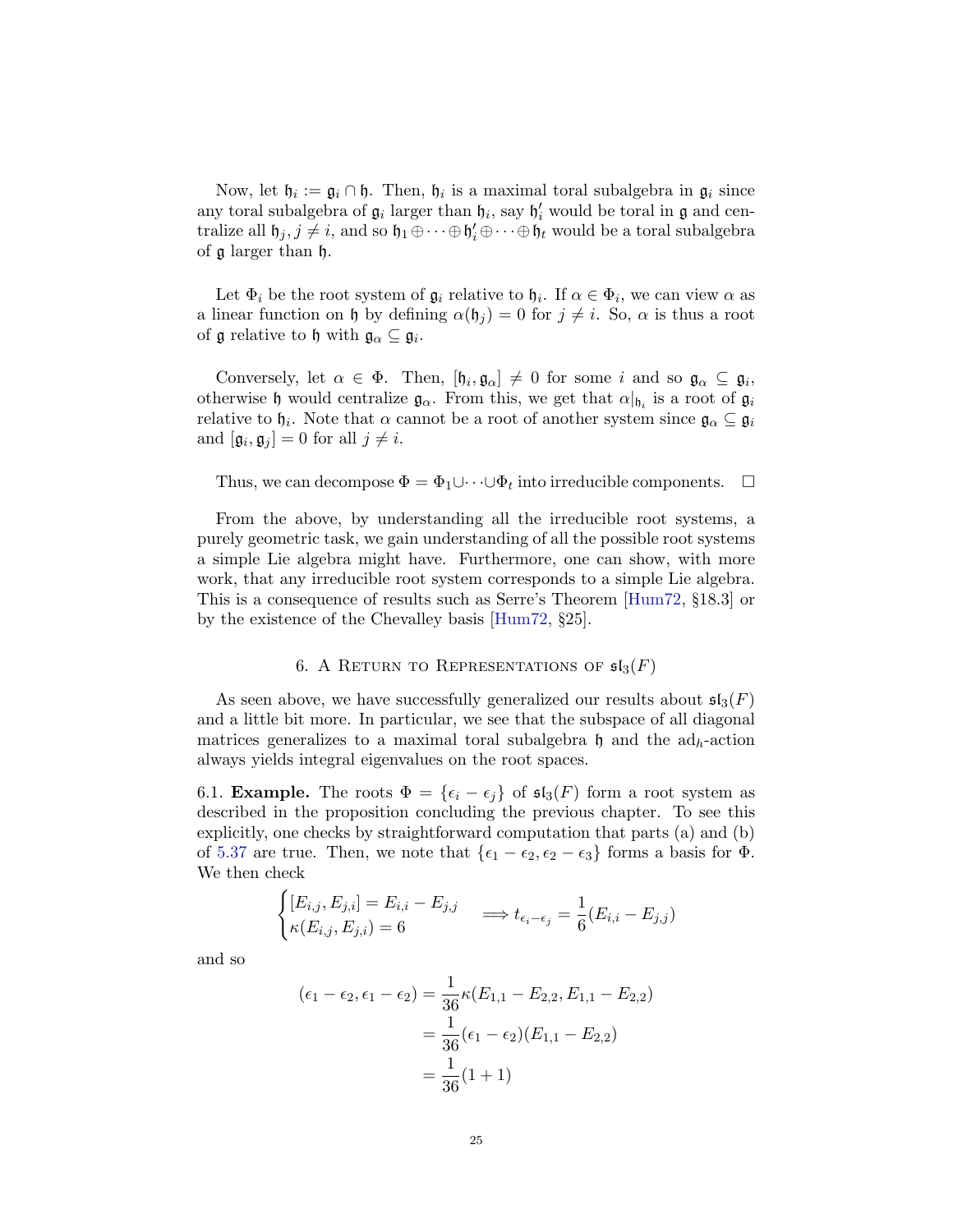Now, let  $\mathfrak{h}_i := \mathfrak{g}_i \cap \mathfrak{h}$ . Then,  $\mathfrak{h}_i$  is a maximal toral subalgebra in  $\mathfrak{g}_i$  since any toral subalgebra of  $\mathfrak{g}_i$  larger than  $\mathfrak{h}_i$ , say  $\mathfrak{h}'_i$  would be toral in  $\mathfrak{g}$  and centralize all  $\mathfrak{h}_j, j \neq i$ , and so  $\mathfrak{h}_1 \oplus \cdots \oplus \mathfrak{h}'_i \oplus \cdots \oplus \mathfrak{h}_t$  would be a toral subalgebra of g larger than h.

Let  $\Phi_i$  be the root system of  $\mathfrak{g}_i$  relative to  $\mathfrak{h}_i$ . If  $\alpha \in \Phi_i$ , we can view  $\alpha$  as a linear function on h by defining  $\alpha(\mathfrak{h}_i) = 0$  for  $j \neq i$ . So,  $\alpha$  is thus a root of  $\mathfrak g$  relative to  $\mathfrak h$  with  $\mathfrak g_\alpha\subseteq\mathfrak g_i$ .

Conversely, let  $\alpha \in \Phi$ . Then,  $[\mathfrak{h}_i, \mathfrak{g}_\alpha] \neq 0$  for some i and so  $\mathfrak{g}_\alpha \subseteq \mathfrak{g}_i$ , otherwise  $\mathfrak h$  would centralize  $\mathfrak g_\alpha$ . From this, we get that  $\alpha|_{\mathfrak h_i}$  is a root of  $\mathfrak g_i$ relative to  $\mathfrak{h}_i$ . Note that  $\alpha$  cannot be a root of another system since  $\mathfrak{g}_\alpha \subseteq \mathfrak{g}_i$ and  $[\mathfrak{g}_i, \mathfrak{g}_j] = 0$  for all  $j \neq i$ .

Thus, we can decompose  $\Phi = \Phi_1 \cup \cdots \cup \Phi_t$  into irreducible components.  $\Box$ 

From the above, by understanding all the irreducible root systems, a purely geometric task, we gain understanding of all the possible root systems a simple Lie algebra might have. Furthermore, one can show, with more work, that any irreducible root system corresponds to a simple Lie algebra. This is a consequence of results such as Serre's Theorem [\[Hum72,](#page-48-0) §18.3] or by the existence of the Chevalley basis [\[Hum72,](#page-48-0) §25].

## 6. A RETURN TO REPRESENTATIONS OF  $\mathfrak{sl}_3(F)$

As seen above, we have successfully generalized our results about  $\mathfrak{sl}_3(F)$ and a little bit more. In particular, we see that the subspace of all diagonal matrices generalizes to a maximal toral subalgebra h and the  $\text{ad}_h$ -action always yields integral eigenvalues on the root spaces.

6.1. **Example.** The roots  $\Phi = {\epsilon_i - \epsilon_j}$  of  $\mathfrak{sl}_3(F)$  form a root system as described in the proposition concluding the previous chapter. To see this explicitly, one checks by straightforward computation that parts (a) and (b) of [5.37](#page-22-1) are true. Then, we note that  $\{\epsilon_1 - \epsilon_2, \epsilon_2 - \epsilon_3\}$  forms a basis for  $\Phi$ . We then check

$$
\begin{cases}\n[E_{i,j}, E_{j,i}] = E_{i,i} - E_{j,j} & \implies t_{\epsilon_i - \epsilon_j} = \frac{1}{6}(E_{i,i} - E_{j,j}) \\
\kappa(E_{i,j}, E_{j,i}) = 6 & \implies t_{\epsilon_i - \epsilon_j} = \frac{1}{6}(E_{i,i} - E_{j,j})\n\end{cases}
$$

and so

$$
(\epsilon_1 - \epsilon_2, \epsilon_1 - \epsilon_2) = \frac{1}{36} \kappa (E_{1,1} - E_{2,2}, E_{1,1} - E_{2,2})
$$
  
= 
$$
\frac{1}{36} (\epsilon_1 - \epsilon_2) (E_{1,1} - E_{2,2})
$$
  
= 
$$
\frac{1}{36} (1 + 1)
$$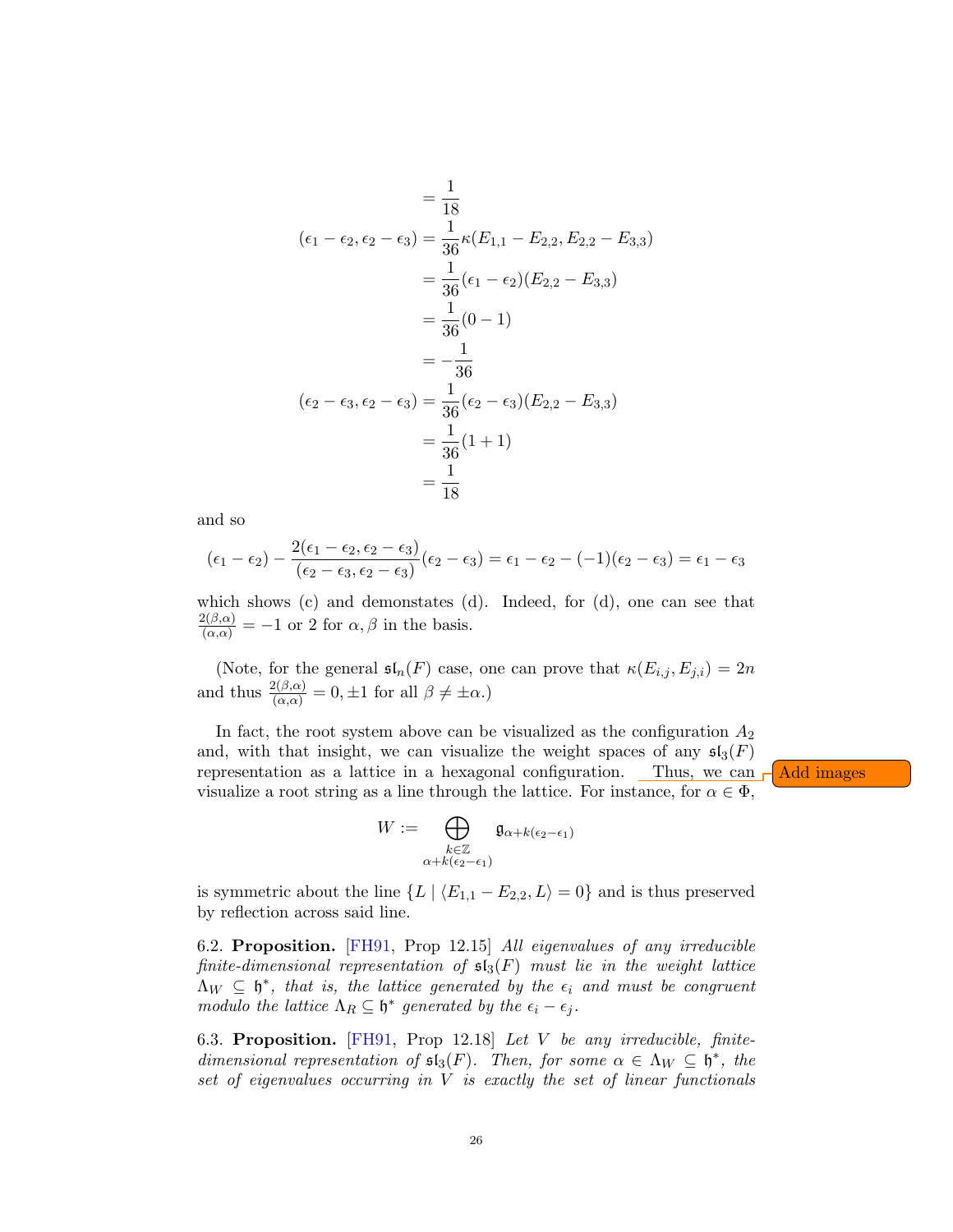$$
= \frac{1}{18}
$$
  
\n
$$
(\epsilon_1 - \epsilon_2, \epsilon_2 - \epsilon_3) = \frac{1}{36} \kappa (E_{1,1} - E_{2,2}, E_{2,2} - E_{3,3})
$$
  
\n
$$
= \frac{1}{36} (\epsilon_1 - \epsilon_2) (E_{2,2} - E_{3,3})
$$
  
\n
$$
= \frac{1}{36} (0 - 1)
$$
  
\n
$$
= -\frac{1}{36}
$$
  
\n
$$
(\epsilon_2 - \epsilon_3, \epsilon_2 - \epsilon_3) = \frac{1}{36} (\epsilon_2 - \epsilon_3) (E_{2,2} - E_{3,3})
$$
  
\n
$$
= \frac{1}{36} (1 + 1)
$$
  
\n
$$
= \frac{1}{18}
$$

and so

$$
(\epsilon_1 - \epsilon_2) - \frac{2(\epsilon_1 - \epsilon_2, \epsilon_2 - \epsilon_3)}{(\epsilon_2 - \epsilon_3, \epsilon_2 - \epsilon_3)}(\epsilon_2 - \epsilon_3) = \epsilon_1 - \epsilon_2 - (-1)(\epsilon_2 - \epsilon_3) = \epsilon_1 - \epsilon_3
$$

which shows (c) and demonstates (d). Indeed, for (d), one can see that  $\frac{2(\beta,\alpha)}{(\alpha,\alpha)} = -1$  or 2 for  $\alpha,\beta$  in the basis.

(Note, for the general  $\mathfrak{sl}_n(F)$  case, one can prove that  $\kappa(E_{i,j}, E_{j,i}) = 2n$ and thus  $\frac{2(\beta,\alpha)}{(\alpha,\alpha)} = 0, \pm 1$  for all  $\beta \neq \pm \alpha$ .)

In fact, the root system above can be visualized as the configuration  $A_2$ and, with that insight, we can visualize the weight spaces of any  $\mathfrak{sl}_3(F)$ representation as a lattice in a hexagonal configuration. Thus, we can  $\Box$  Add images visualize a root string as a line through the lattice. For instance, for  $\alpha \in \Phi$ ,

$$
W:=\bigoplus_{\substack{k\in\mathbb{Z}\\ \alpha+k(\epsilon_2-\epsilon_1)}}\mathfrak{g}_{\alpha+k(\epsilon_2-\epsilon_1)}
$$

is symmetric about the line  $\{L \mid \langle E_{1,1} - E_{2,2}, L \rangle = 0\}$  and is thus preserved by reflection across said line.

6.2. Proposition. [\[FH91,](#page-48-2) Prop 12.15] All eigenvalues of any irreducible finite-dimensional representation of  $\mathfrak{sl}_3(F)$  must lie in the weight lattice  $\Lambda_W \subseteq \mathfrak{h}^*$ , that is, the lattice generated by the  $\epsilon_i$  and must be congruent modulo the lattice  $\Lambda_R \subseteq \mathfrak{h}^*$  generated by the  $\epsilon_i - \epsilon_j$ .

6.3. Proposition. [\[FH91,](#page-48-2) Prop 12.18] Let V be any irreducible, finitedimensional representation of  $\mathfrak{sl}_3(F)$ . Then, for some  $\alpha \in \Lambda_W \subseteq \mathfrak{h}^*$ , the set of eigenvalues occurring in  $V$  is exactly the set of linear functionals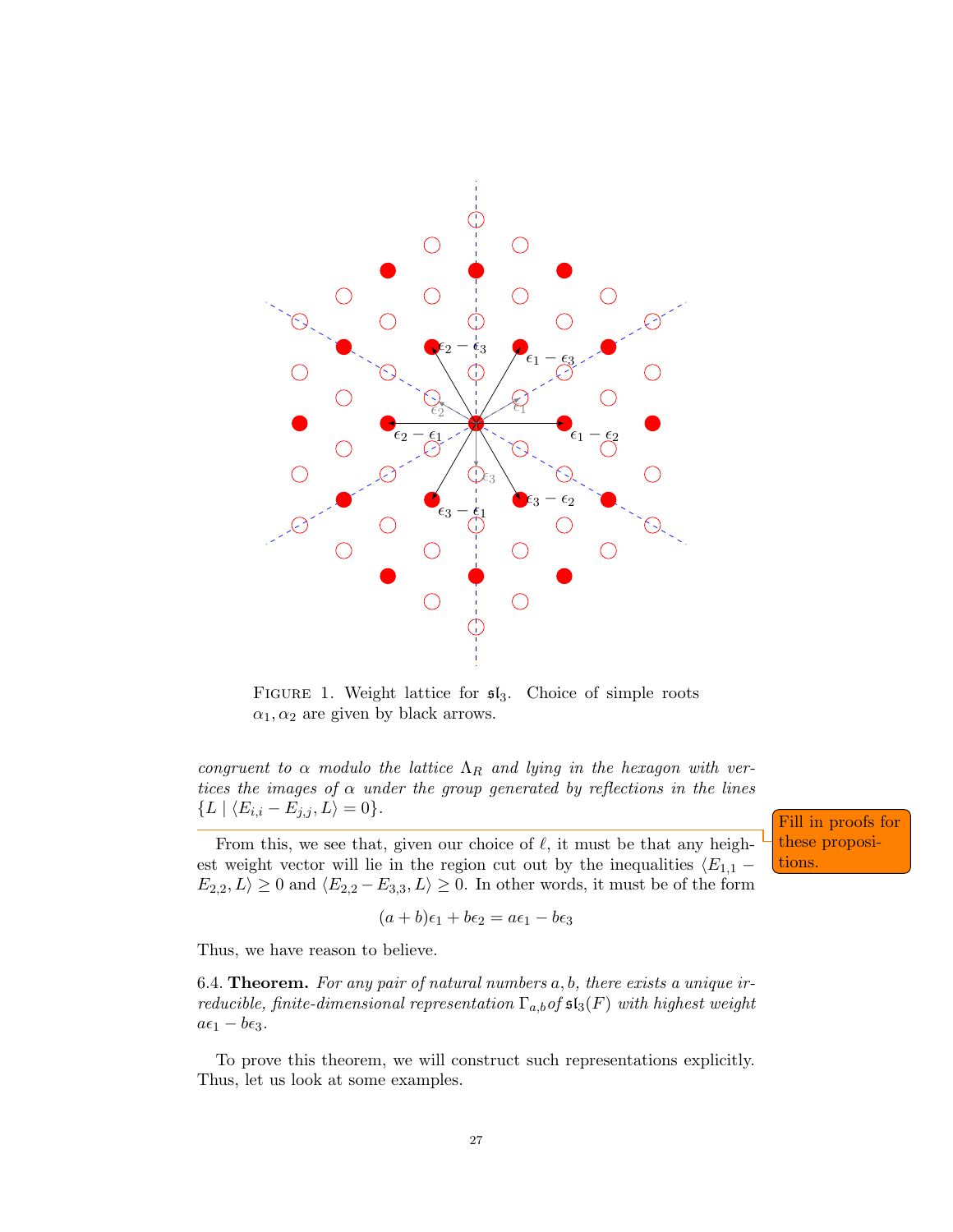

FIGURE 1. Weight lattice for  $\mathfrak{sl}_3$ . Choice of simple roots  $\alpha_1, \alpha_2$  are given by black arrows.

congruent to  $\alpha$  modulo the lattice  $\Lambda_R$  and lying in the hexagon with vertices the images of  $\alpha$  under the group generated by reflections in the lines  ${L \mid \langle E_{i,i} - E_{j,j}, L \rangle = 0}.$ 

From this, we see that, given our choice of  $\ell$ , it must be that any heighest weight vector will lie in the region cut out by the inequalities  $\langle E_{1,1} E_{2,2}, L \geq 0$  and  $\langle E_{2,2} - E_{3,3}, L \rangle \geq 0$ . In other words, it must be of the form

$$
(a+b)\epsilon_1 + b\epsilon_2 = a\epsilon_1 - b\epsilon_3
$$

Thus, we have reason to believe.

<span id="page-26-0"></span>6.4. **Theorem.** For any pair of natural numbers  $a, b$ , there exists a unique irreducible, finite-dimensional representation  $\Gamma_{a,b}$  of  $\mathfrak{sl}_3(F)$  with highest weight  $a\epsilon_1 - b\epsilon_3.$ 

To prove this theorem, we will construct such representations explicitly. Thus, let us look at some examples.

Fill in proofs for these propositions.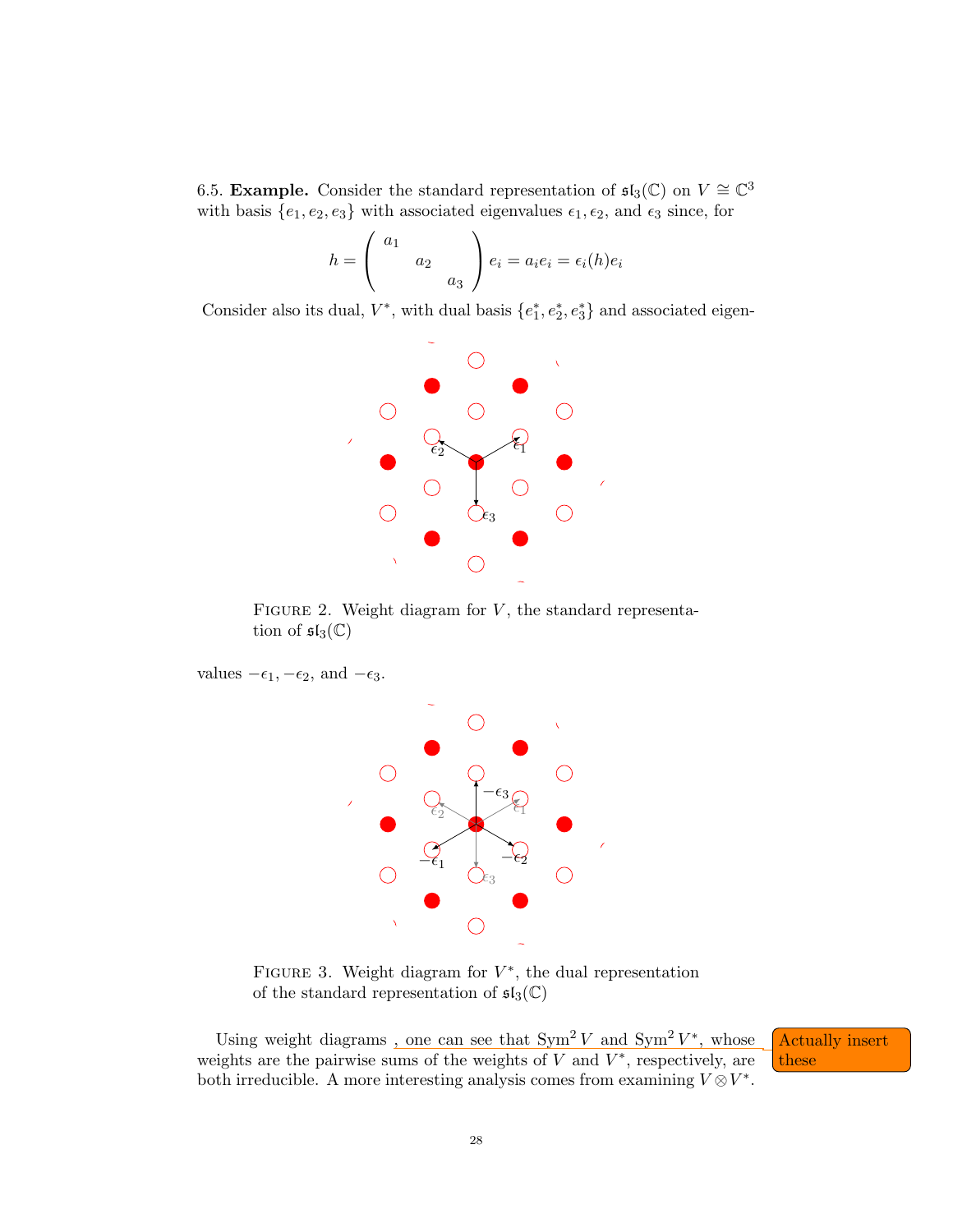6.5. **Example.** Consider the standard representation of  $\mathfrak{sl}_3(\mathbb{C})$  on  $V \cong \mathbb{C}^3$ with basis  $\{e_1, e_2, e_3\}$  with associated eigenvalues  $\epsilon_1, \epsilon_2$ , and  $\epsilon_3$  since, for

$$
h = \begin{pmatrix} a_1 \\ a_2 \\ a_3 \end{pmatrix} e_i = a_i e_i = \epsilon_i(h) e_i
$$

Consider also its dual,  $V^*$ , with dual basis  $\{e_1^*, e_2^*, e_3^*\}$  and associated eigen-



FIGURE 2. Weight diagram for  $V$ , the standard representation of  $\mathfrak{sl}_3(\mathbb{C})$ 

values  $-\epsilon_1, -\epsilon_2$ , and  $-\epsilon_3$ .



FIGURE 3. Weight diagram for  $V^*$ , the dual representation of the standard representation of  $\mathfrak{sl}_3(\mathbb{C})$ 

Using weight diagrams, one can see that  $\text{Sym}^2 V$  and  $\text{Sym}^2 V^*$ Actually insert weights are the pairwise sums of the weights of V and  $V^*$ , respectively, are  $\overline{\phantom{a}}$  these both irreducible. A more interesting analysis comes from examining  $V \otimes V^*$ .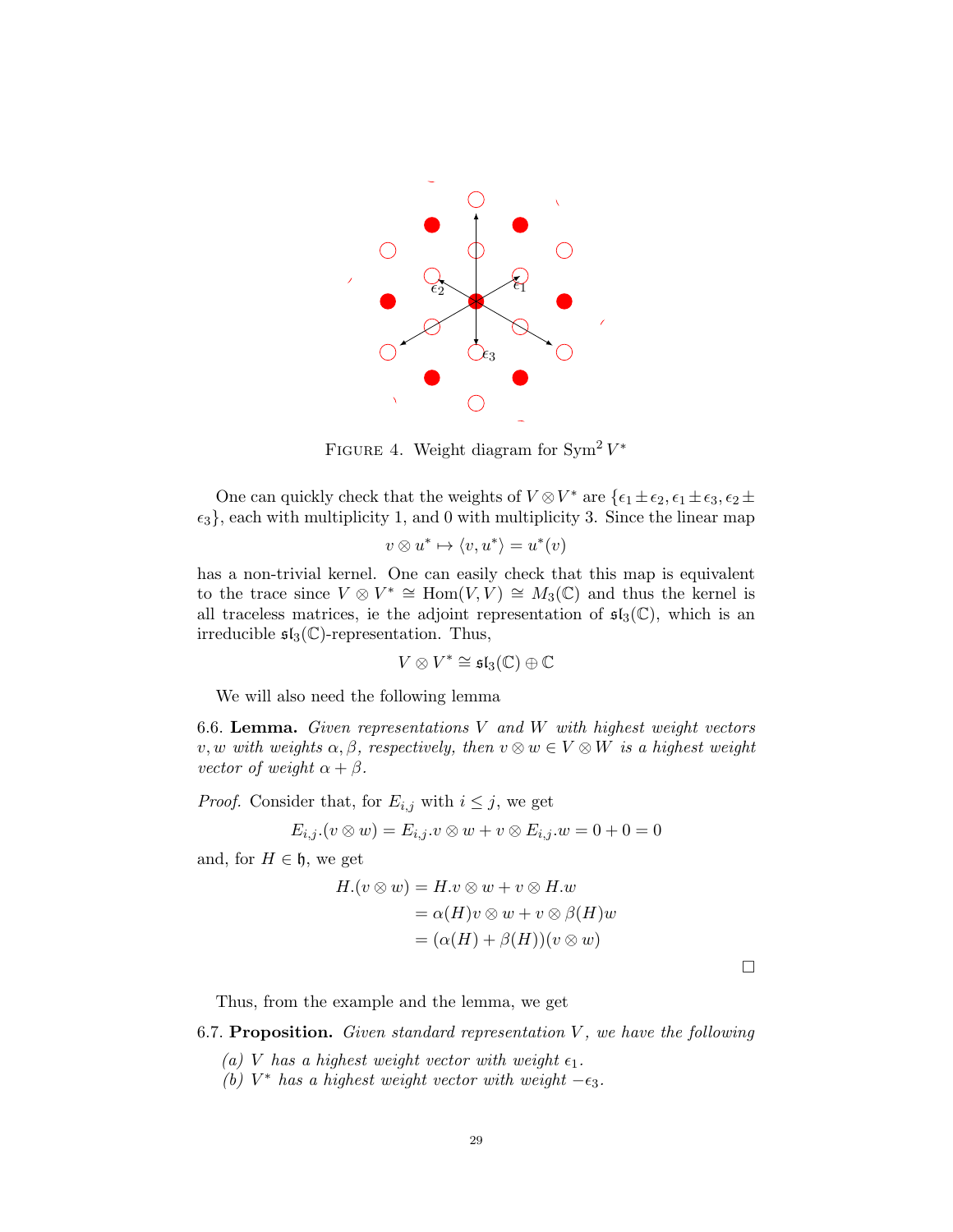

FIGURE 4. Weight diagram for  $\text{Sym}^2 V^*$ 

One can quickly check that the weights of  $V \otimes V^*$  are  $\{\epsilon_1 \pm \epsilon_2, \epsilon_1 \pm \epsilon_3, \epsilon_2 \pm \epsilon_4\}$  $\{\epsilon_3\}$ , each with multiplicity 1, and 0 with multiplicity 3. Since the linear map

$$
v \otimes u^* \mapsto \langle v, u^* \rangle = u^*(v)
$$

has a non-trivial kernel. One can easily check that this map is equivalent to the trace since  $V \otimes V^* \cong \text{Hom}(V, V) \cong M_3(\mathbb{C})$  and thus the kernel is all traceless matrices, ie the adjoint representation of  $\mathfrak{sl}_3(\mathbb{C})$ , which is an irreducible  $\mathfrak{sl}_3(\mathbb{C})$ -representation. Thus,

$$
V\otimes V^*\cong \mathfrak{sl}_3(\mathbb{C})\oplus\mathbb{C}
$$

We will also need the following lemma

6.6. Lemma. Given representations  $V$  and  $W$  with highest weight vectors v, w with weights  $\alpha, \beta$ , respectively, then  $v \otimes w \in V \otimes W$  is a highest weight vector of weight  $\alpha + \beta$ .

*Proof.* Consider that, for  $E_{i,j}$  with  $i \leq j$ , we get

$$
E_{i,j}.(v \otimes w) = E_{i,j}.v \otimes w + v \otimes E_{i,j}.w = 0 + 0 = 0
$$

and, for  $H \in \mathfrak{h}$ , we get

$$
H.(v \otimes w) = H.v \otimes w + v \otimes H.w
$$
  
=  $\alpha(H)v \otimes w + v \otimes \beta(H)w$   
=  $(\alpha(H) + \beta(H))(v \otimes w)$ 

 $\Box$ 

Thus, from the example and the lemma, we get

6.7. Proposition. Given standard representation  $V$ , we have the following

- (a) V has a highest weight vector with weight  $\epsilon_1$ .
- (b)  $V^*$  has a highest weight vector with weight  $-\epsilon_3$ .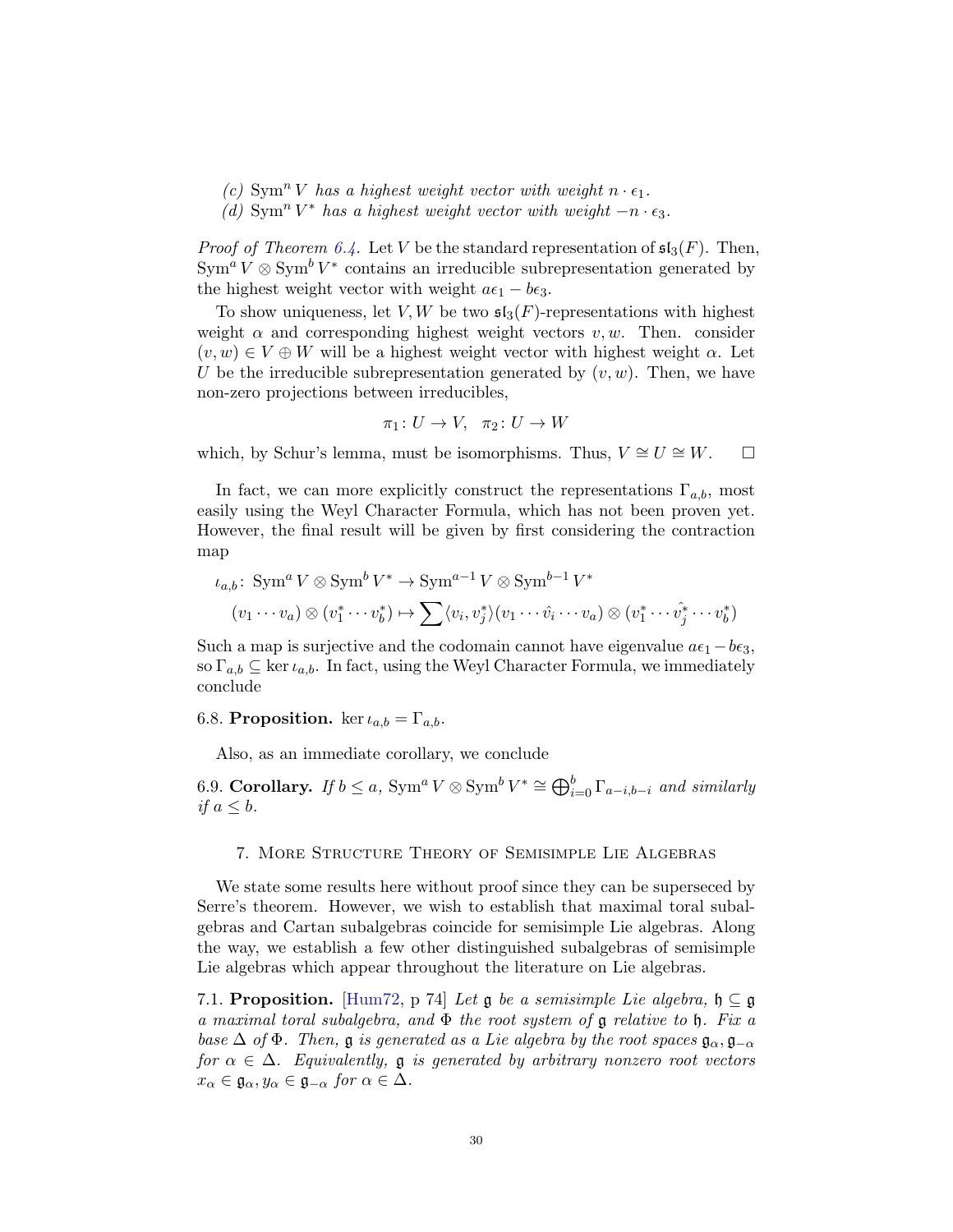- (c)  $\text{Sym}^n V$  has a highest weight vector with weight  $n \cdot \epsilon_1$ .
- (d)  $\text{Sym}^n V^*$  has a highest weight vector with weight  $-n \cdot \epsilon_3$ .

*Proof of Theorem [6.4.](#page-26-0)* Let V be the standard representation of  $\mathfrak{sl}_3(F)$ . Then,  $\text{Sym}^a V \otimes \text{Sym}^b V^*$  contains an irreducible subrepresentation generated by the highest weight vector with weight  $a\epsilon_1 - b\epsilon_3$ .

To show uniqueness, let V, W be two  $\mathfrak{sl}_3(F)$ -representations with highest weight  $\alpha$  and corresponding highest weight vectors v, w. Then. consider  $(v, w) \in V \oplus W$  will be a highest weight vector with highest weight  $\alpha$ . Let U be the irreducible subrepresentation generated by  $(v, w)$ . Then, we have non-zero projections between irreducibles,

$$
\pi_1\colon U\to V,\ \pi_2\colon U\to W
$$

which, by Schur's lemma, must be isomorphisms. Thus,  $V \cong U \cong W$ .  $□$ 

In fact, we can more explicitly construct the representations  $\Gamma_{a,b}$ , most easily using the Weyl Character Formula, which has not been proven yet. However, the final result will be given by first considering the contraction map

$$
\iota_{a,b}: \operatorname{Sym}^a V \otimes \operatorname{Sym}^b V^* \to \operatorname{Sym}^{a-1} V \otimes \operatorname{Sym}^{b-1} V^*
$$

$$
(v_1 \cdots v_a) \otimes (v_1^* \cdots v_b^*) \mapsto \sum \langle v_i, v_j^* \rangle (v_1 \cdots \hat{v_i} \cdots v_a) \otimes (v_1^* \cdots \hat{v_j}^* \cdots v_b^*)
$$

Such a map is surjective and the codomain cannot have eigenvalue  $a\epsilon_1 - b\epsilon_3$ , so  $\Gamma_{a,b} \subseteq \text{ker } \iota_{a,b}$ . In fact, using the Weyl Character Formula, we immediately conclude

## 6.8. Proposition. ker  $\iota_{a,b} = \Gamma_{a,b}$ .

Also, as an immediate corollary, we conclude

6.9. Corollary. If  $b \le a$ ,  $Sym^a V \otimes Sym^b V^* \cong \bigoplus_{i=0}^b \Gamma_{a-i,b-i}$  and similarly if  $a \leq b$ .

#### 7. More Structure Theory of Semisimple Lie Algebras

We state some results here without proof since they can be superseced by Serre's theorem. However, we wish to establish that maximal toral subalgebras and Cartan subalgebras coincide for semisimple Lie algebras. Along the way, we establish a few other distinguished subalgebras of semisimple Lie algebras which appear throughout the literature on Lie algebras.

7.1. Proposition. [\[Hum72,](#page-48-0) p 74] Let  $\mathfrak g$  be a semisimple Lie algebra,  $\mathfrak h \subseteq \mathfrak g$ a maximal toral subalgebra, and  $\Phi$  the root system of  $\mathfrak g$  relative to  $\mathfrak h$ . Fix a base  $\Delta$  of  $\Phi$ . Then,  $\mathfrak g$  is generated as a Lie algebra by the root spaces  $\mathfrak g_{\alpha}, \mathfrak g_{-\alpha}$ for  $\alpha \in \Delta$ . Equivalently,  $\mathfrak g$  is generated by arbitrary nonzero root vectors  $x_{\alpha} \in \mathfrak{g}_{\alpha}, y_{\alpha} \in \mathfrak{g}_{-\alpha}$  for  $\alpha \in \Delta$ .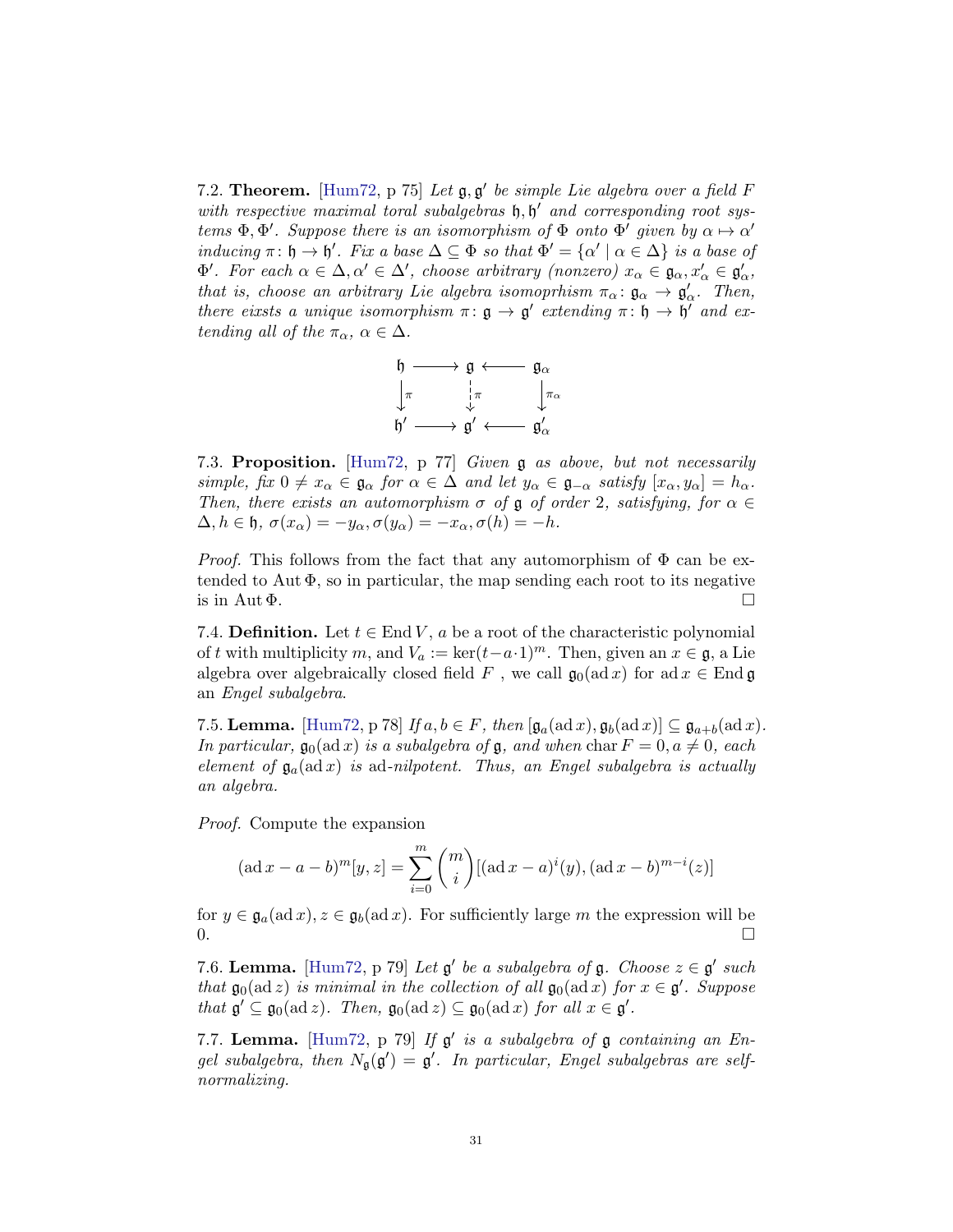7.2. Theorem. [\[Hum72,](#page-48-0) p 75] Let  $\mathfrak{g}, \mathfrak{g}'$  be simple Lie algebra over a field F with respective maximal toral subalgebras  $\mathfrak{h}, \mathfrak{h}'$  and corresponding root systems  $\Phi$ ,  $\Phi'$ . Suppose there is an isomorphism of  $\Phi$  onto  $\Phi'$  given by  $\alpha \mapsto \alpha'$ inducing  $\pi: \mathfrak{h} \to \mathfrak{h}'$ . Fix a base  $\Delta \subseteq \Phi$  so that  $\Phi' = {\alpha' \mid \alpha \in \Delta}$  is a base of  $\Phi'$ . For each  $\alpha \in \Delta, \alpha' \in \Delta'$ , choose arbitrary (nonzero)  $x_{\alpha} \in \mathfrak{g}_{\alpha}, x'_{\alpha} \in \mathfrak{g}'_{\alpha}$ , that is, choose an arbitrary Lie algebra isomoprhism  $\pi_{\alpha} : \mathfrak{g}_{\alpha} \to \mathfrak{g}'_{\alpha}$ . Then, there eixsts a unique isomorphism  $\pi: \mathfrak{g} \to \mathfrak{g}'$  extending  $\pi: \mathfrak{h} \to \mathfrak{h}'$  and extending all of the  $\pi_{\alpha}$ ,  $\alpha \in \Delta$ .



7.3. Proposition. [\[Hum72,](#page-48-0) p 77] Given g as above, but not necessarily simple, fix  $0 \neq x_\alpha \in \mathfrak{g}_\alpha$  for  $\alpha \in \Delta$  and let  $y_\alpha \in \mathfrak{g}_{-\alpha}$  satisfy  $[x_\alpha, y_\alpha] = h_\alpha$ . Then, there exists an automorphism  $\sigma$  of  $\mathfrak g$  of order 2, satisfying, for  $\alpha \in$  $\Delta, h \in \mathfrak{h}, \sigma(x_\alpha) = -y_\alpha, \sigma(y_\alpha) = -x_\alpha, \sigma(h) = -h.$ 

*Proof.* This follows from the fact that any automorphism of  $\Phi$  can be extended to Aut  $\Phi$ , so in particular, the map sending each root to its negative is in Aut  $\Phi$ .

7.4. **Definition.** Let  $t \in$  End V, a be a root of the characteristic polynomial of t with multiplicity m, and  $V_a := \ker(t-a\cdot 1)^m$ . Then, given an  $x \in \mathfrak{g}$ , a Lie algebra over algebraically closed field F, we call  $\mathfrak{g}_0(\text{ad }x)$  for  $\text{ad }x \in \text{End } \mathfrak{g}$ an Engel subalgebra.

7.5. **Lemma.** [\[Hum72,](#page-48-0) p 78] If  $a, b \in F$ , then  $[\mathfrak{g}_a(\text{ad }x), \mathfrak{g}_b(\text{ad }x)] \subseteq \mathfrak{g}_{a+b}(\text{ad }x)$ . In particular,  $\mathfrak{g}_0(\text{ad }x)$  is a subalgebra of  $\mathfrak{g}$ , and when char  $F = 0, a \neq 0$ , each element of  $\mathfrak{g}_a(\text{ad }x)$  is ad-nilpotent. Thus, an Engel subalgebra is actually an algebra.

Proof. Compute the expansion

$$
(\text{ad }x - a - b)^m[y, z] = \sum_{i=0}^m \binom{m}{i} [(\text{ad }x - a)^i(y), (\text{ad }x - b)^{m-i}(z)]
$$

for  $y \in \mathfrak{g}_a(\text{ad }x), z \in \mathfrak{g}_b(\text{ad }x)$ . For sufficiently large m the expression will be  $0.$ 

7.6. Lemma. [\[Hum72,](#page-48-0) p 79] Let  $\mathfrak{g}'$  be a subalgebra of  $\mathfrak{g}$ . Choose  $z \in \mathfrak{g}'$  such that  $\mathfrak{g}_0(\text{ad } z)$  is minimal in the collection of all  $\mathfrak{g}_0(\text{ad } x)$  for  $x \in \mathfrak{g}'$ . Suppose that  $\mathfrak{g}' \subseteq \mathfrak{g}_0(\text{ad }z)$ . Then,  $\mathfrak{g}_0(\text{ad }z) \subseteq \mathfrak{g}_0(\text{ad }x)$  for all  $x \in \mathfrak{g}'$ .

7.7. Lemma. [\[Hum72,](#page-48-0) p 79] If  $g'$  is a subalgebra of  $g$  containing an Engel subalgebra, then  $N_{\mathfrak{g}}(\mathfrak{g}') = \mathfrak{g}'$ . In particular, Engel subalgebras are selfnormalizing.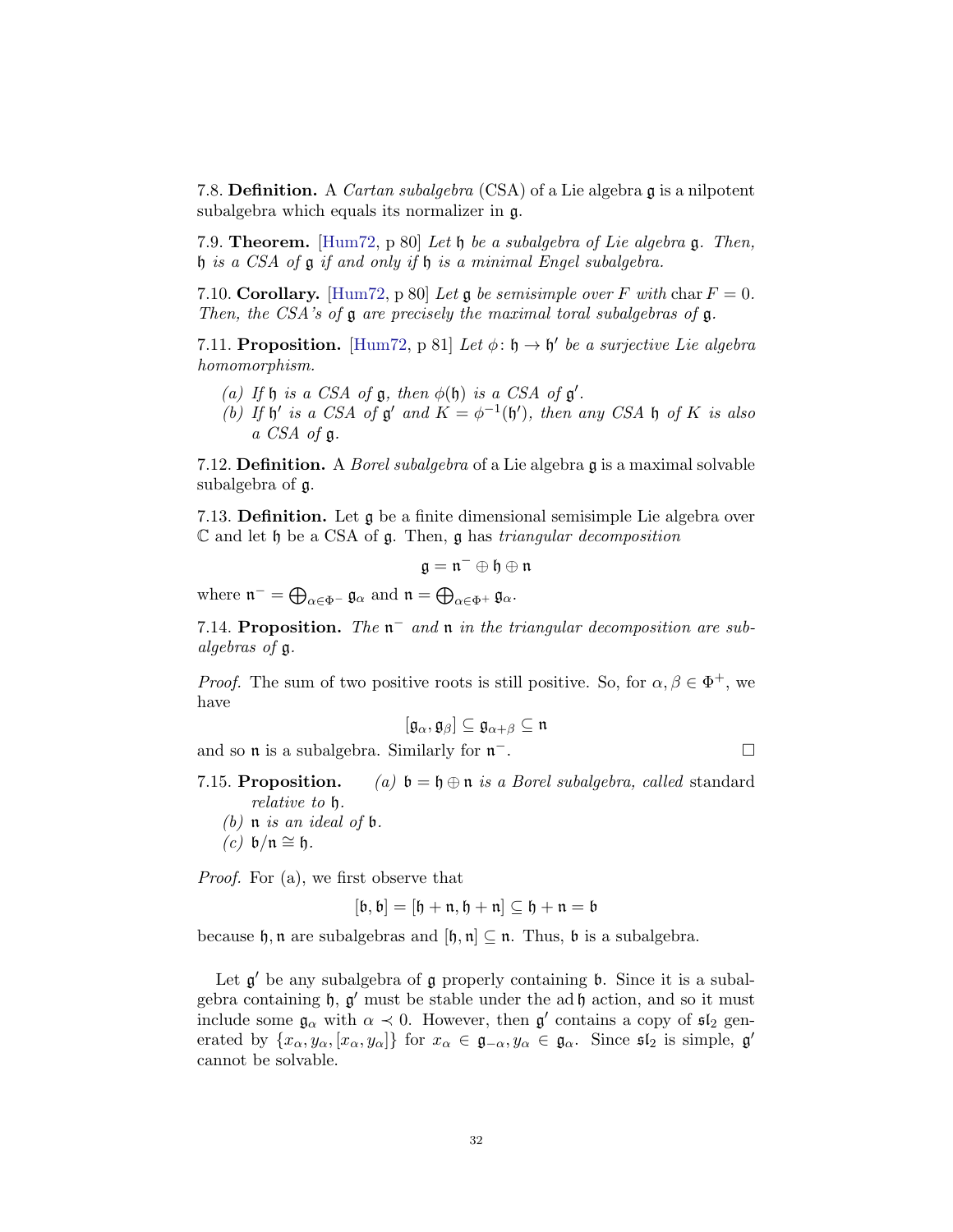7.8. **Definition.** A *Cartan subalgebra* (CSA) of a Lie algebra  $\mathfrak{g}$  is a nilpotent subalgebra which equals its normalizer in g.

7.9. **Theorem.** [\[Hum72,](#page-48-0) p 80] Let h be a subalgebra of Lie algebra  $\mathfrak{g}$ . Then, h is a CSA of g if and only if h is a minimal Engel subalgebra.

7.10. Corollary. [\[Hum72,](#page-48-0) p 80] Let g be semisimple over F with char  $F = 0$ . Then, the CSA's of  $\mathfrak g$  are precisely the maximal toral subalgebras of  $\mathfrak g$ .

7.11. Proposition. [\[Hum72,](#page-48-0) p 81] Let  $\phi: \mathfrak{h} \to \mathfrak{h}'$  be a surjective Lie algebra homomorphism.

- (a) If  $\mathfrak h$  is a CSA of  $\mathfrak g$ , then  $\phi(\mathfrak h)$  is a CSA of  $\mathfrak g'$ .
- (b) If  $\mathfrak h'$  is a CSA of  $\mathfrak g'$  and  $K = \phi^{-1}(\mathfrak h')$ , then any CSA  $\mathfrak h$  of K is also a CSA of g.

7.12. **Definition.** A *Borel subalgebra* of a Lie algebra  $\mathfrak{g}$  is a maximal solvable subalgebra of g.

7.13. **Definition.** Let  $\boldsymbol{\mathfrak{g}}$  be a finite dimensional semisimple Lie algebra over  $\mathbb C$  and let  $\mathfrak h$  be a CSA of  $\mathfrak g$ . Then,  $\mathfrak g$  has triangular decomposition

$$
\mathfrak{g}=\mathfrak{n}^-\oplus\mathfrak{h}\oplus\mathfrak{n}
$$

where  $\mathfrak{n}^- = \bigoplus_{\alpha \in \Phi^-} \mathfrak{g}_{\alpha}$  and  $\mathfrak{n} = \bigoplus_{\alpha \in \Phi^+} \mathfrak{g}_{\alpha}$ .

7.14. Proposition. The  $n^-$  and  $n$  in the triangular decomposition are subalgebras of g.

*Proof.* The sum of two positive roots is still positive. So, for  $\alpha, \beta \in \Phi^+$ , we have

$$
[\mathfrak{g}_\alpha,\mathfrak{g}_\beta]\subseteq \mathfrak{g}_{\alpha+\beta}\subseteq \mathfrak{n}
$$

and so  $\mathfrak n$  is a subalgebra. Similarly for  $\mathfrak n^-$ . <sup>−</sup>.

- 7.15. Proposition. (a)  $\mathfrak{b} = \mathfrak{h} \oplus \mathfrak{n}$  is a Borel subalgebra, called standard relative to h.
	- (b)  $\mathfrak n$  is an ideal of  $\mathfrak b$ .  $(c)$  b/n  $\cong$  h.

Proof. For (a), we first observe that

$$
[\mathfrak{b},\mathfrak{b}]=[\mathfrak{h}+\mathfrak{n},\mathfrak{h}+\mathfrak{n}]\subseteq\mathfrak{h}+\mathfrak{n}=\mathfrak{b}
$$

because  $\mathfrak{h}, \mathfrak{n}$  are subalgebras and  $[\mathfrak{h}, \mathfrak{n}] \subseteq \mathfrak{n}$ . Thus,  $\mathfrak{b}$  is a subalgebra.

Let  $g'$  be any subalgebra of  $g$  properly containing  $b$ . Since it is a subalgebra containing  $\mathfrak{h}, \mathfrak{g}'$  must be stable under the ad  $\mathfrak{h}$  action, and so it must include some  $\mathfrak{g}_{\alpha}$  with  $\alpha \prec 0$ . However, then  $\mathfrak{g}'$  contains a copy of  $\mathfrak{sl}_2$  generated by  $\{x_\alpha, y_\alpha, [x_\alpha, y_\alpha]\}\$  for  $x_\alpha \in \mathfrak{g}_{-\alpha}, y_\alpha \in \mathfrak{g}_\alpha$ . Since  $\mathfrak{sl}_2$  is simple,  $\mathfrak{g}'$ cannot be solvable.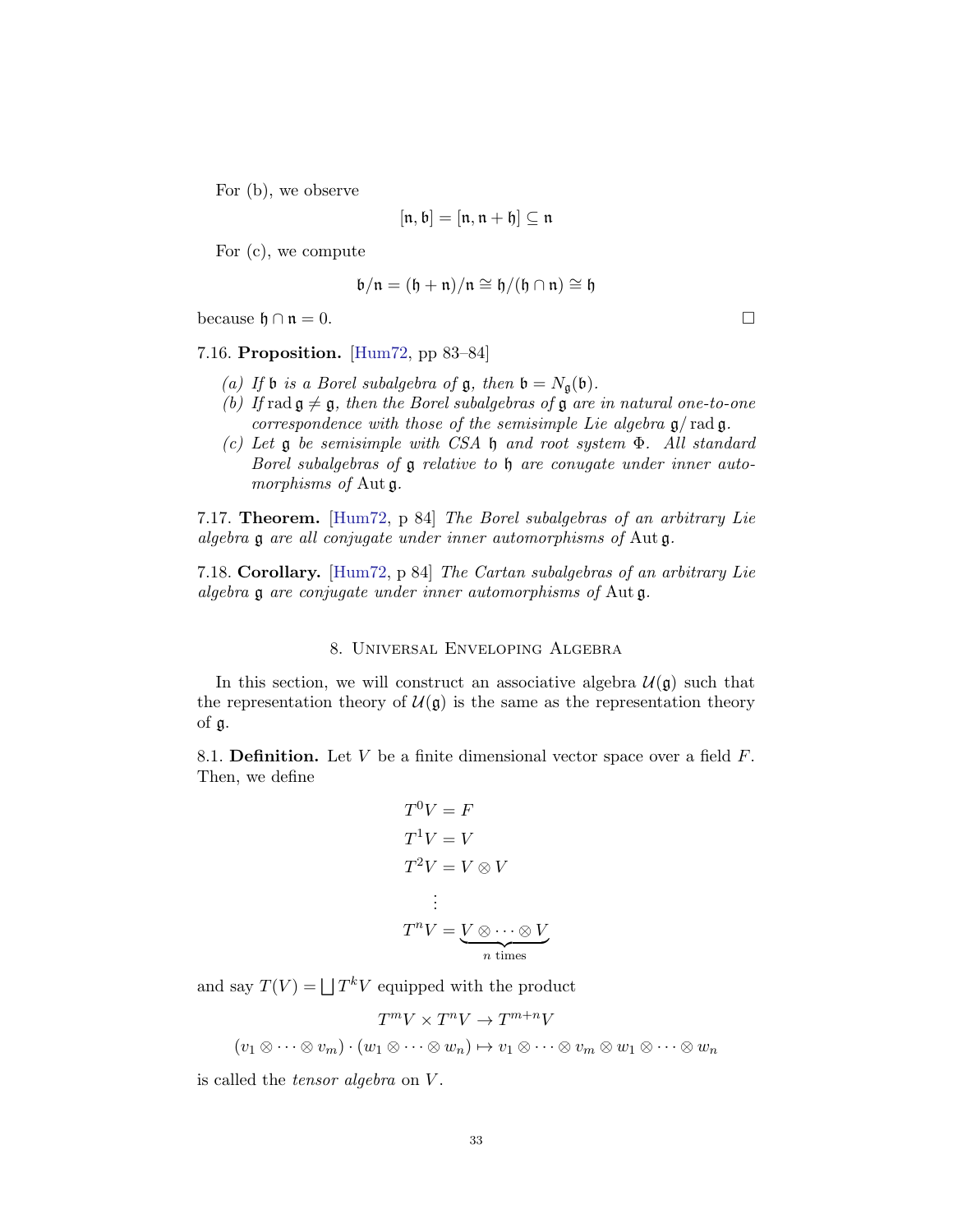For (b), we observe

$$
[\mathfrak{n},\mathfrak{b}]=[\mathfrak{n},\mathfrak{n}+\mathfrak{h}]\subseteq\mathfrak{n}
$$

For (c), we compute

$$
\mathfrak{b}/\mathfrak{n} = (\mathfrak{h} + \mathfrak{n})/\mathfrak{n} \cong \mathfrak{h}/(\mathfrak{h} \cap \mathfrak{n}) \cong \mathfrak{h}
$$

because  $\mathfrak{h} \cap \mathfrak{n} = 0.$ 

7.16. Proposition. [\[Hum72,](#page-48-0) pp 83–84]

- (a) If **b** is a Borel subalgebra of **g**, then  $\mathfrak{b} = N_{\mathfrak{q}}(\mathfrak{b})$ .
- (b) If rad  $\mathfrak{g} \neq \mathfrak{g}$ , then the Borel subalgebras of  $\mathfrak g$  are in natural one-to-one correspondence with those of the semisimple Lie algebra  $\mathfrak{g}/\text{rad}\mathfrak{g}$ .
- (c) Let g be semisimple with CSA h and root system Φ. All standard Borel subalgebras of **g** relative to **h** are conugate under inner automorphisms of Aut  $\mathfrak{g}$ .

7.17. Theorem. [\[Hum72,](#page-48-0) p 84] The Borel subalgebras of an arbitrary Lie algebra g are all conjugate under inner automorphisms of Aut g.

7.18. Corollary. [\[Hum72,](#page-48-0) p 84] The Cartan subalgebras of an arbitrary Lie algebra g are conjugate under inner automorphisms of Aut g.

### 8. Universal Enveloping Algebra

In this section, we will construct an associative algebra  $\mathcal{U}(\mathfrak{g})$  such that the representation theory of  $\mathcal{U}(\mathfrak{g})$  is the same as the representation theory of g.

8.1. **Definition.** Let  $V$  be a finite dimensional vector space over a field  $F$ . Then, we define

$$
T^{0}V = F
$$
  
\n
$$
T^{1}V = V
$$
  
\n
$$
T^{2}V = V \otimes V
$$
  
\n
$$
\vdots
$$
  
\n
$$
T^{n}V = \underbrace{V \otimes \cdots \otimes V}_{n \text{ times}}
$$

and say  $T(V) = |T^k V|$  equipped with the product

$$
T^mV \times T^nV \to T^{m+n}V
$$
  

$$
(v_1 \otimes \cdots \otimes v_m) \cdot (w_1 \otimes \cdots \otimes w_n) \mapsto v_1 \otimes \cdots \otimes v_m \otimes w_1 \otimes \cdots \otimes w_n
$$

is called the *tensor algebra* on V.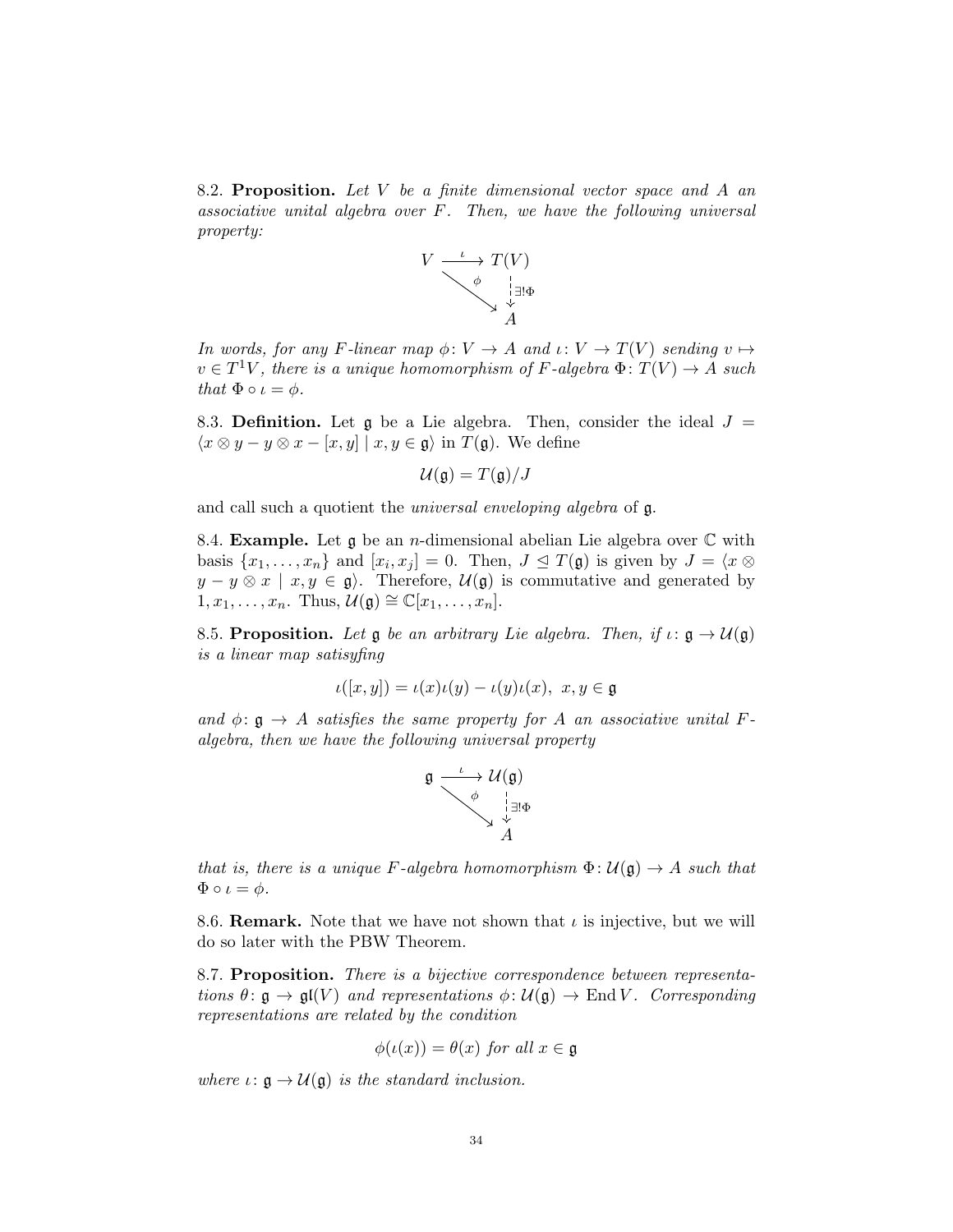8.2. Proposition. Let  $V$  be a finite dimensional vector space and  $A$  and associative unital algebra over F. Then, we have the following universal property:



In words, for any F-linear map  $\phi: V \to A$  and  $\iota: V \to T(V)$  sending  $v \mapsto$  $v \in T^1V$ , there is a unique homomorphism of F-algebra  $\Phi: T(V) \to A$  such that  $\Phi \circ \iota = \phi$ .

8.3. Definition. Let g be a Lie algebra. Then, consider the ideal  $J =$  $\langle x \otimes y - y \otimes x - [x, y] \mid x, y \in \mathfrak{g} \rangle$  in  $T(\mathfrak{g})$ . We define

$$
\mathcal{U}(\mathfrak{g})=T(\mathfrak{g})/J
$$

and call such a quotient the universal enveloping algebra of g.

8.4. **Example.** Let  $\boldsymbol{\mathfrak{g}}$  be an *n*-dimensional abelian Lie algebra over  $\mathbb C$  with basis  $\{x_1, \ldots, x_n\}$  and  $[x_i, x_j] = 0$ . Then,  $J \subseteq T(\mathfrak{g})$  is given by  $J = \langle x \otimes$  $y - y \otimes x \mid x, y \in \mathfrak{g}$ . Therefore,  $\mathcal{U}(\mathfrak{g})$  is commutative and generated by  $1, x_1, \ldots, x_n$ . Thus,  $\mathcal{U}(\mathfrak{g}) \cong \mathbb{C}[x_1, \ldots, x_n]$ .

8.5. Proposition. Let g be an arbitrary Lie algebra. Then, if  $\iota: \mathfrak{g} \to \mathcal{U}(\mathfrak{g})$ is a linear map satisyfing

$$
\iota([x,y]) = \iota(x)\iota(y) - \iota(y)\iota(x), \ x, y \in \mathfrak{g}
$$

and  $\phi: \mathfrak{g} \to A$  satisfies the same property for A an associative unital Falgebra, then we have the following universal property



that is, there is a unique F-algebra homomorphism  $\Phi: \mathcal{U}(\mathfrak{g}) \to A$  such that  $\Phi \circ \iota = \phi.$ 

8.6. **Remark.** Note that we have not shown that  $\iota$  is injective, but we will do so later with the PBW Theorem.

8.7. Proposition. There is a bijective correspondence between representations  $\theta: \mathfrak{g} \to \mathfrak{gl}(V)$  and representations  $\phi: \mathcal{U}(\mathfrak{g}) \to \text{End } V$ . Corresponding representations are related by the condition

$$
\phi(\iota(x)) = \theta(x) \text{ for all } x \in \mathfrak{g}
$$

where  $\iota: \mathfrak{g} \to \mathcal{U}(\mathfrak{g})$  is the standard inclusion.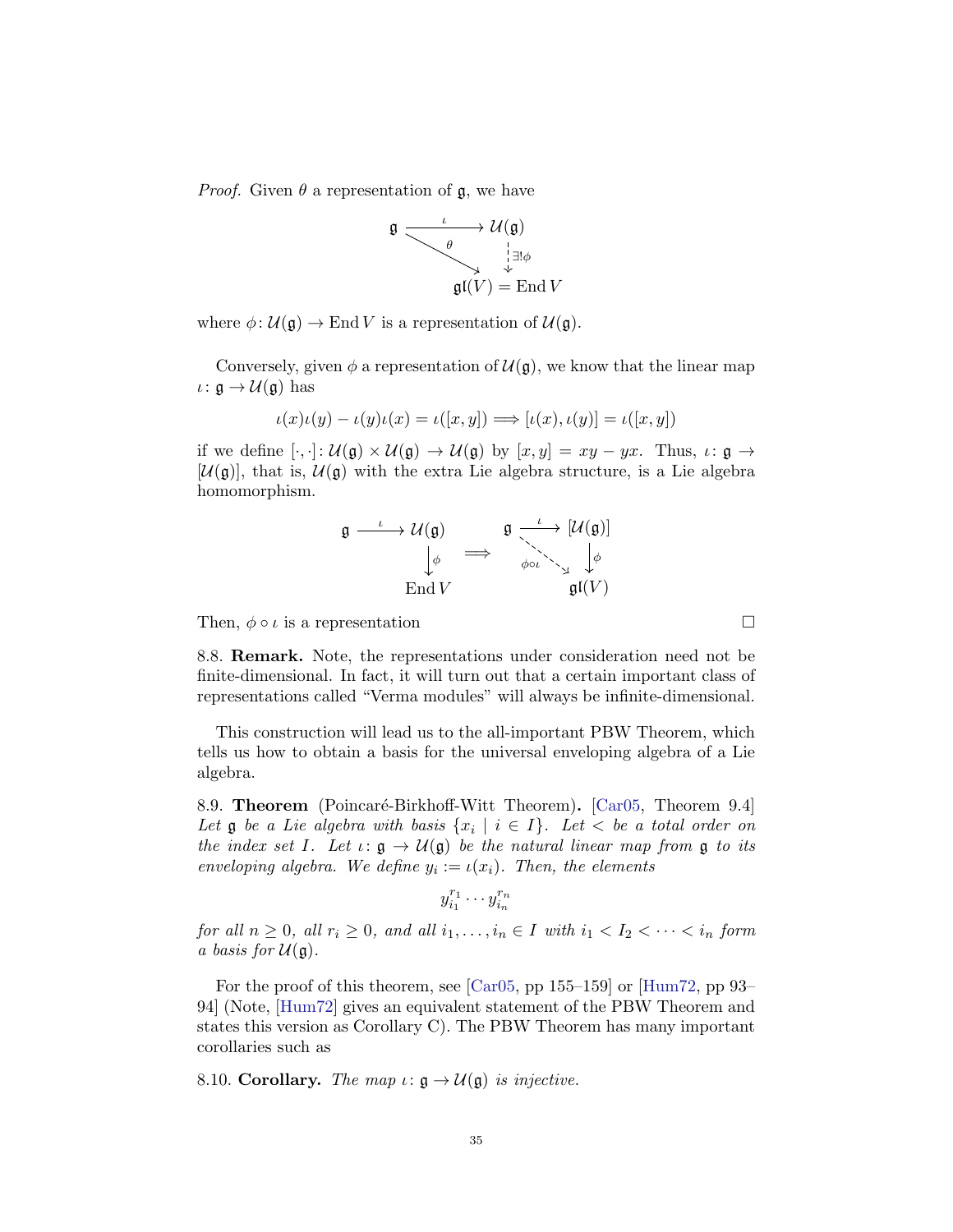*Proof.* Given  $\theta$  a representation of  $\mathfrak{g}$ , we have

$$
\mathfrak{g} \xrightarrow{\iota} \mathcal{U}(\mathfrak{g})
$$

$$
\mathfrak{g}(\mathfrak{l}(V)) = \mathrm{End}\, V
$$

where  $\phi: \mathcal{U}(\mathfrak{g}) \to \text{End } V$  is a representation of  $\mathcal{U}(\mathfrak{g})$ .

Conversely, given  $\phi$  a representation of  $\mathcal{U}(\mathfrak{g})$ , we know that the linear map  $\iota: \mathfrak{g} \to \mathcal{U}(\mathfrak{g})$  has

$$
\iota(x)\iota(y) - \iota(y)\iota(x) = \iota([x, y]) \Longrightarrow [\iota(x), \iota(y)] = \iota([x, y])
$$

if we define  $[\cdot, \cdot]: \mathcal{U}(\mathfrak{g}) \times \mathcal{U}(\mathfrak{g}) \to \mathcal{U}(\mathfrak{g})$  by  $[x, y] = xy - yx$ . Thus,  $\iota: \mathfrak{g} \to$  $[\mathcal{U}(\mathfrak{g})]$ , that is,  $\mathcal{U}(\mathfrak{g})$  with the extra Lie algebra structure, is a Lie algebra homomorphism.

$$
\mathfrak{g} \xrightarrow{\iota} \mathcal{U}(\mathfrak{g}) \qquad \mathfrak{g} \xrightarrow{\iota} [\mathcal{U}(\mathfrak{g})]
$$

$$
\downarrow \phi \qquad \Longrightarrow \qquad \phi \circ \iota \searrow \iota \downarrow \phi
$$

$$
\text{End } V \qquad \qquad \mathfrak{gl}(V)
$$

Then,  $\phi \circ \iota$  is a representation

8.8. Remark. Note, the representations under consideration need not be finite-dimensional. In fact, it will turn out that a certain important class of representations called "Verma modules" will always be infinite-dimensional.

This construction will lead us to the all-important PBW Theorem, which tells us how to obtain a basis for the universal enveloping algebra of a Lie algebra.

8.9. Theorem (Poincaré-Birkhoff-Witt Theorem). [\[Car05,](#page-48-3) Theorem 9.4] Let  $\mathfrak g$  be a Lie algebra with basis  $\{x_i \mid i \in I\}$ . Let  $\langle$  be a total order on the index set I. Let  $\iota: \mathfrak{g} \to \mathcal{U}(\mathfrak{g})$  be the natural linear map from  $\mathfrak{g}$  to its enveloping algebra. We define  $y_i := \iota(x_i)$ . Then, the elements

$$
y_{i_1}^{r_1}\cdots y_{i_n}^{r_n}
$$

for all  $n \geq 0$ , all  $r_i \geq 0$ , and all  $i_1, \ldots, i_n \in I$  with  $i_1 < I_2 < \cdots < i_n$  form a basis for  $\mathcal{U}(\mathfrak{g})$ .

For the proof of this theorem, see [\[Car05,](#page-48-3) pp 155–159] or [\[Hum72,](#page-48-0) pp 93– 94] (Note, [\[Hum72\]](#page-48-0) gives an equivalent statement of the PBW Theorem and states this version as Corollary C). The PBW Theorem has many important corollaries such as

8.10. Corollary. The map  $\iota: \mathfrak{g} \to \mathcal{U}(\mathfrak{g})$  is injective.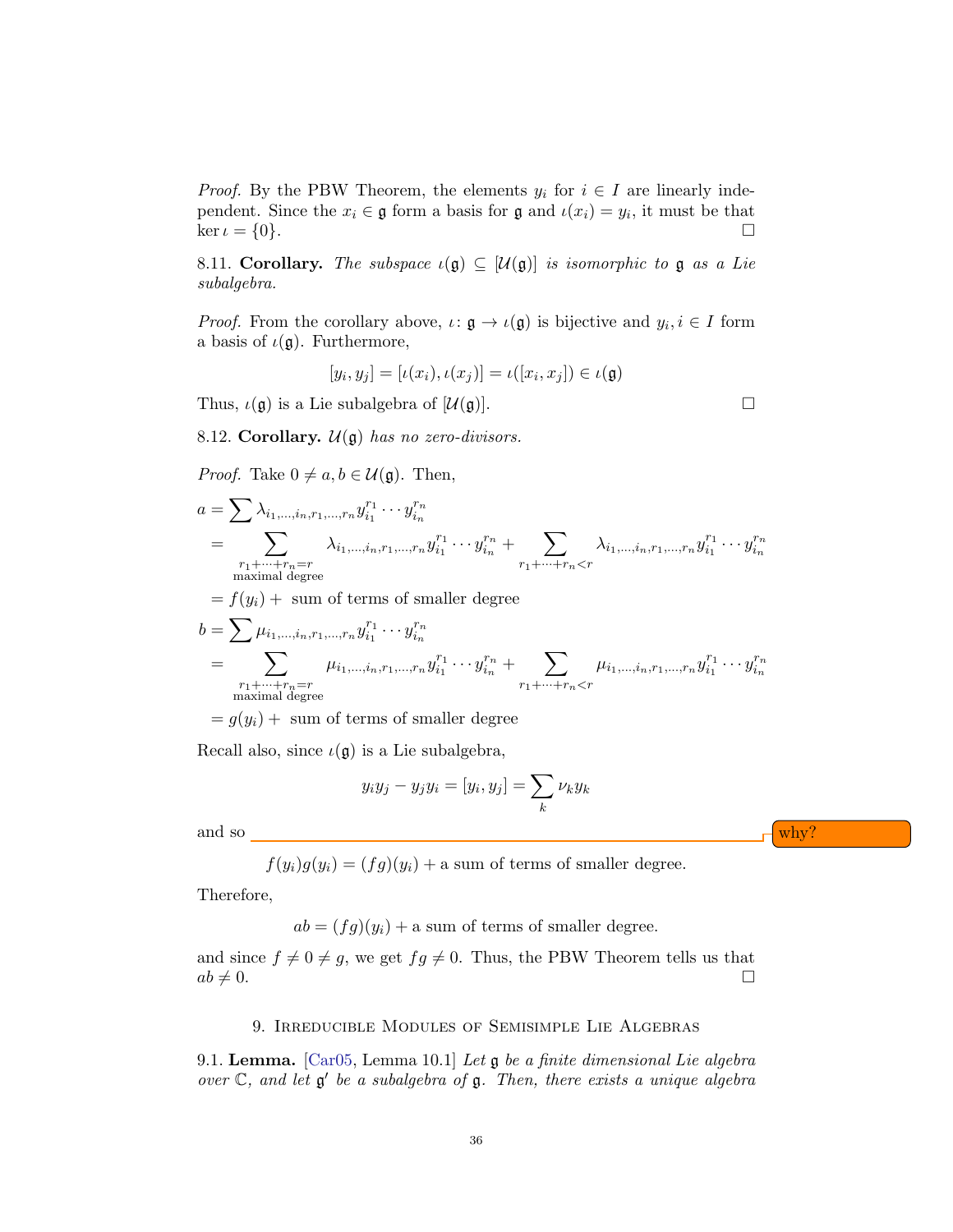*Proof.* By the PBW Theorem, the elements  $y_i$  for  $i \in I$  are linearly independent. Since the  $x_i \in \mathfrak{g}$  form a basis for  $\mathfrak{g}$  and  $\iota(x_i) = y_i$ , it must be that  $\ker \iota = \{0\}.$ 

8.11. Corollary. The subspace  $\iota(\mathfrak{g}) \subseteq [\mathcal{U}(\mathfrak{g})]$  is isomorphic to  $\mathfrak g$  as a Lie subalgebra.

*Proof.* From the corollary above,  $\iota: \mathfrak{g} \to \iota(\mathfrak{g})$  is bijective and  $y_i, i \in I$  form a basis of  $\iota(\mathfrak{g})$ . Furthermore,

$$
[y_i, y_j] = [\iota(x_i), \iota(x_j)] = \iota([x_i, x_j]) \in \iota(\mathfrak{g})
$$

Thus,  $\iota(\mathfrak{g})$  is a Lie subalgebra of  $[\mathcal{U}(\mathfrak{g})]$ .

8.12. Corollary.  $\mathcal{U}(\mathfrak{g})$  has no zero-divisors.

*Proof.* Take  $0 \neq a, b \in \mathcal{U}(\mathfrak{g})$ . Then,

$$
a = \sum_{i_1, ..., i_n, r_1, ..., r_n} \lambda_{i_1, ..., i_n, r_1, ..., r_n} y_{i_1}^{r_1} \cdots y_{i_n}^{r_n}
$$
  
= 
$$
\sum_{\substack{r_1 + ... + r_n = r \\ \text{maximal degree}}} \lambda_{i_1, ..., i_n, r_1, ..., r_n} y_{i_1}^{r_1} \cdots y_{i_n}^{r_n} + \sum_{\substack{r_1 + ... + r_n < r \\ \text{maximal degree}}} \lambda_{i_1, ..., i_n, r_1, ..., r_n} y_{i_1}^{r_1} \cdots y_{i_n}^{r_n}
$$

 $= f(y_i) + \text{ sum of terms of smaller degree}$ 

$$
b = \sum_{\substack{\mu_{i_1,\dots,i_n,r_1,\dots,r_n} y_{i_1}^{r_1} \cdots y_{i_n}^{r_n} \\ n_1 + \cdots + n_n = r}} \mu_{i_1,\dots,i_n,r_1,\dots,r_n} y_{i_1}^{r_1} \cdots y_{i_n}^{r_n} + \sum_{\substack{r_1 + \dots + r_n < r \\ r_1 + \dots + r_n < r}} \mu_{i_1,\dots,i_n,r_1,\dots,r_n} y_{i_1}^{r_1} \cdots y_{i_n}^{r_n}
$$

 $= g(y_i) + \text{ sum of terms of smaller degree}$ 

Recall also, since  $\iota(\mathfrak{g})$  is a Lie subalgebra,

$$
y_iy_j - y_jy_i = [y_i, y_j] = \sum_k \nu_k y_k
$$

and so  $-\frac{1}{2}$  why?

 $f(y_i)g(y_i) = (fg)(y_i) + a$  sum of terms of smaller degree.

Therefore,

 $ab = (fg)(y_i) + a$  sum of terms of smaller degree.

and since  $f \neq 0 \neq g$ , we get  $fg \neq 0$ . Thus, the PBW Theorem tells us that  $ab \neq 0.$ 

#### 9. Irreducible Modules of Semisimple Lie Algebras

9.1. Lemma. [\[Car05,](#page-48-3) Lemma 10.1] Let g be a finite dimensional Lie algebra over  $\mathbb{C}$ , and let  $\mathfrak{g}'$  be a subalgebra of  $\mathfrak{g}$ . Then, there exists a unique algebra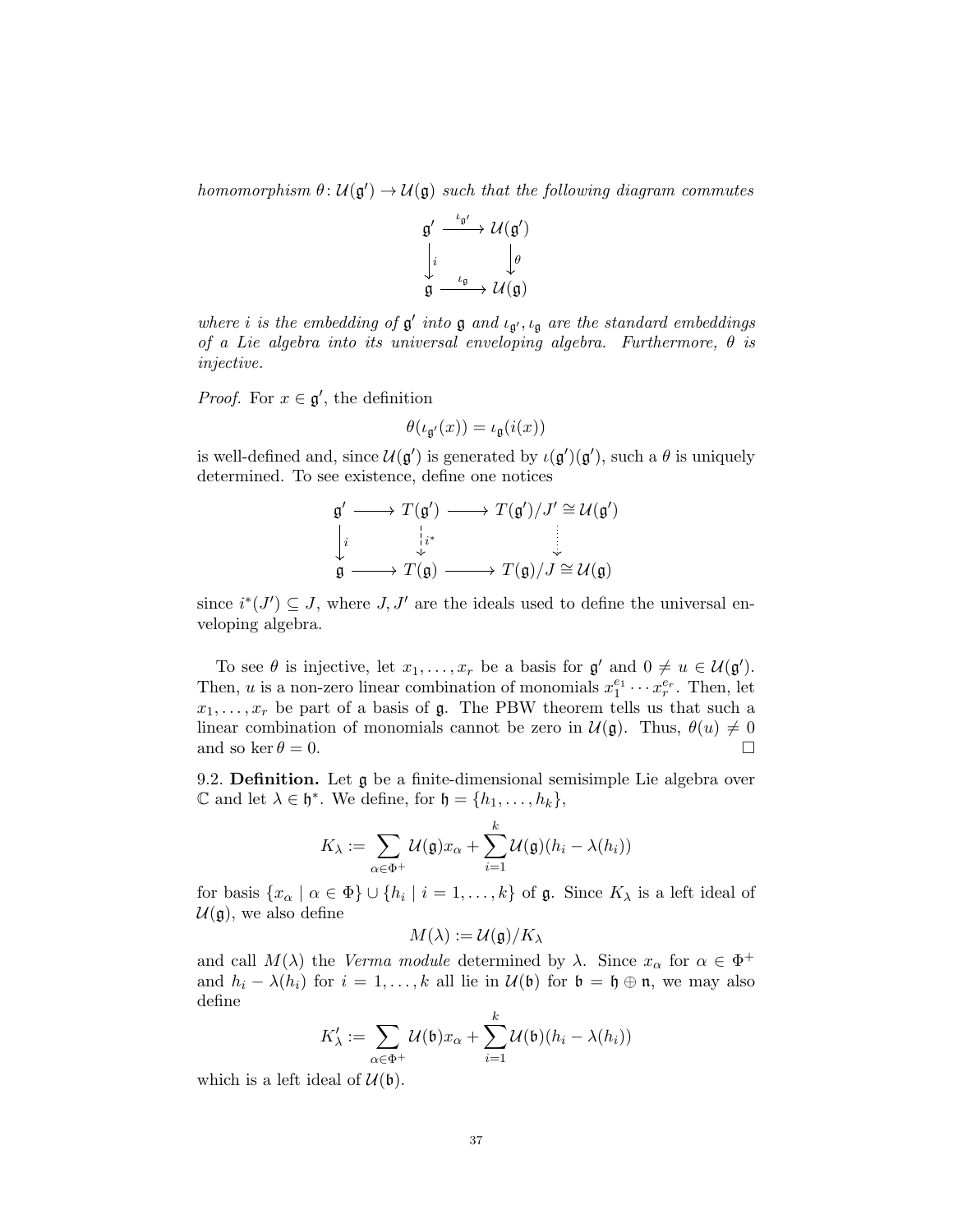homomorphism  $\theta: \mathcal{U}(\mathfrak{g}') \to \mathcal{U}(\mathfrak{g})$  such that the following diagram commutes



where *i* is the embedding of  $g'$  into  $g$  and  $\iota_{g'}$ ,  $\iota_g$  are the standard embeddings of a Lie algebra into its universal enveloping algebra. Furthermore,  $\theta$  is injective.

*Proof.* For  $x \in \mathfrak{g}'$ , the definition

$$
\theta(\iota_{\mathfrak{g}'}(x)) = \iota_{\mathfrak{g}}(i(x))
$$

is well-defined and, since  $\mathcal{U}(\mathfrak{g}')$  is generated by  $\iota(\mathfrak{g}')(\mathfrak{g}')$ , such a  $\theta$  is uniquely determined. To see existence, define one notices

$$
\mathfrak{g}' \longrightarrow T(\mathfrak{g}') \longrightarrow T(\mathfrak{g}')/J' \cong \mathcal{U}(\mathfrak{g}')\downarrow \qquad \qquad \downarrow i^* \qquad \qquad \downarrow \qquad \qquad \downarrow
$$
\n
$$
\mathfrak{g} \longrightarrow T(\mathfrak{g}) \longrightarrow T(\mathfrak{g})/J \cong \mathcal{U}(\mathfrak{g})
$$

since  $i^*(J') \subseteq J$ , where  $J, J'$  are the ideals used to define the universal enveloping algebra.

To see  $\theta$  is injective, let  $x_1, \ldots, x_r$  be a basis for  $\mathfrak{g}'$  and  $0 \neq u \in \mathcal{U}(\mathfrak{g}')$ . Then, u is a non-zero linear combination of monomials  $x_1^{e_1} \cdots x_r^{e_r}$ . Then, let  $x_1, \ldots, x_r$  be part of a basis of g. The PBW theorem tells us that such a linear combination of monomials cannot be zero in  $\mathcal{U}(\mathfrak{g})$ . Thus,  $\theta(u) \neq 0$ and so ker  $\theta = 0$ .

9.2. Definition. Let g be a finite-dimensional semisimple Lie algebra over  $\mathbb C$  and let  $\lambda \in \mathfrak h^*$ . We define, for  $\mathfrak h = \{h_1, \ldots, h_k\},\$ 

$$
K_{\lambda} := \sum_{\alpha \in \Phi^+} \mathcal{U}(\mathfrak{g}) x_{\alpha} + \sum_{i=1}^k \mathcal{U}(\mathfrak{g})(h_i - \lambda(h_i))
$$

for basis  $\{x_\alpha \mid \alpha \in \Phi\} \cup \{h_i \mid i = 1, \ldots, k\}$  of  $\mathfrak g$ . Since  $K_\lambda$  is a left ideal of  $\mathcal{U}(\mathfrak{g})$ , we also define

$$
M(\lambda):=\mathcal{U}(\mathfrak{g})/K_{\lambda}
$$

and call  $M(\lambda)$  the Verma module determined by  $\lambda$ . Since  $x_{\alpha}$  for  $\alpha \in \Phi^+$ and  $h_i - \lambda(h_i)$  for  $i = 1, ..., k$  all lie in  $\mathcal{U}(\mathfrak{b})$  for  $\mathfrak{b} = \mathfrak{h} \oplus \mathfrak{n}$ , we may also define

$$
K'_{\lambda} := \sum_{\alpha \in \Phi^+} \mathcal{U}(\mathfrak{b}) x_{\alpha} + \sum_{i=1}^k \mathcal{U}(\mathfrak{b}) (h_i - \lambda(h_i))
$$

which is a left ideal of  $\mathcal{U}(\mathfrak{b})$ .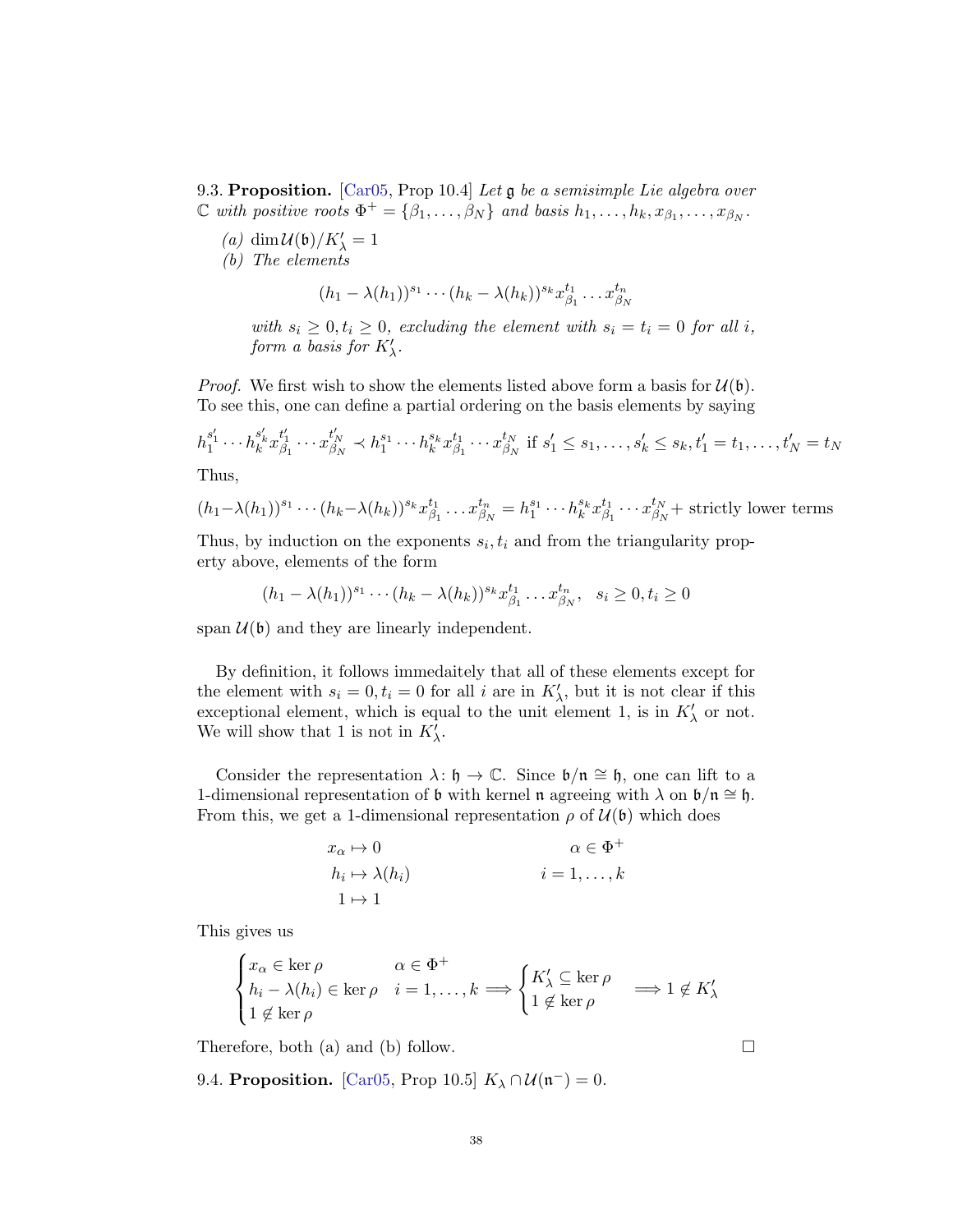9.3. Proposition. [\[Car05,](#page-48-3) Prop 10.4] Let g be a semisimple Lie algebra over  $\mathbb C$  with positive roots  $\Phi^+ = \{\beta_1, \ldots, \beta_N\}$  and basis  $h_1, \ldots, h_k, x_{\beta_1}, \ldots, x_{\beta_N}$ .

- $(a) \; \dim {\mathcal U}(\mathfrak{b})/K_\lambda' = 1$
- (b) The elements

$$
(h_1 - \lambda(h_1))^{s_1} \cdots (h_k - \lambda(h_k))^{s_k} x_{\beta_1}^{t_1} \cdots x_{\beta_N}^{t_n}
$$

with  $s_i \geq 0, t_i \geq 0$ , excluding the element with  $s_i = t_i = 0$  for all i, form a basis for  $K'_{\lambda}$ .

*Proof.* We first wish to show the elements listed above form a basis for  $\mathcal{U}(\mathfrak{b})$ . To see this, one can define a partial ordering on the basis elements by saying

$$
h_1^{s'_1} \cdots h_k^{s'_k} x_{\beta_1}^{t'_1} \cdots x_{\beta_N}^{t'_N} \prec h_1^{s_1} \cdots h_k^{s_k} x_{\beta_1}^{t_1} \cdots x_{\beta_N}^{t_N} \text{ if } s'_1 \le s_1, \dots, s'_k \le s_k, t'_1 = t_1, \dots, t'_N = t_N
$$

Thus,

$$
(h_1 - \lambda(h_1))^{s_1} \cdots (h_k - \lambda(h_k))^{s_k} x_{\beta_1}^{t_1} \cdots x_{\beta_N}^{t_n} = h_1^{s_1} \cdots h_k^{s_k} x_{\beta_1}^{t_1} \cdots x_{\beta_N}^{t_N} + \text{strictly lower terms}
$$

Thus, by induction on the exponents  $s_i, t_i$  and from the triangularity property above, elements of the form

$$
(h_1 - \lambda(h_1))^{s_1} \cdots (h_k - \lambda(h_k))^{s_k} x_{\beta_1}^{t_1} \cdots x_{\beta_N}^{t_n}, \quad s_i \ge 0, t_i \ge 0
$$

span  $U(\mathfrak{b})$  and they are linearly independent.

By definition, it follows immedaitely that all of these elements except for the element with  $s_i = 0, t_i = 0$  for all i are in  $K'_{\lambda}$ , but it is not clear if this exceptional element, which is equal to the unit element 1, is in  $K'_{\lambda}$  or not. We will show that 1 is not in  $K'_{\lambda}$ .

Consider the representation  $\lambda: \mathfrak{h} \to \mathbb{C}$ . Since  $\mathfrak{b}/\mathfrak{n} \cong \mathfrak{h}$ , one can lift to a 1-dimensional representation of b with kernel n agreeing with  $\lambda$  on  $\mathfrak{b}/\mathfrak{n} \cong \mathfrak{h}$ . From this, we get a 1-dimensional representation  $\rho$  of  $\mathcal{U}(\mathfrak{b})$  which does

$$
x_{\alpha} \mapsto 0
$$
  
\n
$$
h_i \mapsto \lambda(h_i)
$$
  
\n
$$
i = 1, ..., k
$$
  
\n
$$
i = 1, ..., k
$$

This gives us

$$
\begin{cases} x_{\alpha} \in \ker \rho & \alpha \in \Phi^+ \\ h_i - \lambda(h_i) \in \ker \rho & i = 1, \dots, k \implies \begin{cases} K'_{\lambda} \subseteq \ker \rho \\ 1 \notin \ker \rho \end{cases} \implies 1 \notin K'_{\lambda} \\ 1 \notin \ker \rho \end{cases}
$$

Therefore, both (a) and (b) follow.  $\square$ 

9.4. Proposition. [\[Car05,](#page-48-3) Prop 10.5]  $K_{\lambda} \cap \mathcal{U}(\mathfrak{n}^-) = 0$ .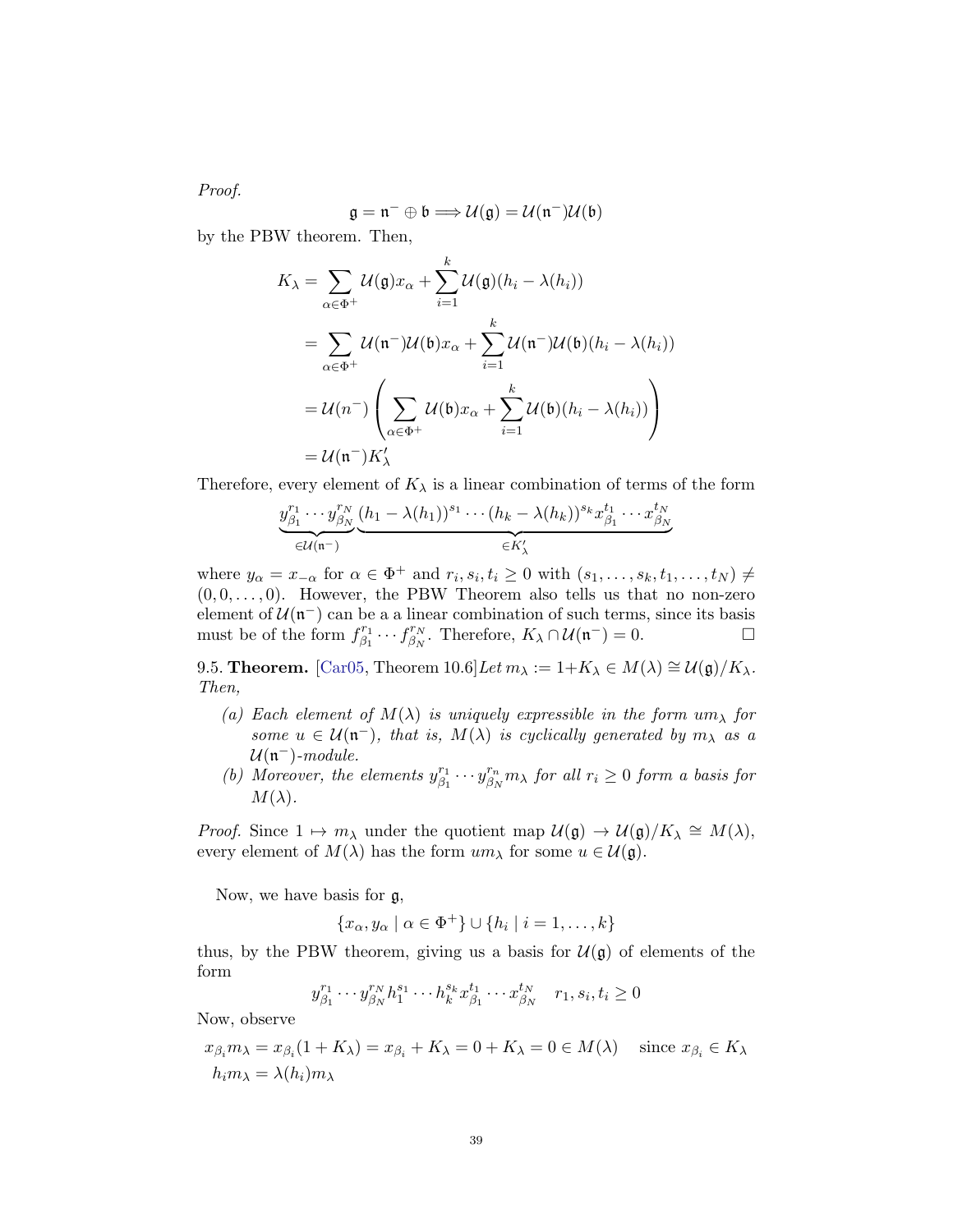Proof.

$$
\mathfrak{g}=\mathfrak{n}^-\oplus\mathfrak{b}\Longrightarrow{\mathcal U}(\mathfrak{g})={\mathcal U}(\mathfrak{n}^-){\mathcal U}(\mathfrak{b})
$$

by the PBW theorem. Then,

$$
K_{\lambda} = \sum_{\alpha \in \Phi^{+}} \mathcal{U}(\mathfrak{g}) x_{\alpha} + \sum_{i=1}^{k} \mathcal{U}(\mathfrak{g})(h_{i} - \lambda(h_{i}))
$$
  
= 
$$
\sum_{\alpha \in \Phi^{+}} \mathcal{U}(\mathfrak{n}^{-}) \mathcal{U}(\mathfrak{b}) x_{\alpha} + \sum_{i=1}^{k} \mathcal{U}(\mathfrak{n}^{-}) \mathcal{U}(\mathfrak{b})(h_{i} - \lambda(h_{i}))
$$
  
= 
$$
\mathcal{U}(\mathfrak{n}^{-}) \left( \sum_{\alpha \in \Phi^{+}} \mathcal{U}(\mathfrak{b}) x_{\alpha} + \sum_{i=1}^{k} \mathcal{U}(\mathfrak{b})(h_{i} - \lambda(h_{i})) \right)
$$
  
= 
$$
\mathcal{U}(\mathfrak{n}^{-}) K'_{\lambda}
$$

Therefore, every element of  $K_{\lambda}$  is a linear combination of terms of the form

$$
\underbrace{y_{\beta_1}^{r_1}\cdots y_{\beta_N}^{r_N}}_{\in\mathcal{U}(\mathfrak{n}^-)}\underbrace{(h_1-\lambda(h_1))^{s_1}\cdots(h_k-\lambda(h_k))^{s_k}x_{\beta_1}^{t_1}\cdots x_{\beta_N}^{t_N}}_{\in K'_\lambda}
$$

where  $y_{\alpha} = x_{-\alpha}$  for  $\alpha \in \Phi^+$  and  $r_i, s_i, t_i \geq 0$  with  $(s_1, \ldots, s_k, t_1, \ldots, t_N) \neq$  $(0, 0, \ldots, 0)$ . However, the PBW Theorem also tells us that no non-zero element of  $\mathcal{U}(\mathfrak{n}^-)$  can be a a linear combination of such terms, since its basis must be of the form  $f_{\beta_1}^{r_1}$  $f_{\beta_1}^{r_1}\cdots f_{\beta_N}^{r_N}$  $\mathcal{L}_{\beta_N}^{r_N}$ . Therefore,  $K_{\lambda} \cap \mathcal{U}(\mathfrak{n}^-) = 0$ .

9.5. **Theorem.** [\[Car05,](#page-48-3) Theorem 10.6]Let  $m_{\lambda} := 1 + K_{\lambda} \in M(\lambda) \cong \mathcal{U}(\mathfrak{g})/K_{\lambda}$ . Then,

- (a) Each element of  $M(\lambda)$  is uniquely expressible in the form  $um_{\lambda}$  for some  $u \in \mathcal{U}(\mathfrak{n}^{-})$ , that is,  $M(\lambda)$  is cyclically generated by  $m_{\lambda}$  as a  $\mathcal{U}(\mathfrak{n}^-)$ -module.
- (b) Moreover, the elements  $y_{\beta}^{r_1}$  $\begin{array}{c} r_1 \ \beta_1 \end{array} \cdots y^{r_n} _{\beta_N}$  $\int_{\beta_{N}}^{r_{n}} m_{\lambda}$  for all  $r_{i} \geq 0$  form a basis for  $M(\lambda)$ .

*Proof.* Since  $1 \mapsto m_\lambda$  under the quotient map  $\mathcal{U}(\mathfrak{g}) \to \mathcal{U}(\mathfrak{g})/K_\lambda \cong M(\lambda)$ , every element of  $M(\lambda)$  has the form  $um_{\lambda}$  for some  $u \in \mathcal{U}(\mathfrak{g})$ .

Now, we have basis for g,

$$
\{x_{\alpha}, y_{\alpha} \mid \alpha \in \Phi^+\} \cup \{h_i \mid i = 1, \dots, k\}
$$

thus, by the PBW theorem, giving us a basis for  $\mathcal{U}(\mathfrak{g})$  of elements of the form

$$
y_{\beta_1}^{r_1} \cdots y_{\beta_N}^{r_N} h_1^{s_1} \cdots h_k^{s_k} x_{\beta_1}^{t_1} \cdots x_{\beta_N}^{t_N} \quad r_1, s_i, t_i \ge 0
$$

Now, observe

$$
x_{\beta_i} m_\lambda = x_{\beta_i} (1 + K_\lambda) = x_{\beta_i} + K_\lambda = 0 + K_\lambda = 0 \in M(\lambda) \quad \text{since } x_{\beta_i} \in K_\lambda
$$
  

$$
h_i m_\lambda = \lambda(h_i) m_\lambda
$$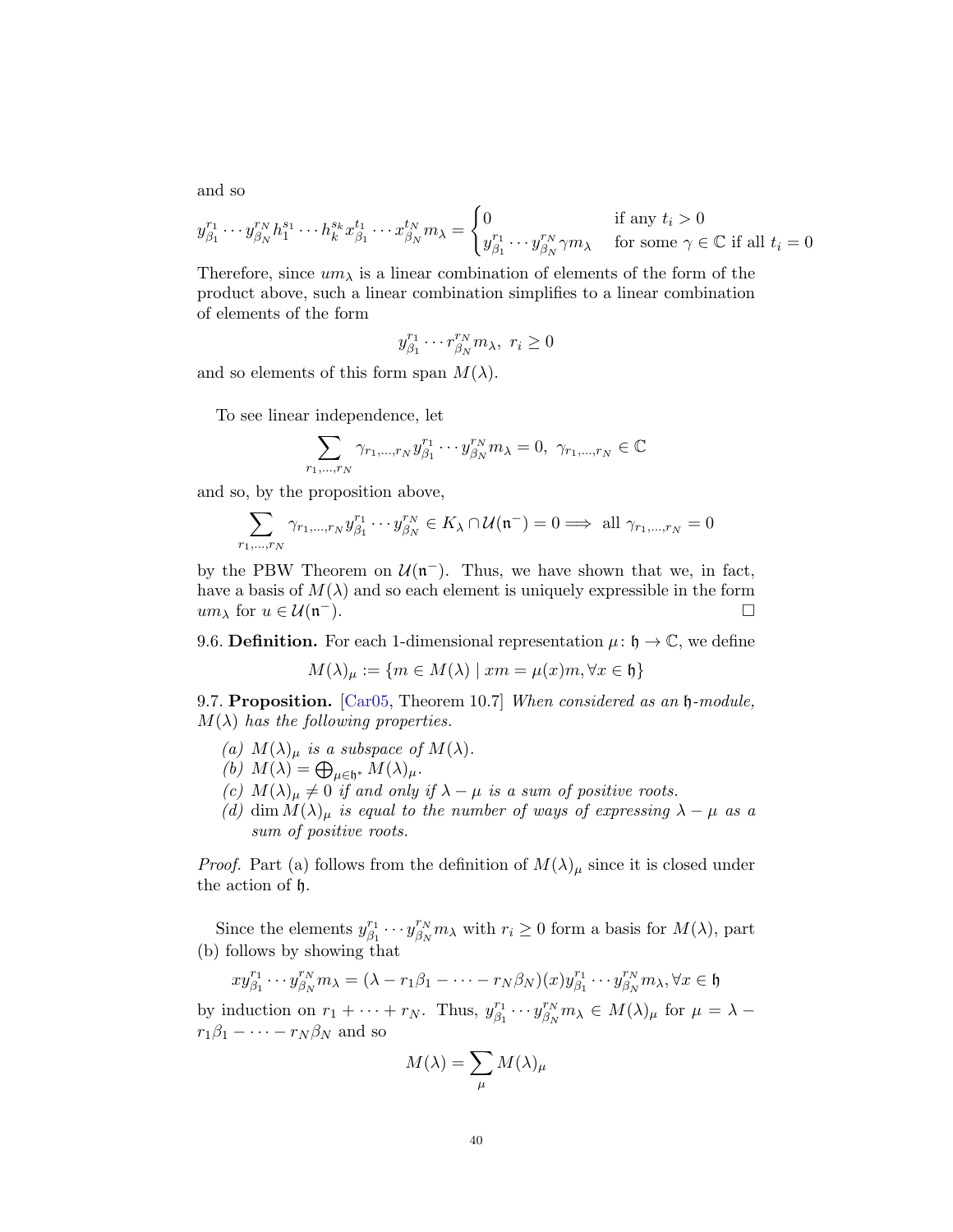and so

$$
y_{\beta_1}^{r_1} \cdots y_{\beta_N}^{r_N} h_1^{s_1} \cdots h_k^{s_k} x_{\beta_1}^{t_1} \cdots x_{\beta_N}^{t_N} m_\lambda = \begin{cases} 0 & \text{if any } t_i > 0\\ y_{\beta_1}^{r_1} \cdots y_{\beta_N}^{r_N} \gamma m_\lambda & \text{for some } \gamma \in \mathbb{C} \text{ if all } t_i = 0 \end{cases}
$$

Therefore, since  $um_{\lambda}$  is a linear combination of elements of the form of the product above, such a linear combination simplifies to a linear combination of elements of the form

$$
y_{\beta_1}^{r_1} \cdots r_{\beta_N}^{r_N} m_\lambda, \ r_i \ge 0
$$

and so elements of this form span  $M(\lambda)$ .

To see linear independence, let

$$
\sum_{r_1,\dots,r_N} \gamma_{r_1,\dots,r_N} y_{\beta_1}^{r_1} \cdots y_{\beta_N}^{r_N} m_\lambda = 0, \ \gamma_{r_1,\dots,r_N} \in \mathbb{C}
$$

and so, by the proposition above,

 $\overline{r}$ 

$$
\sum_{1,\dots,r_N} \gamma_{r_1,\dots,r_N} y_{\beta_1}^{r_1} \cdots y_{\beta_N}^{r_N} \in K_\lambda \cap \mathcal{U}(\mathfrak{n}^-) = 0 \Longrightarrow \text{ all } \gamma_{r_1,\dots,r_N} = 0
$$

by the PBW Theorem on  $\mathcal{U}(\mathfrak{n}^{-})$ . Thus, we have shown that we, in fact, have a basis of  $M(\lambda)$  and so each element is uniquely expressible in the form  $um_{\lambda}$  for  $u \in \mathcal{U}(\mathfrak{n}^{-}).$ <sup>−</sup>).

9.6. **Definition.** For each 1-dimensional representation  $\mu: \mathfrak{h} \to \mathbb{C}$ , we define

$$
M(\lambda)_{\mu} := \{ m \in M(\lambda) \mid xm = \mu(x)m, \forall x \in \mathfrak{h} \}
$$

<span id="page-39-0"></span>9.7. Proposition. [\[Car05,](#page-48-3) Theorem 10.7] When considered as an  $\mathfrak h$ -module,  $M(\lambda)$  has the following properties.

- (a)  $M(\lambda)_{\mu}$  is a subspace of  $M(\lambda)$ .
- (b)  $M(\lambda) = \bigoplus_{\mu \in \mathfrak{h}^*} M(\lambda)_{\mu}.$
- (c)  $M(\lambda)_{\mu} \neq 0$  if and only if  $\lambda \mu$  is a sum of positive roots.
- (d) dim  $M(\lambda)_{\mu}$  is equal to the number of ways of expressing  $\lambda \mu$  as a sum of positive roots.

*Proof.* Part (a) follows from the definition of  $M(\lambda)_{\mu}$  since it is closed under the action of h.

Since the elements  $y_{\beta_1}^{r_1}$  $\begin{array}{c} r_1 \\ \beta_1 \end{array} \cdots y^{r_N}_{\beta_N}$  $\binom{r_N}{\beta_N} m_\lambda$  with  $r_i \geq 0$  form a basis for  $M(\lambda)$ , part (b) follows by showing that

$$
xy_{\beta_1}^{r_1}\cdots y_{\beta_N}^{r_N}m_\lambda=(\lambda-r_1\beta_1-\cdots-r_N\beta_N)(x)y_{\beta_1}^{r_1}\cdots y_{\beta_N}^{r_N}m_\lambda, \forall x\in \mathfrak{h}
$$

by induction on  $r_1 + \cdots + r_N$ . Thus,  $y_{\beta_1}^{r_1}$  $\chi_{\beta_1}^{r_1}\cdots y_{\beta_N}^{r_N}$  $\int_{\beta_N}^{r_N} m_\lambda \in M(\lambda)_\mu$  for  $\mu = \lambda$  $r_1\beta_1-\cdots-r_N\beta_N$  and so

$$
M(\lambda)=\sum_\mu M(\lambda)_\mu
$$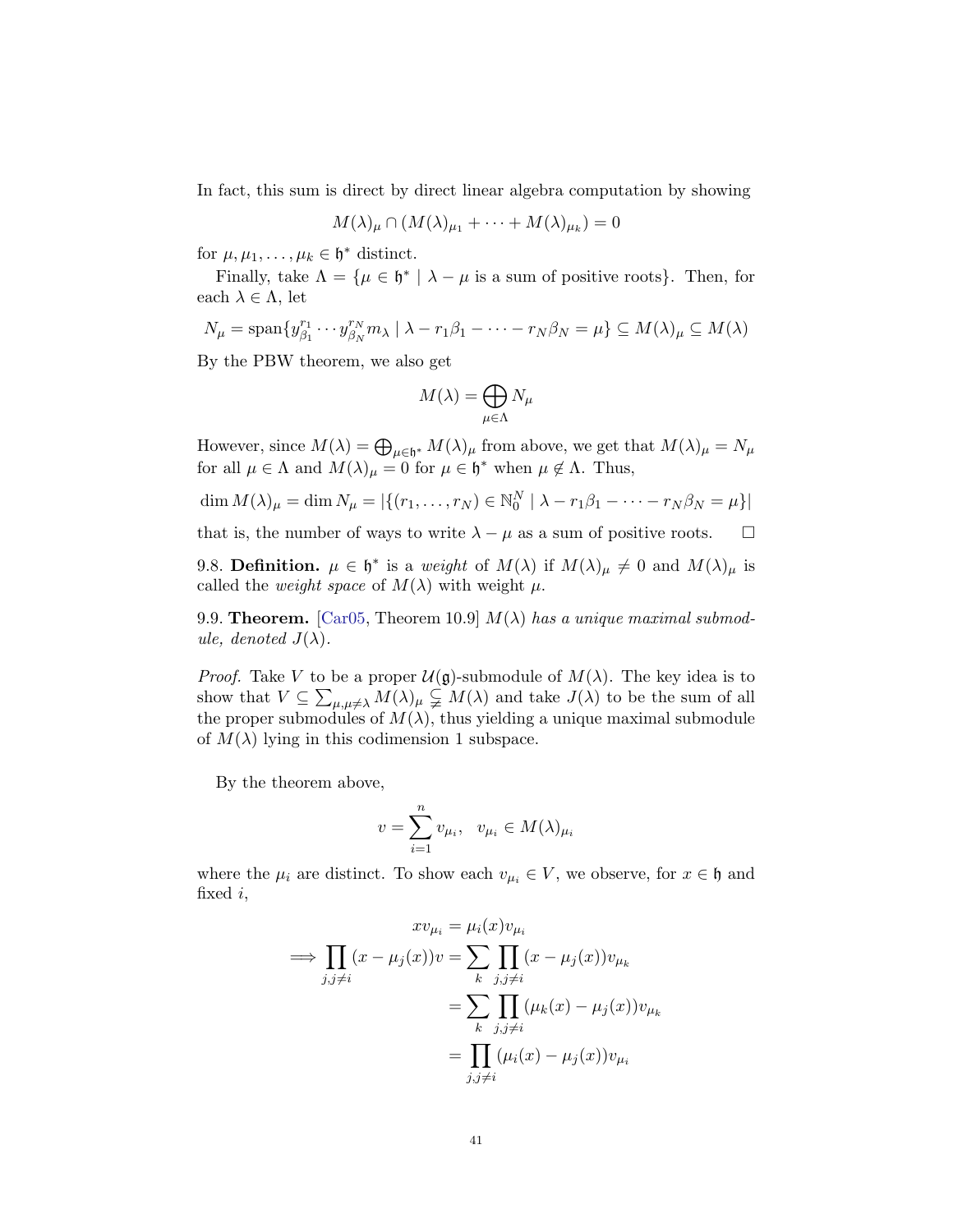In fact, this sum is direct by direct linear algebra computation by showing

$$
M(\lambda)_{\mu} \cap (M(\lambda)_{\mu_1} + \cdots + M(\lambda)_{\mu_k}) = 0
$$

for  $\mu, \mu_1, \ldots, \mu_k \in \mathfrak{h}^*$  distinct.

Finally, take  $\Lambda = {\mu \in \mathfrak{h}^* \mid \lambda - \mu \text{ is a sum of positive roots}}$ . Then, for each  $\lambda \in \Lambda$ , let

$$
N_{\mu} = \text{span}\{y_{\beta_1}^{r_1} \cdots y_{\beta_N}^{r_N} m_{\lambda} \mid \lambda - r_1 \beta_1 - \cdots - r_N \beta_N = \mu\} \subseteq M(\lambda)_{\mu} \subseteq M(\lambda)
$$

By the PBW theorem, we also get

$$
M(\lambda) = \bigoplus_{\mu \in \Lambda} N_{\mu}
$$

However, since  $M(\lambda) = \bigoplus_{\mu \in \mathfrak{h}^*} M(\lambda)_{\mu}$  from above, we get that  $M(\lambda)_{\mu} = N_{\mu}$ for all  $\mu \in \Lambda$  and  $M(\lambda)_{\mu} = 0$  for  $\mu \in \mathfrak{h}^*$  when  $\mu \notin \Lambda$ . Thus,

$$
\dim M(\lambda)_{\mu} = \dim N_{\mu} = |\{(r_1, ..., r_N) \in \mathbb{N}_0^N \mid \lambda - r_1 \beta_1 - \dots - r_N \beta_N = \mu\}|
$$

that is, the number of ways to write  $\lambda - \mu$  as a sum of positive roots.  $\square$ 

9.8. **Definition.**  $\mu \in \mathfrak{h}^*$  is a weight of  $M(\lambda)$  if  $M(\lambda)_{\mu} \neq 0$  and  $M(\lambda)_{\mu}$  is called the *weight space* of  $M(\lambda)$  with weight  $\mu$ .

9.9. Theorem. [\[Car05,](#page-48-3) Theorem 10.9]  $M(\lambda)$  has a unique maximal submodule, denoted  $J(\lambda)$ .

*Proof.* Take V to be a proper  $\mathcal{U}(\mathfrak{g})$ -submodule of  $M(\lambda)$ . The key idea is to show that  $V \subseteq \sum_{\mu,\mu \neq \lambda} M(\lambda)_{\mu} \subsetneq M(\lambda)$  and take  $J(\lambda)$  to be the sum of all the proper submodules of  $M(\lambda)$ , thus yielding a unique maximal submodule of  $M(\lambda)$  lying in this codimension 1 subspace.

By the theorem above,

$$
v = \sum_{i=1}^{n} v_{\mu_i}, \quad v_{\mu_i} \in M(\lambda)_{\mu_i}
$$

where the  $\mu_i$  are distinct. To show each  $v_{\mu_i} \in V$ , we observe, for  $x \in \mathfrak{h}$  and fixed i,

$$
x v_{\mu_i} = \mu_i(x) v_{\mu_i}
$$
  
\n
$$
\implies \prod_{j,j\neq i} (x - \mu_j(x)) v = \sum_k \prod_{j,j\neq i} (x - \mu_j(x)) v_{\mu_k}
$$
  
\n
$$
= \sum_k \prod_{j,j\neq i} (\mu_k(x) - \mu_j(x)) v_{\mu_k}
$$
  
\n
$$
= \prod_{j,j\neq i} (\mu_i(x) - \mu_j(x)) v_{\mu_i}
$$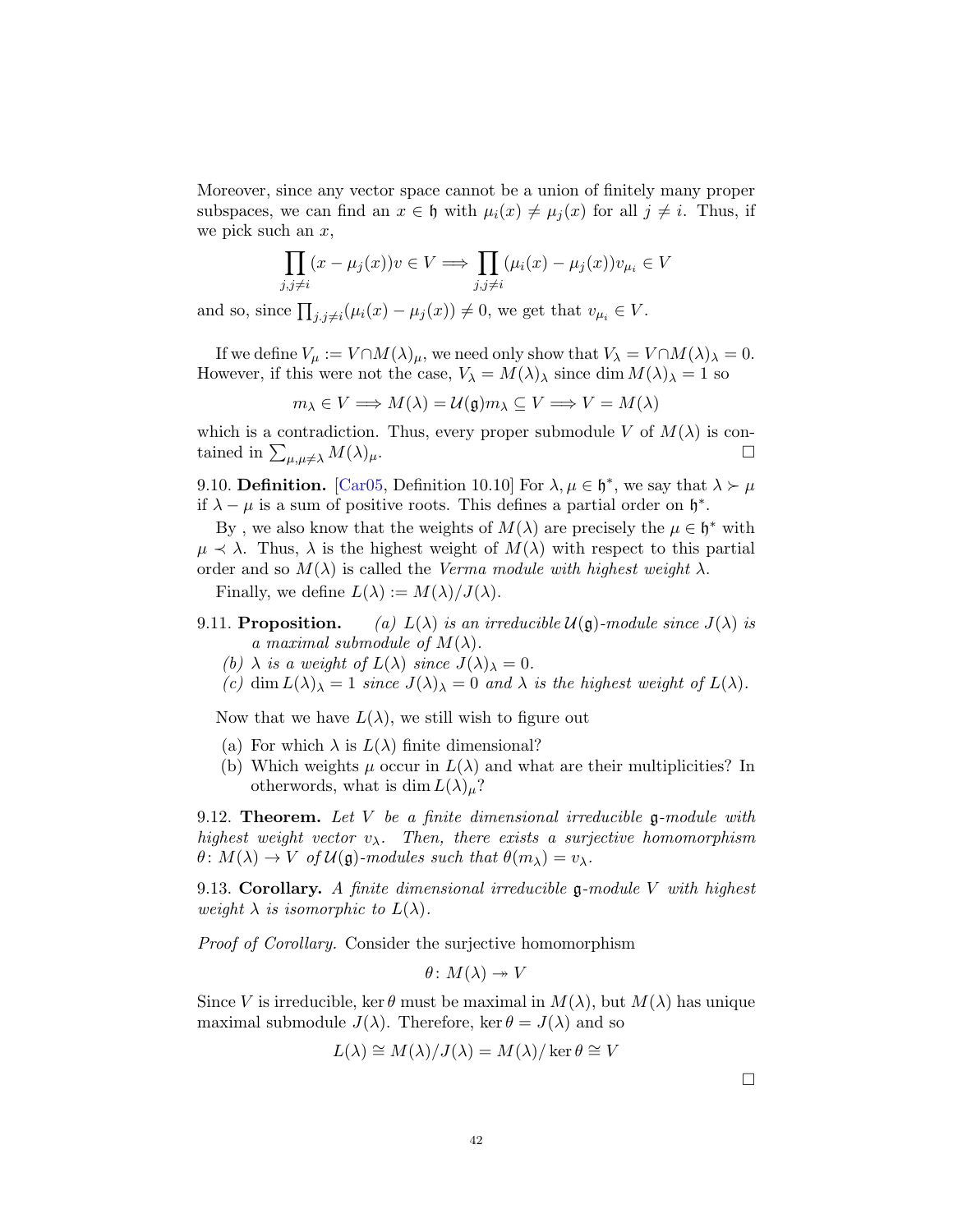Moreover, since any vector space cannot be a union of finitely many proper subspaces, we can find an  $x \in \mathfrak{h}$  with  $\mu_i(x) \neq \mu_i(x)$  for all  $j \neq i$ . Thus, if we pick such an  $x$ ,

$$
\prod_{j,j\neq i}(x-\mu_j(x))v\in V \Longrightarrow \prod_{j,j\neq i}(\mu_i(x)-\mu_j(x))v_{\mu_i}\in V
$$

and so, since  $\prod_{j,j\neq i} (\mu_i(x) - \mu_j(x)) \neq 0$ , we get that  $v_{\mu_i} \in V$ .

If we define  $V_\mu := V \cap M(\lambda)_\mu$ , we need only show that  $V_\lambda = V \cap M(\lambda)_\lambda = 0$ . However, if this were not the case,  $V_{\lambda} = M(\lambda)_{\lambda}$  since dim  $M(\lambda)_{\lambda} = 1$  so

$$
m_{\lambda} \in V \Longrightarrow M(\lambda) = \mathcal{U}(\mathfrak{g}) m_{\lambda} \subseteq V \Longrightarrow V = M(\lambda)
$$

which is a contradiction. Thus, every proper submodule V of  $M(\lambda)$  is contained in  $\sum_{\mu,\mu\neq\lambda} M(\lambda)_{\mu}$ .

9.10. **Definition.** [\[Car05,](#page-48-3) Definition 10.10] For  $\lambda, \mu \in \mathfrak{h}^*$ , we say that  $\lambda \succ \mu$ if  $\lambda - \mu$  is a sum of positive roots. This defines a partial order on  $\mathfrak{h}^*$ .

By, we also know that the weights of  $M(\lambda)$  are precisely the  $\mu \in \mathfrak{h}^*$  with  $\mu \prec \lambda$ . Thus,  $\lambda$  is the highest weight of  $M(\lambda)$  with respect to this partial order and so  $M(\lambda)$  is called the *Verma module with highest weight*  $\lambda$ .

Finally, we define  $L(\lambda) := M(\lambda)/J(\lambda)$ .

- 9.11. **Proposition.** (a)  $L(\lambda)$  is an irreducible  $\mathcal{U}(\mathfrak{g})$ -module since  $J(\lambda)$  is a maximal submodule of  $M(\lambda)$ .
	- (b)  $\lambda$  is a weight of  $L(\lambda)$  since  $J(\lambda)_{\lambda} = 0$ .
	- (c) dim  $L(\lambda)_{\lambda} = 1$  since  $J(\lambda)_{\lambda} = 0$  and  $\lambda$  is the highest weight of  $L(\lambda)$ .

Now that we have  $L(\lambda)$ , we still wish to figure out

- (a) For which  $\lambda$  is  $L(\lambda)$  finite dimensional?
- (b) Which weights  $\mu$  occur in  $L(\lambda)$  and what are their multiplicities? In otherwords, what is dim  $L(\lambda)_{\mu}$ ?

9.12. **Theorem.** Let V be a finite dimensional irreducible  $\mathfrak{g}\text{-module with}$ highest weight vector  $v_{\lambda}$ . Then, there exists a surjective homomorphism  $\theta \colon M(\lambda) \to V$  of  $\mathcal{U}(\mathfrak{g})$ -modules such that  $\theta(m_{\lambda}) = v_{\lambda}$ .

9.13. Corollary. A finite dimensional irreducible  $\mathfrak g$ -module V with highest weight  $\lambda$  is isomorphic to  $L(\lambda)$ .

Proof of Corollary. Consider the surjective homomorphism

$$
\theta\colon M(\lambda)\twoheadrightarrow V
$$

Since V is irreducible, ker  $\theta$  must be maximal in  $M(\lambda)$ , but  $M(\lambda)$  has unique maximal submodule  $J(\lambda)$ . Therefore, ker  $\theta = J(\lambda)$  and so

$$
L(\lambda) \cong M(\lambda)/J(\lambda) = M(\lambda)/\ker \theta \cong V
$$

 $\Box$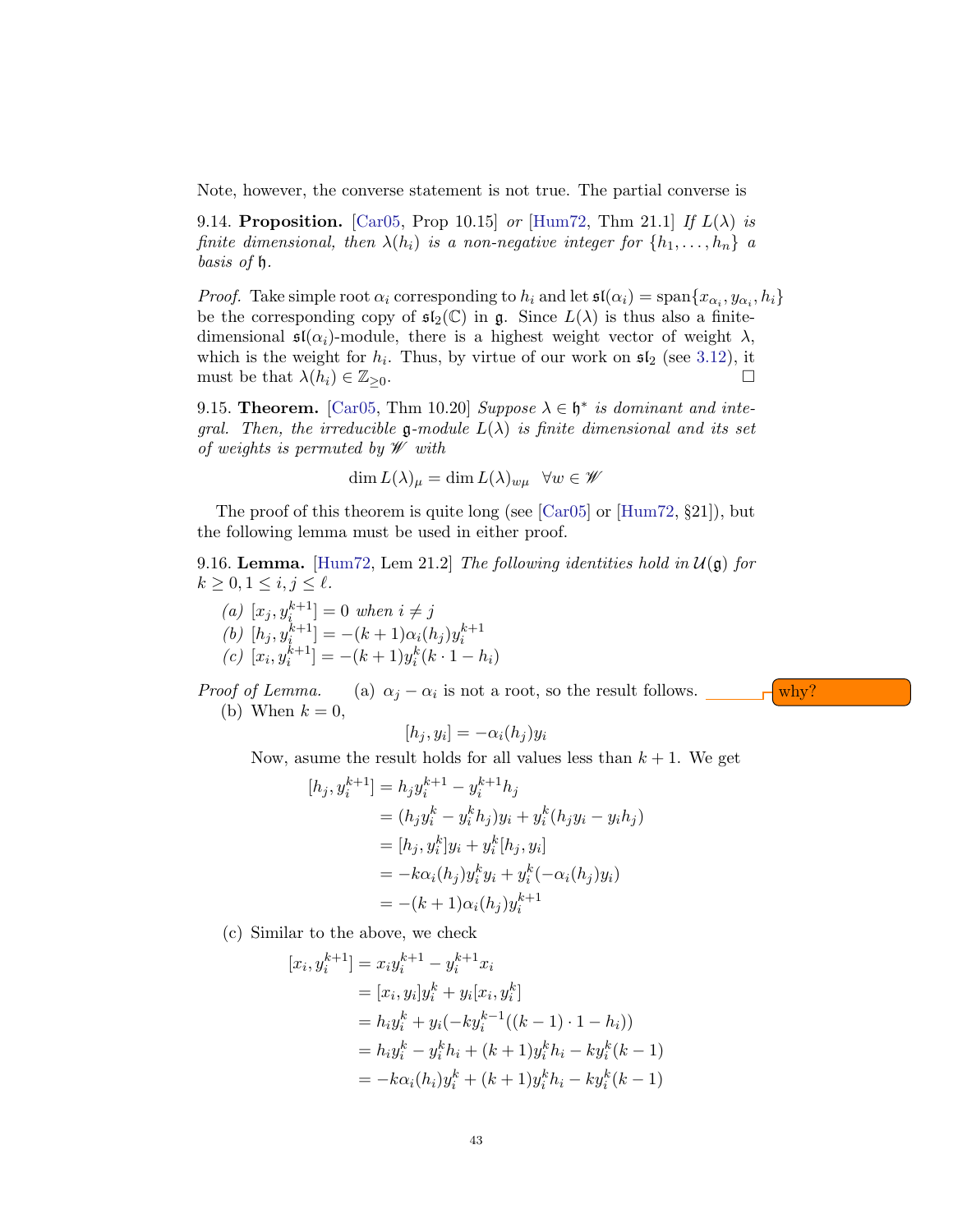Note, however, the converse statement is not true. The partial converse is

9.14. Proposition. [\[Car05,](#page-48-3) Prop 10.15] or [\[Hum72,](#page-48-0) Thm 21.1] If  $L(\lambda)$  is finite dimensional, then  $\lambda(h_i)$  is a non-negative integer for  $\{h_1, \ldots, h_n\}$  a basis of h.

*Proof.* Take simple root  $\alpha_i$  corresponding to  $h_i$  and let  $\mathfrak{sl}(\alpha_i) = \text{span}\{x_{\alpha_i}, y_{\alpha_i}, h_i\}$ be the corresponding copy of  $\mathfrak{sl}_2(\mathbb{C})$  in g. Since  $L(\lambda)$  is thus also a finitedimensional  $\mathfrak{sl}(\alpha_i)$ -module, there is a highest weight vector of weight  $\lambda$ , which is the weight for  $h_i$ . Thus, by virtue of our work on  $\mathfrak{sl}_2$  (see [3.12\)](#page-8-1), it must be that  $\lambda(h_i) \in \mathbb{Z}_{\geq 0}$ .

<span id="page-42-0"></span>9.15. Theorem. [\[Car05,](#page-48-3) Thm 10.20] Suppose  $\lambda \in \mathfrak{h}^*$  is dominant and integral. Then, the irreducible g-module  $L(\lambda)$  is finite dimensional and its set of weights is permuted by  $\mathscr W$  with

$$
\dim L(\lambda)_{\mu} = \dim L(\lambda)_{w\mu} \quad \forall w \in \mathscr{W}
$$

The proof of this theorem is quite long (see [\[Car05\]](#page-48-3) or [\[Hum72,](#page-48-0) §21]), but the following lemma must be used in either proof.

9.16. Lemma. [\[Hum72,](#page-48-0) Lem 21.2] The following identities hold in  $\mathcal{U}(\mathfrak{g})$  for  $k \geq 0, 1 \leq i, j \leq \ell.$ 

(a) 
$$
[x_j, y_i^{k+1}] = 0
$$
 when  $i \neq j$   
\n(b)  $[h_j, y_i^{k+1}] = -(k+1)\alpha_i(h_j)y_i^{k+1}$   
\n(c)  $[x_i, y_i^{k+1}] = -(k+1)y_i^k(k \cdot 1 - h_i)$ 

Proof of Lemma. (a)  $\alpha_j - \alpha_i$  is not a root, so the result follows.  $\Box \Box \Box \Box$ (b) When  $k = 0$ ,

$$
[h_j, y_i] = -\alpha_i(h_j)y_i
$$

Now, asume the result holds for all values less than  $k + 1$ . We get

$$
[h_j, y_i^{k+1}] = h_j y_i^{k+1} - y_i^{k+1} h_j
$$
  
=  $(h_j y_i^k - y_i^k h_j) y_i + y_i^k (h_j y_i - y_i h_j)$   
=  $[h_j, y_i^k] y_i + y_i^k [h_j, y_i]$   
=  $-k\alpha_i (h_j) y_i^k y_i + y_i^k (-\alpha_i (h_j) y_i)$   
=  $-(k+1)\alpha_i (h_j) y_i^{k+1}$ 

(c) Similar to the above, we check

$$
[x_i, y_i^{k+1}] = x_i y_i^{k+1} - y_i^{k+1} x_i
$$
  
\n
$$
= [x_i, y_i] y_i^k + y_i [x_i, y_i^k]
$$
  
\n
$$
= h_i y_i^k + y_i (-ky_i^{k-1}((k-1) \cdot 1 - h_i))
$$
  
\n
$$
= h_i y_i^k - y_i^k h_i + (k+1) y_i^k h_i - ky_i^k (k-1)
$$
  
\n
$$
= -k \alpha_i (h_i) y_i^k + (k+1) y_i^k h_i - ky_i^k (k-1)
$$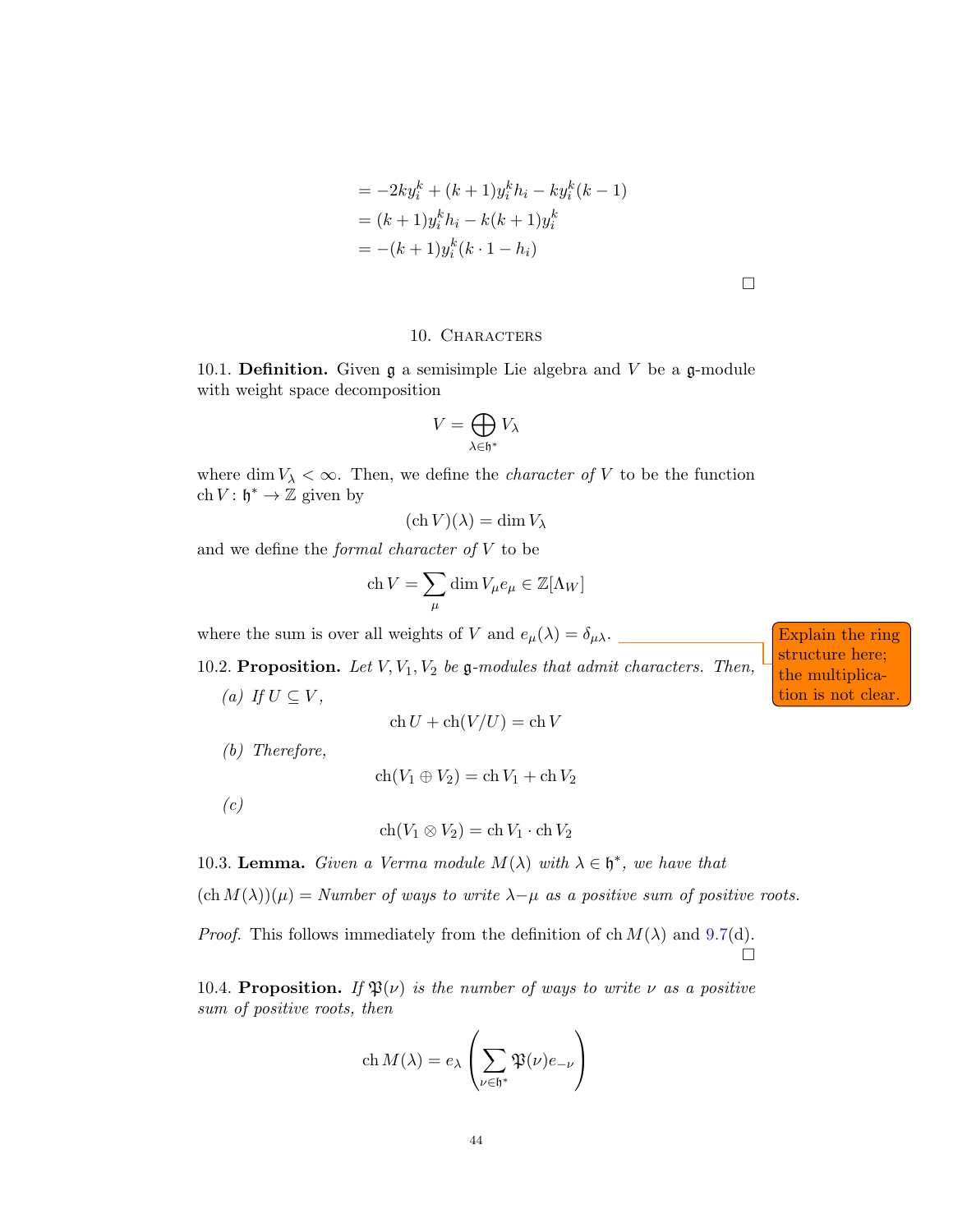$$
= -2ky_i^k + (k+1)y_i^k h_i - ky_i^k (k-1)
$$
  
=  $(k+1)y_i^k h_i - k(k+1)y_i^k$   
=  $-(k+1)y_i^k (k \cdot 1 - h_i)$ 

 $\Box$ 

## 10. CHARACTERS

10.1. **Definition.** Given  $\mathfrak{g}$  a semisimple Lie algebra and V be a  $\mathfrak{g}$ -module with weight space decomposition

$$
V = \bigoplus_{\lambda \in \mathfrak{h}^*} V_{\lambda}
$$

where dim  $V_{\lambda} < \infty$ . Then, we define the *character of* V to be the function ch  $V: \mathfrak{h}^* \to \mathbb{Z}$  given by

$$
(\mathrm{ch}\, V)(\lambda) = \dim V_{\lambda}
$$

and we define the *formal character of*  $V$  to be

$$
\mathrm{ch}\,V=\sum_\mu\dim V_\mu e_\mu\in\mathbb{Z}[\Lambda_W]
$$

where the sum is over all weights of V and  $e_{\mu}(\lambda) = \delta_{\mu\lambda}$ .

10.2. Proposition. Let  $V, V_1, V_2$  be g-modules that admit characters. Then, (a) If  $U \subseteq V$ ,

$$
ch U + ch(V/U) = ch V
$$

(b) Therefore,

$$
ch(V_1 \oplus V_2) = ch V_1 + ch V_2
$$

 $(c)$ 

$$
ch(V_1 \otimes V_2) = ch V_1 \cdot ch V_2
$$

10.3. Lemma. Given a Verma module  $M(\lambda)$  with  $\lambda \in \mathfrak{h}^*$ , we have that

 $(\text{ch }M(\lambda))(\mu) =$  Number of ways to write  $\lambda-\mu$  as a positive sum of positive roots.

*Proof.* This follows immediately from the definition of ch  $M(\lambda)$  and [9.7\(](#page-39-0)d).  $\Box$ 

10.4. **Proposition.** If  $\mathfrak{P}(\nu)$  is the number of ways to write  $\nu$  as a positive sum of positive roots, then

$$
\operatorname{ch} M(\lambda) = e_{\lambda} \left( \sum_{\nu \in \mathfrak{h}^*} \mathfrak{P}(\nu) e_{-\nu} \right)
$$

structure here; the multiplication is not clear.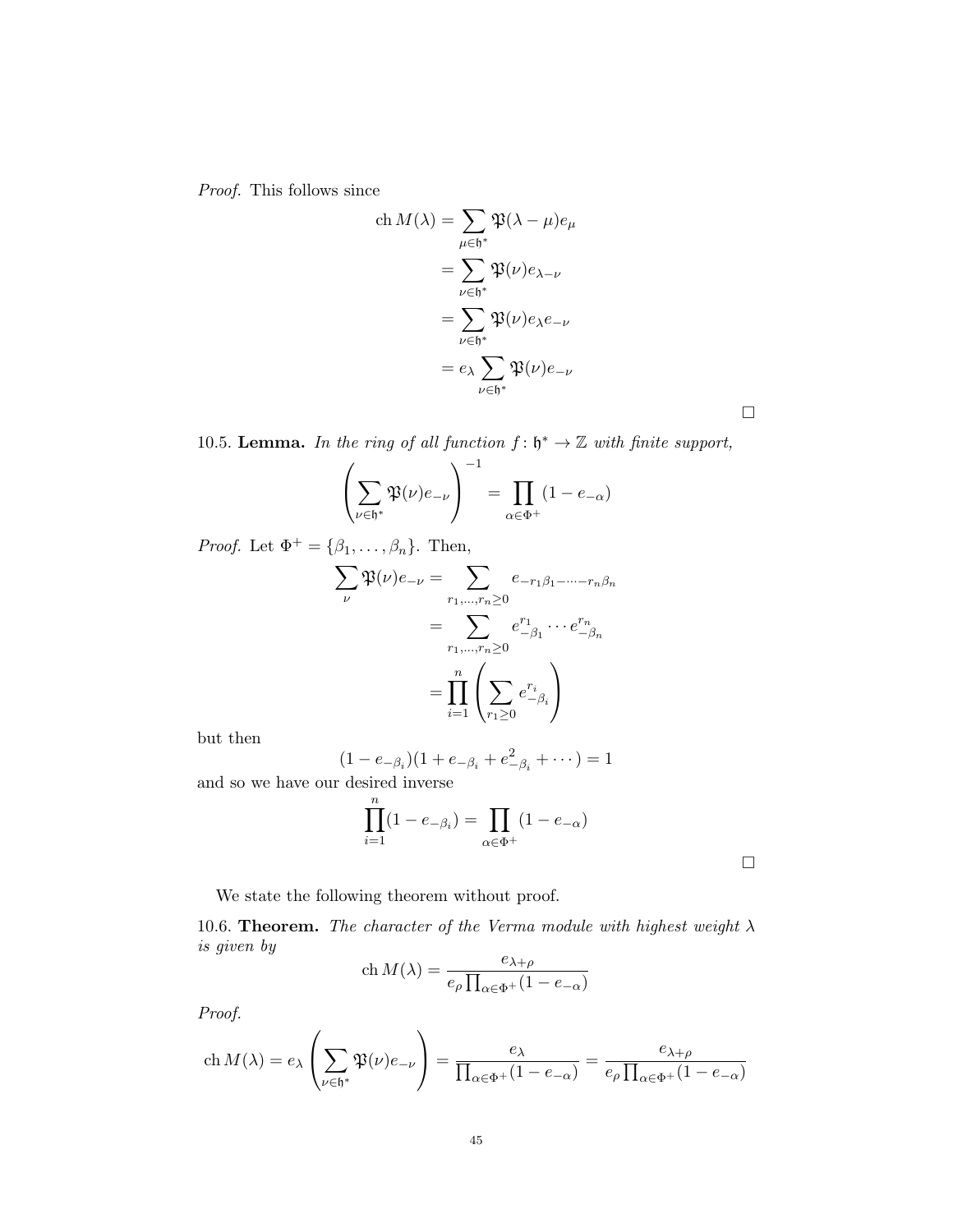Proof. This follows since

ch 
$$
M(\lambda) = \sum_{\mu \in \mathfrak{h}^*} \mathfrak{P}(\lambda - \mu) e_{\mu}
$$
  
\n
$$
= \sum_{\nu \in \mathfrak{h}^*} \mathfrak{P}(\nu) e_{\lambda - \nu}
$$
\n
$$
= \sum_{\nu \in \mathfrak{h}^*} \mathfrak{P}(\nu) e_{\lambda} e_{-\nu}
$$
\n
$$
= e_{\lambda} \sum_{\nu \in \mathfrak{h}^*} \mathfrak{P}(\nu) e_{-\nu}
$$

10.5. Lemma. In the ring of all function  $f: \mathfrak{h}^* \to \mathbb{Z}$  with finite support,

$$
\left(\sum_{\nu \in \mathfrak{h}^*} \mathfrak{P}(\nu) e_{-\nu}\right)^{-1} = \prod_{\alpha \in \Phi^+} (1 - e_{-\alpha})
$$

*Proof.* Let  $\Phi^+ = {\beta_1, \ldots, \beta_n}$ . Then,

$$
\sum_{\nu} \mathfrak{P}(\nu) e_{-\nu} = \sum_{r_1, \dots, r_n \ge 0} e_{-r_1 \beta_1 - \dots - r_n \beta_n}
$$

$$
= \sum_{r_1, \dots, r_n \ge 0} e_{-\beta_1}^{r_1} \dots e_{-\beta_n}^{r_n}
$$

$$
= \prod_{i=1}^n \left( \sum_{r_1 \ge 0} e_{-\beta_i}^{r_i} \right)
$$

but then

$$
(1 - e_{-\beta_i})(1 + e_{-\beta_i} + e_{-\beta_i}^2 + \cdots) = 1
$$

and so we have our desired inverse

$$
\prod_{i=1}^n (1-e_{-\beta_i})=\prod_{\alpha\in\Phi^+} (1-e_{-\alpha})
$$

 $\Box$ 

 $\Box$ 

We state the following theorem without proof.

10.6. Theorem. The character of the Verma module with highest weight  $\lambda$ is given by

$$
\operatorname{ch} M(\lambda) = \frac{e_{\lambda+\rho}}{e_{\rho} \prod_{\alpha \in \Phi^+} (1 - e_{-\alpha})}
$$

Proof.

$$
\operatorname{ch} M(\lambda) = e_{\lambda} \left( \sum_{\nu \in \mathfrak{h}^*} \mathfrak{P}(\nu) e_{-\nu} \right) = \frac{e_{\lambda}}{\prod_{\alpha \in \Phi^+} (1 - e_{-\alpha})} = \frac{e_{\lambda + \rho}}{e_{\rho} \prod_{\alpha \in \Phi^+} (1 - e_{-\alpha})}
$$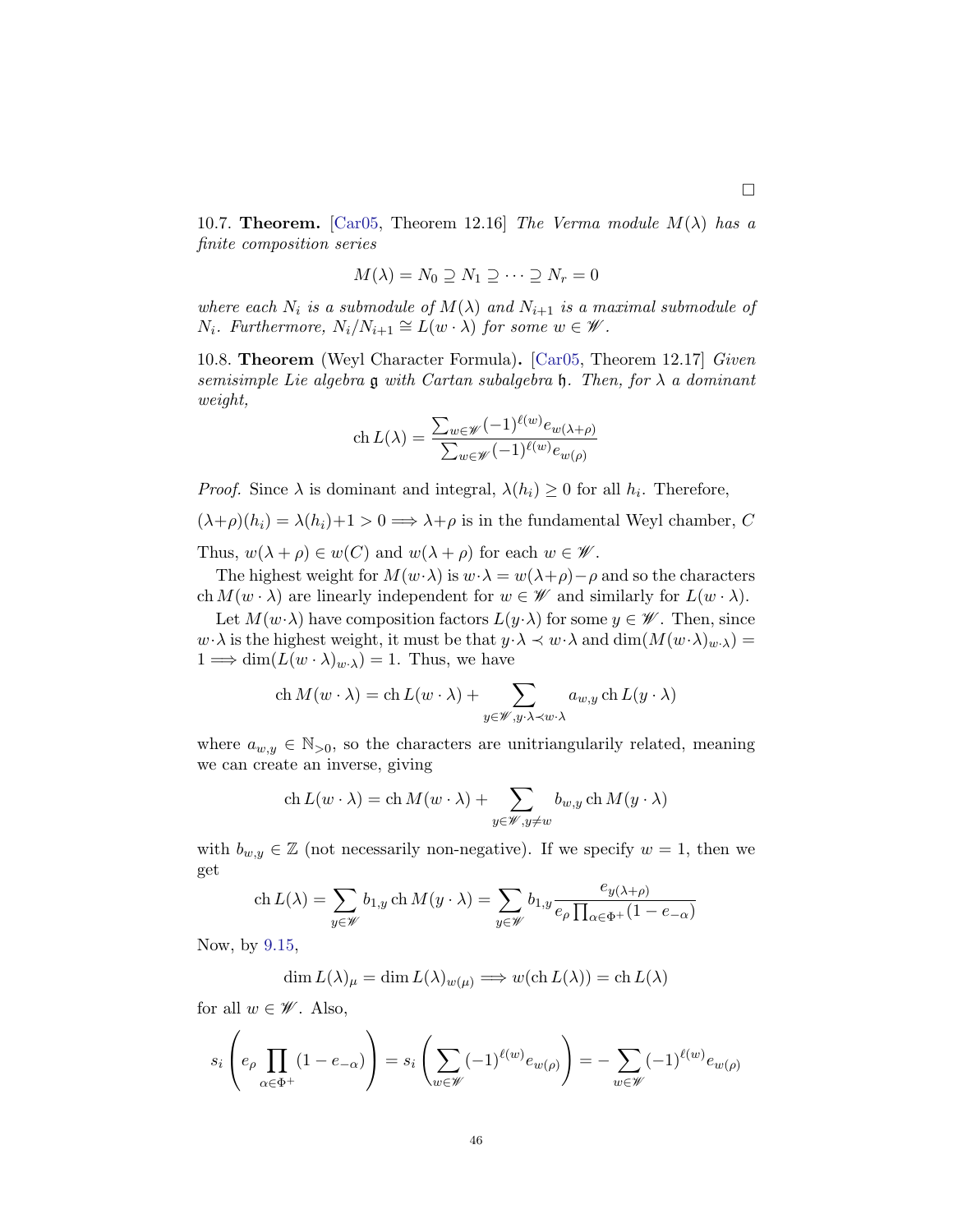10.7. **Theorem.** [\[Car05,](#page-48-3) Theorem 12.16] The Verma module  $M(\lambda)$  has a finite composition series

$$
M(\lambda) = N_0 \supseteq N_1 \supseteq \cdots \supseteq N_r = 0
$$

where each  $N_i$  is a submodule of  $M(\lambda)$  and  $N_{i+1}$  is a maximal submodule of  $N_i$ . Furthermore,  $N_i/N_{i+1} \cong L(w \cdot \lambda)$  for some  $w \in \mathscr{W}$ .

10.8. Theorem (Weyl Character Formula). [\[Car05,](#page-48-3) Theorem 12.17] Given semisimple Lie algebra  $\mathfrak g$  with Cartan subalgebra  $\mathfrak h$ . Then, for  $\lambda$  a dominant weight,

$$
\operatorname{ch} L(\lambda) = \frac{\sum_{w \in \mathscr{W}} (-1)^{\ell(w)} e_{w(\lambda + \rho)}}{\sum_{w \in \mathscr{W}} (-1)^{\ell(w)} e_{w(\rho)}}
$$

*Proof.* Since  $\lambda$  is dominant and integral,  $\lambda(h_i) \geq 0$  for all  $h_i$ . Therefore,

 $(\lambda + \rho)(h_i) = \lambda(h_i) + 1 > 0 \Longrightarrow \lambda + \rho$  is in the fundamental Weyl chamber, C Thus,  $w(\lambda + \rho) \in w(C)$  and  $w(\lambda + \rho)$  for each  $w \in \mathscr{W}$ .

The highest weight for  $M(w \cdot \lambda)$  is  $w \cdot \lambda = w(\lambda + \rho) - \rho$  and so the characters ch  $M(w \cdot \lambda)$  are linearly independent for  $w \in \mathscr{W}$  and similarly for  $L(w \cdot \lambda)$ .

Let  $M(w \cdot \lambda)$  have composition factors  $L(y \cdot \lambda)$  for some  $y \in \mathscr{W}$ . Then, since  $w \cdot \lambda$  is the highest weight, it must be that  $y \cdot \lambda \prec w \cdot \lambda$  and  $\dim(M(w \cdot \lambda)_{w \cdot \lambda}) =$  $1 \Longrightarrow \dim(L(w \cdot \lambda)_{w \cdot \lambda}) = 1$ . Thus, we have

ch 
$$
M(w \cdot \lambda) = ch L(w \cdot \lambda) + \sum_{y \in \mathscr{W}, y \cdot \lambda \prec w \cdot \lambda} a_{w,y} ch L(y \cdot \lambda)
$$

where  $a_{w,y} \in \mathbb{N}_{>0}$ , so the characters are unitriangularily related, meaning we can create an inverse, giving

ch 
$$
L(w \cdot \lambda) = ch M(w \cdot \lambda) + \sum_{y \in \mathscr{W}, y \neq w} b_{w,y} ch M(y \cdot \lambda)
$$

with  $b_{w,y} \in \mathbb{Z}$  (not necessarily non-negative). If we specify  $w = 1$ , then we get

ch 
$$
L(\lambda) = \sum_{y \in \mathcal{W}} b_{1,y} \operatorname{ch} M(y \cdot \lambda) = \sum_{y \in \mathcal{W}} b_{1,y} \frac{e_{y(\lambda+\rho)}}{e_{\rho} \prod_{\alpha \in \Phi^+} (1 - e_{-\alpha})}
$$

Now, by [9.15,](#page-42-0)

$$
\dim L(\lambda)_{\mu} = \dim L(\lambda)_{w(\mu)} \Longrightarrow w(\operatorname{ch} L(\lambda)) = \operatorname{ch} L(\lambda)
$$

for all  $w \in \mathscr{W}$ . Also,

$$
s_i\left(e_{\rho} \prod_{\alpha \in \Phi^+} (1 - e_{-\alpha})\right) = s_i\left(\sum_{w \in \mathscr{W}} (-1)^{\ell(w)} e_{w(\rho)}\right) = -\sum_{w \in \mathscr{W}} (-1)^{\ell(w)} e_{w(\rho)}
$$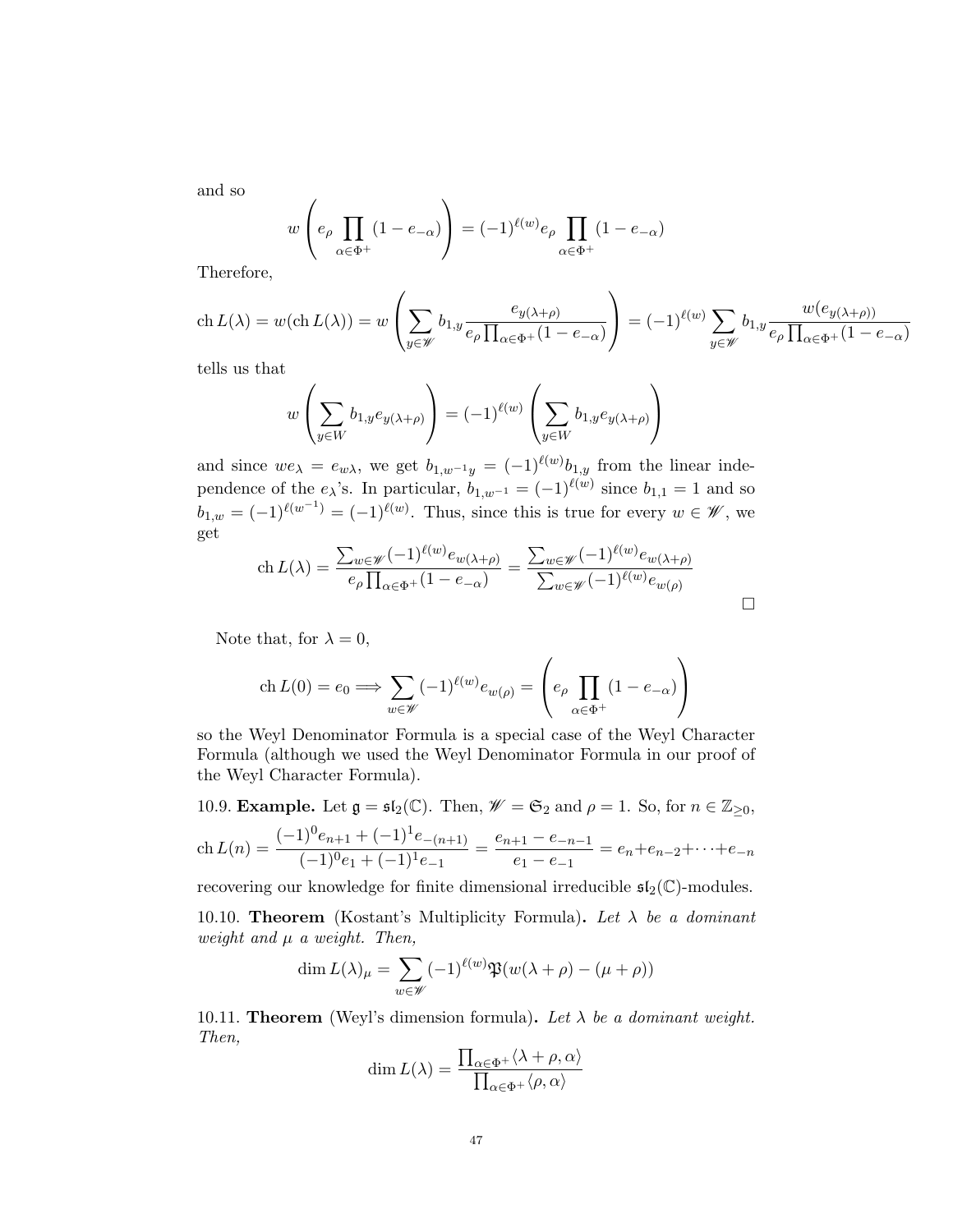and so

$$
w\left(e_{\rho} \prod_{\alpha \in \Phi^+} (1 - e_{-\alpha})\right) = (-1)^{\ell(w)} e_{\rho} \prod_{\alpha \in \Phi^+} (1 - e_{-\alpha})
$$

Therefore,

$$
\operatorname{ch} L(\lambda) = w(\operatorname{ch} L(\lambda)) = w\left(\sum_{y \in \mathcal{W}} b_{1,y} \frac{e_{y(\lambda+\rho)}}{e_{\rho} \prod_{\alpha \in \Phi^+} (1 - e_{-\alpha})}\right) = (-1)^{\ell(w)} \sum_{y \in \mathcal{W}} b_{1,y} \frac{w(e_{y(\lambda+\rho))}}{e_{\rho} \prod_{\alpha \in \Phi^+} (1 - e_{-\alpha})}
$$

tells us that

$$
w\left(\sum_{y\in W} b_{1,y} e_{y(\lambda+\rho)}\right) = (-1)^{\ell(w)}\left(\sum_{y\in W} b_{1,y} e_{y(\lambda+\rho)}\right)
$$

and since  $we_{\lambda} = e_{w\lambda}$ , we get  $b_{1,w^{-1}y} = (-1)^{\ell(w)} b_{1,y}$  from the linear independence of the  $e_{\lambda}$ 's. In particular,  $b_{1,w^{-1}} = (-1)^{\ell(w)}$  since  $b_{1,1} = 1$  and so  $b_{1,w} = (-1)^{\ell(w^{-1})} = (-1)^{\ell(w)}$ . Thus, since this is true for every  $w \in \mathscr{W}$ , we get

$$
\operatorname{ch} L(\lambda) = \frac{\sum_{w \in \mathscr{W}} (-1)^{\ell(w)} e_{w(\lambda + \rho)}}{e_{\rho} \prod_{\alpha \in \Phi^+} (1 - e_{-\alpha})} = \frac{\sum_{w \in \mathscr{W}} (-1)^{\ell(w)} e_{w(\lambda + \rho)}}{\sum_{w \in \mathscr{W}} (-1)^{\ell(w)} e_{w(\rho)}}
$$

Note that, for  $\lambda = 0$ ,

$$
\operatorname{ch} L(0) = e_0 \Longrightarrow \sum_{w \in \mathscr{W}} (-1)^{\ell(w)} e_{w(\rho)} = \left( e_{\rho} \prod_{\alpha \in \Phi^+} (1 - e_{-\alpha}) \right)
$$

so the Weyl Denominator Formula is a special case of the Weyl Character Formula (although we used the Weyl Denominator Formula in our proof of the Weyl Character Formula).

10.9. **Example.** Let  $\mathfrak{g} = \mathfrak{sl}_2(\mathbb{C})$ . Then,  $\mathscr{W} = \mathfrak{S}_2$  and  $\rho = 1$ . So, for  $n \in \mathbb{Z}_{\geq 0}$ ,

$$
\operatorname{ch} L(n) = \frac{(-1)^0 e_{n+1} + (-1)^1 e_{-(n+1)}}{(-1)^0 e_1 + (-1)^1 e_{-1}} = \frac{e_{n+1} - e_{-n-1}}{e_1 - e_{-1}} = e_n + e_{n-2} + \dots + e_{-n}
$$

recovering our knowledge for finite dimensional irreducible  $\mathfrak{sl}_2(\mathbb{C})$ -modules.

10.10. Theorem (Kostant's Multiplicity Formula). Let  $\lambda$  be a dominant weight and  $\mu$  a weight. Then,

$$
\dim L(\lambda)_{\mu} = \sum_{w \in \mathscr{W}} (-1)^{\ell(w)} \mathfrak{P}(w(\lambda + \rho) - (\mu + \rho))
$$

10.11. **Theorem** (Weyl's dimension formula). Let  $\lambda$  be a dominant weight. Then,

$$
\dim L(\lambda) = \frac{\prod_{\alpha \in \Phi^+} \langle \lambda + \rho, \alpha \rangle}{\prod_{\alpha \in \Phi^+} \langle \rho, \alpha \rangle}
$$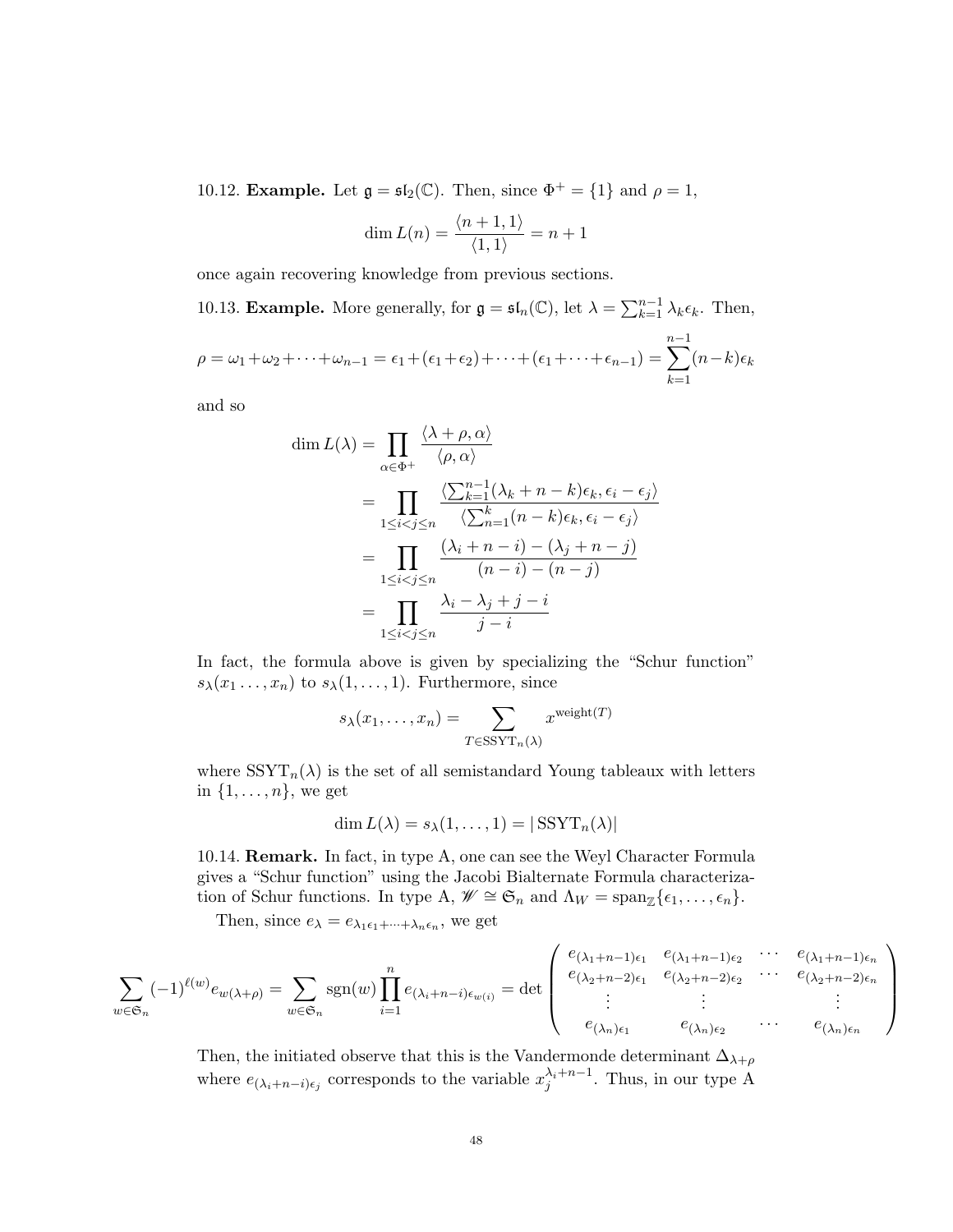10.12. **Example.** Let  $\mathfrak{g} = \mathfrak{sl}_2(\mathbb{C})$ . Then, since  $\Phi^+ = \{1\}$  and  $\rho = 1$ ,

$$
\dim L(n) = \frac{\langle n+1, 1 \rangle}{\langle 1, 1 \rangle} = n+1
$$

once again recovering knowledge from previous sections.

10.13. **Example.** More generally, for  $\mathfrak{g} = \mathfrak{sl}_n(\mathbb{C})$ , let  $\lambda = \sum_{k=1}^{n-1} \lambda_k \epsilon_k$ . Then,  $\rho = \omega_1 + \omega_2 + \cdots + \omega_{n-1} = \epsilon_1 + (\epsilon_1 + \epsilon_2) + \cdots + (\epsilon_1 + \cdots + \epsilon_{n-1}) =$  $\sum^{n-1}$  $k=1$  $(n-k)\epsilon_k$ 

and so

$$
\dim L(\lambda) = \prod_{\alpha \in \Phi^+} \frac{\langle \lambda + \rho, \alpha \rangle}{\langle \rho, \alpha \rangle}
$$
  
= 
$$
\prod_{1 \le i < j \le n} \frac{\langle \sum_{k=1}^{n-1} (\lambda_k + n - k) \epsilon_k, \epsilon_i - \epsilon_j \rangle}{\langle \sum_{n=1}^{k} (n - k) \epsilon_k, \epsilon_i - \epsilon_j \rangle}
$$
  
= 
$$
\prod_{1 \le i < j \le n} \frac{(\lambda_i + n - i) - (\lambda_j + n - j)}{(n - i) - (n - j)}
$$
  
= 
$$
\prod_{1 \le i < j \le n} \frac{\lambda_i - \lambda_j + j - i}{j - i}
$$

In fact, the formula above is given by specializing the "Schur function"  $s_{\lambda}(x_1 \ldots, x_n)$  to  $s_{\lambda}(1, \ldots, 1)$ . Furthermore, since

$$
s_{\lambda}(x_1,\ldots,x_n) = \sum_{T \in \text{SSYT}_n(\lambda)} x^{\text{weight}(T)}
$$

where  $SSYT_n(\lambda)$  is the set of all semistandard Young tableaux with letters in  $\{1, \ldots, n\}$ , we get

$$
\dim L(\lambda) = s_{\lambda}(1,\ldots,1) = |\text{SSYT}_n(\lambda)|
$$

10.14. Remark. In fact, in type A, one can see the Weyl Character Formula gives a "Schur function" using the Jacobi Bialternate Formula characterization of Schur functions. In type A,  $\mathscr{W} \cong \mathfrak{S}_n$  and  $\Lambda_W = \text{span}_{\mathbb{Z}}\{\epsilon_1, \ldots, \epsilon_n\}.$ 

Then, since  $e_{\lambda} = e_{\lambda_1 \epsilon_1 + \dots + \lambda_n \epsilon_n}$ , we get

$$
\sum_{w \in \mathfrak{S}_n} (-1)^{\ell(w)} e_{w(\lambda + \rho)} = \sum_{w \in \mathfrak{S}_n} \text{sgn}(w) \prod_{i=1}^n e_{(\lambda_i + n - i) \epsilon_{w(i)}} = \det \begin{pmatrix} e_{(\lambda_1 + n - 1)\epsilon_1} & e_{(\lambda_1 + n - 1)\epsilon_2} & \cdots & e_{(\lambda_1 + n - 1)\epsilon_n} \\ e_{(\lambda_2 + n - 2)\epsilon_1} & e_{(\lambda_2 + n - 2)\epsilon_2} & \cdots & e_{(\lambda_2 + n - 2)\epsilon_n} \\ \vdots & \vdots & & \vdots \\ e_{(\lambda_n)\epsilon_1} & e_{(\lambda_n)\epsilon_2} & \cdots & e_{(\lambda_n)\epsilon_n} \end{pmatrix}
$$

Then, the initiated observe that this is the Vandermonde determinant  $\Delta_{\lambda+\rho}$ where  $e_{(\lambda_i+n-i)\epsilon_j}$  corresponds to the variable  $x_j^{\lambda_i+n-1}$ . Thus, in our type A